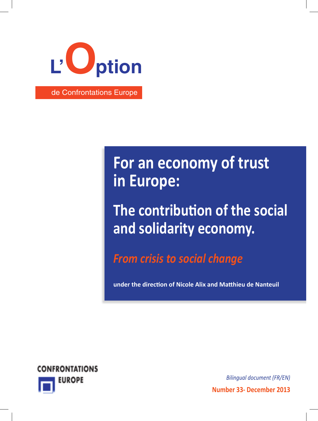

# $\overline{a}$  or an economy of truct  $\blacksquare$  **Le besoin d'une nouvelle de la pose**  $\blacksquare$ **For an economy of trust**

**impulsion politique de** lidarih*y* assessed: **The contribution of the social Lead Solidarity economy. Énergie nucléaire :**

**From crisis to social change**  $\blacksquare$ 

**under the direction of Nicole Alix and Matthieu de Nanteuil** 



**Number 33- December 2013** *Bilingual document (FR/EN)*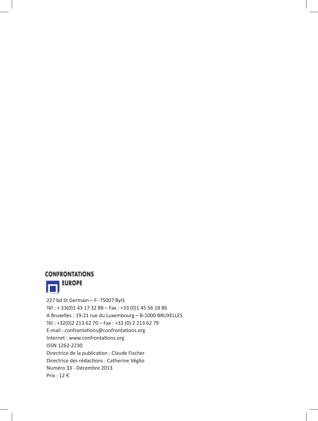

 227 bd St Germain – F- 75007 ByIS Tél : + 33(0)1 43 17 32 88 – Fax : +33 (0)1 45 56 18 86 A Bruxelles : 19-21 rue du Luxembourg – B-1000 BRUXELLES Tél : +32(0)2 213 62 70 – Fax : +32 (0) 2 213 62 79 E-mail : confrontations@confrontations.org Internet : www.confrontations.org ISSN 1262-2230 Directrice de la publication : Claude Fischer Directrice des rédactions : Catherine Véglio Numéro 33 - Décembre 2013 Prix : 12  $\epsilon$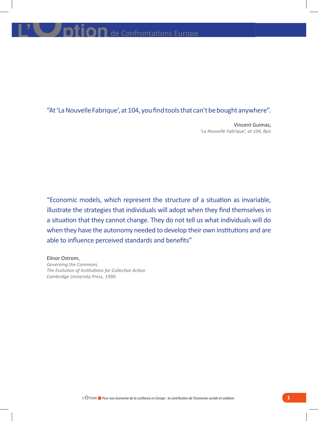### "At 'La Nouvelle Fabrique', at 104, you find tools that can't be bought anywhere".

 Vincent Guimas, *'La Nouvelle Fabrique', at 104, Byis*

"Economic models, which represent the structure of a situation as invariable, illustrate the strategies that individuals will adopt when they find themselves in a situation that they cannot change. They do not tell us what individuals will do when they have the autonomy needed to develop their own institutions and are able to influence perceived standards and benefits"

Elinor Ostrom, *Governing the Commons. The Evolution of Institutions for Collective Action Cambridge University Press, 1990.*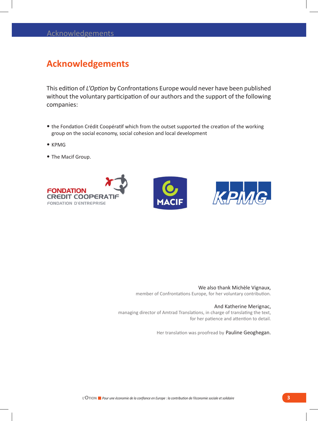### **Acknowledgements**

This edition of *L'Option* by Confrontations Europe would never have been published without the voluntary participation of our authors and the support of the following companies:

- • the Fondation Crédit Coopératif which from the outset supported the creation of the working group on the social economy, social cohesion and local development
- • KPMG
- • The Macif Group.



### We also thank Michèle Vignaux,

member of Confrontations Europe, for her voluntary contribution.

#### And Katherine Merignac,

managing director of Amtrad Translations, in charge of translating the text, for her patience and attention to detail.

Her translation was proofread by Pauline Geoghegan.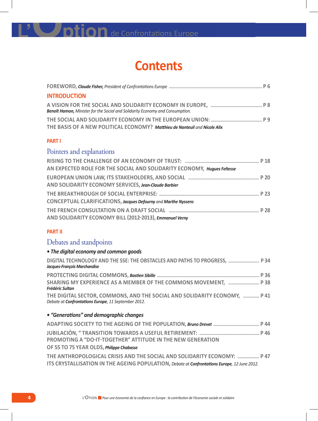### **Contents**

| <b>INTRODUCTION</b>                                                                  |  |
|--------------------------------------------------------------------------------------|--|
| <b>Benoît Hamon,</b> Minister for the Social and Solidarity Economy and Consumption. |  |
|                                                                                      |  |
| THE BASIS OF A NEW POLITICAL ECONOMY? Matthieu de Nanteuil and Nicole Alix           |  |

### **PART I**

### Pointers and explanations

| AN EXPECTED ROLE FOR THE SOCIAL AND SOLIDARITY ECONOMY, Hugues Feltesse |  |
|-------------------------------------------------------------------------|--|
|                                                                         |  |
| AND SOLIDARITY ECONOMY SERVICES, Jean-Claude Barbier                    |  |
|                                                                         |  |
| CONCEPTUAL CLARIFICATIONS, Jacques Defourny and Marthe Nyssens          |  |
|                                                                         |  |
| AND SOLIDARITY ECONOMY BILL (2012-2013), Emmanuel Verny                 |  |

### **PART II**

### Debates and standpoints

### *• The digital economy and common goods*

| DIGITAL TECHNOLOGY AND THE SSE: THE OBSTACLES AND PATHS TO PROGRESS,  P 34<br>Jacques-François Marchandise                       |
|----------------------------------------------------------------------------------------------------------------------------------|
|                                                                                                                                  |
| SHARING MY EXPERIENCE AS A MEMBER OF THE COMMONS MOVEMENT,  P 38<br><b>Frédéric Sultan</b>                                       |
| THE DIGITAL SECTOR, COMMONS, AND THE SOCIAL AND SOLIDARITY ECONOMY,  P 41<br>Debate at Confrontations Europe, 11 September 2012. |
| • "Generations" and demographic changes                                                                                          |
|                                                                                                                                  |
| <b>PROMOTING A "DO-IT-TOGETHER" ATTITUDE IN THE NEW GENERATION</b>                                                               |
| OF 55 TO 75 YEAR OLDS, Philippe Chabasse                                                                                         |
| THE ANTHROPOLOGICAL CRISIS AND THE SOCIAL AND SOLIDARITY ECONOMY:  P 47                                                          |
| ITS CRYSTALLISATION IN THE AGEING POPULATION, Debate at Confrontations Europe, 12 June 2012.                                     |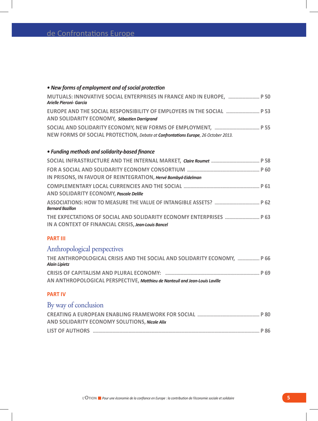### *• New forms of employment and of social protection* **Mutuals: innovative social enterprises in France and in Europe, ........................... P 50** *Arielle Pieroni- Garcia* **Europe and the social responsibility of employers in the social ............................. P 53 and solidarity economy,** *Sébastien Darrigrand* **Social and solidarity Economy, new forms of employment, ....................................... P 55 new forms of social protection,** *Debate at Confrontations Europe, 26 October 2013.*

### *• Funding methods and solidarity-based finance*

| IN PRISONS, IN FAVOUR OF REINTEGRATION, Hervé Bombyd-Eidelman |
|---------------------------------------------------------------|
|                                                               |
| AND SOLIDARITY ECONOMY, Pascale Delille                       |
| <b>Bernard Bazillon</b>                                       |
| IN A CONTEXT OF FINANCIAL CRISIS, Jean-Louis Bancel           |

### **PART III**

### Anthropological perspectives

| THE ANTHROPOLOGICAL CRISIS AND THE SOCIAL AND SOLIDARITY ECONOMY,  P 66<br><b>Alain Lipietz</b> |  |
|-------------------------------------------------------------------------------------------------|--|
|                                                                                                 |  |
| AN ANTHROPOLOGICAL PERSPECTIVE, Matthieu de Nanteuil and Jean-Louis Laville                     |  |

### **PART IV**

### By way of conclusion

| AND SOLIDARITY ECONOMY SOLUTIONS, Nicole Alix |  |
|-----------------------------------------------|--|
|                                               |  |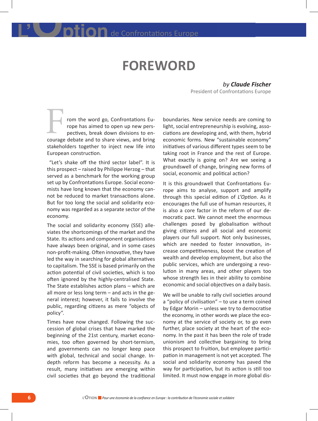### **FOREWORD**

*by Claude Fischer*  President of Confrontations Europe

rom the word go, Confrontations Europe has aimed to open up new perspectives, break down divisions to encourage debate and to share views, and bring stakeholders together to inject new life into European construction. F from the word go, Confrontations Eu-<br>
rom the word go, Confrontations Eu-<br>
rope has aimed to open up new pers-<br>
light, social entrepreneurship is evolving, asso-<br>
pectives, break down divisions to en-<br>
ciations are devel

 "Let's shake off the third sector label". It is this prospect – raised by Philippe Herzog – that served as a benchmark for the working group set up by Confrontations Europe. Social economists have long known that the economy cannot be reduced to market transactions alone. But for too long the social and solidarity economy was regarded as a separate sector of the economy.

The social and solidarity economy (SSE) alleviates the shortcomings of the market and the State. Its actions and component organisations have always been original, and in some cases non-profit-making. Often innovative, they have led the way in searching for global alternatives to capitalism. The SSE is based primarily on the action potential of civil societies, which is too often ignored by the highly-centralised State. The State establishes action plans – which are all more or less long term – and acts in the general interest; however, it fails to involve the public, regarding citizens as mere "objects of policy".

Times have now changed. Following the succession of global crises that have marked the beginning of the 21st century, market economies, too often governed by short-termism, and governments can no longer keep pace with global, technical and social change. Indepth reform has become a necessity. As a result, many initiatives are emerging within civil societies that go beyond the traditional light, social entrepreneurship is evolving, associations are developing and, with them, hybrid economic forms. New "sustainable economy" initiatives of various different types seem to be taking root in France and the rest of Europe. What exactly is going on? Are we seeing a groundswell of change, bringing new forms of social, economic and political action?

It is this groundswell that Confrontations Europe aims to analyse, support and amplify through this special edition of *L'Option*. As it encourages the full use of human resources, it is also a core factor in the reform of our democratic pact. We cannot meet the enormous challenges posed by globalisation without giving citizens and all social and economic players our full support. Not only businesses, which are needed to foster innovation, increase competitiveness, boost the creation of wealth and develop employment, but also the public services, which are undergoing a revolution in many areas, and other players too whose strength lies in their ability to combine economic and social objectives on a daily basis.

We will be unable to rally civil societies around a "policy of civilisation" – to use a term coined by Edgar Morin – unless we try to democratise the economy, in other words we place the economy at the service of society or, to go even further, place society at the heart of the economy. In the past it has been the role of trade unionism and collective bargaining to bring this prospect to fruition, but employee participation in management is not yet accepted. The social and solidarity economy has paved the way for participation, but its action is still too limited. It must now engage in more global dis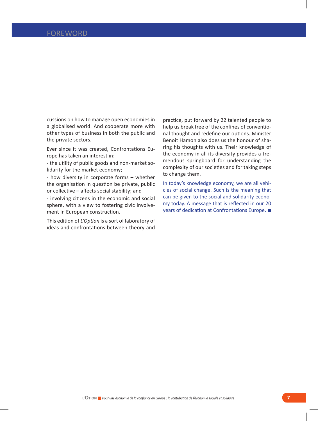cussions on how to manage open economies in a globalised world. And cooperate more with other types of business in both the public and the private sectors.

Ever since it was created, Confrontations Europe has taken an interest in:

- the utility of public goods and non-market solidarity for the market economy;

- how diversity in corporate forms – whether the organisation in question be private, public or collective – affects social stability; and

- involving citizens in the economic and social sphere, with a view to fostering civic involvement in European construction.

This edition of *L'Option* is a sort of laboratory of ideas and confrontations between theory and

practice, put forward by 22 talented people to help us break free of the confines of conventional thought and redefine our options. Minister Benoît Hamon also does us the honour of sharing his thoughts with us. Their knowledge of the economy in all its diversity provides a tremendous springboard for understanding the complexity of our societies and for taking steps to change them.

In today's knowledge economy, we are all vehicles of social change. Such is the meaning that can be given to the social and solidarity economy today. A message that is reflected in our 20 years of dedication at Confrontations Europe.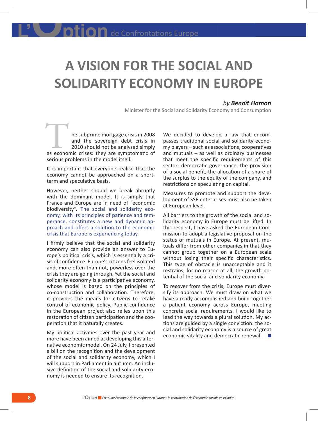# **A VISION FOR THE SOCIAL AND SOLIDARITY ECONOMY IN EUROPE**

#### *by Benoît Hamon*

Minister for the Social and Solidarity Economy and Consumption

he subprime mortgage crisis in 2008<br>
and the sovereign debt crisis in<br>
2010 should not be analysed simply<br>
as economic crises: they are symptomatic of and the sovereign debt crisis in 2010 should not be analysed simply serious problems in the model itself.

It is important that everyone realise that the economy cannot be approached on a shortterm and speculative basis.

However, neither should we break abruptly with the dominant model. It is simply that France and Europe are in need of "economic biodiversity". The social and solidarity economy, with its principles of patience and temperance, constitutes a new and dynamic approach and offers a solution to the economic crisis that Europe is experiencing today.

I firmly believe that the social and solidarity economy can also provide an answer to Europe's political crisis, which is essentially a crisis of confidence. Europe's citizens feel isolated and, more often than not, powerless over the crisis they are going through. Yet the social and solidarity economy is a participative economy, whose model is based on the principles of co-construction and collaboration. Therefore, it provides the means for citizens to retake control of economic policy. Public confidence in the European project also relies upon this restoration of citizen participation and the cooperation that it naturally creates.

My political activities over the past year and more have been aimed at developing this alternative economic model. On 24 July, I presented a bill on the recognition and the development of the social and solidarity economy, which I will support in Parliament in autumn. An inclusive definition of the social and solidarity economy is needed to ensure its recognition.

We decided to develop a law that encompasses traditional social and solidarity economy players – such as associations, cooperatives and mutuals – as well as ordinary businesses that meet the specific requirements of this sector: democratic governance, the provision of a social benefit, the allocation of a share of the surplus to the equity of the company, and restrictions on speculating on capital.

Measures to promote and support the development of SSE enterprises must also be taken at European level.

All barriers to the growth of the social and solidarity economy in Europe must be lifted. In this respect, I have asked the European Commission to adopt a legislative proposal on the status of mutuals in Europe. At present, mutuals differ from other companies in that they cannot group together on a European scale without losing their specific characteristics. This type of obstacle is unacceptable and it restrains, for no reason at all, the growth potential of the social and solidarity economy.

To recover from the crisis, Europe must diversify its approach. We must draw on what we have already accomplished and build together a patient economy across Europe, meeting concrete social requirements. I would like to lead the way towards a plural solution. My actions are guided by a single conviction: the social and solidarity economy is a source of great economic vitality and democratic renewal.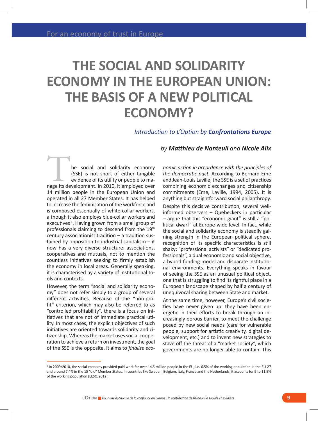## **THE SOCIAL AND SOLIDARITY ECONOMY IN THE EUROPEAN UNION: THE BASIS OF A NEW POLITICAL ECONOMY?**

### *Introduction to L'Option by Confrontations Europe*

he social and solidarity economy<br>
(SSE) is not short of either tangible<br>
evidence of its utility or people to ma-<br>
nage its development. In 2010, it employed over (SSE) is not short of either tangible evidence of its utility or people to ma-14 million people in the European Union and operated in all 27 Member States. It has helped to increase the feminisation of the workforce and is composed essentially of white-collar workers, although it also employs blue-collar workers and executives<sup>1</sup>. Having grown from a small group of professionals claiming to descend from the 19<sup>th</sup> century associationist tradition – a tradition sustained by opposition to industrial capitalism – it now has a very diverse structure: associations, cooperatives and mutuals, not to mention the countless initiatives seeking to firmly establish the economy in local areas. Generally speaking, it is characterised by a variety of institutional tools and contexts.

However, the term "social and solidarity economy" does not refer simply to a group of several different activities. Because of the "non-profit" criterion, which may also be referred to as "controlled profitability", there is a focus on initiatives that are not of immediate practical utility. In most cases, the explicit objectives of such initiatives are oriented towards solidarity and citizenship. Whereas the market uses social cooperation to achieve a return on investment, the goal of the SSE is the opposite. It aims to *finalise eco-*

### *by Matthieu de Nanteuil and Nicole Alix*

*nomic action in accordance with the principles of the democratic pact.* According to Bernard Eme and Jean-Louis Laville, the SSE is a set of practices combining economic exchanges and citizenship commitments (Eme, Laville, 1994, 2005). It is anything but straightforward social philanthropy.

Despite this decisive contribution, several wellinformed observers – Quebeckers in particular – argue that this "economic giant" is still a "political dwarf" at Europe-wide level. In fact, while the social and solidarity economy is steadily gaining strength in the European political sphere, recognition of its specific characteristics is still shaky: "professional activists" or "dedicated professionals", a dual economic and social objective, a hybrid funding model and disparate institutional environments. Everything speaks in favour of seeing the SSE as an unusual political object, one that is struggling to find its rightful place in a European landscape shaped by half a century of unequivocal sharing between State and market.

At the same time, however, Europe's civil societies have never given up: they have been energetic in their efforts to break through an increasingly porous barrier, to meet the challenge posed by new social needs (care for vulnerable people, support for artistic creativity, digital development, etc.) and to invent new strategies to stave off the threat of a "market society", which governments are no longer able to contain. This

<sup>&</sup>lt;sup>1</sup> In 2009/2010, the social economy provided paid work for over 14.5 million people in the EU, i.e. 6.5% of the working population in the EU-27 and around 7.4% in the 15 "old" Member States. In countries like Sweden, Belgium, Italy, France and the Netherlands, it accounts for 9 to 11.5% of the working population (EESC, 2012).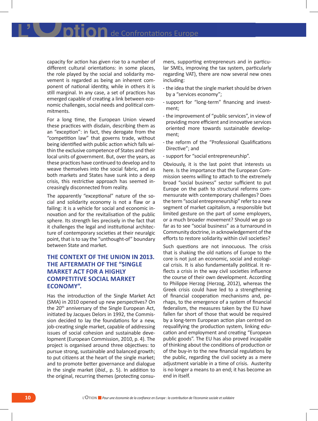IIOn de Confrontations Europe

capacity for action has given rise to a number of different cultural orientations: in some places, the role played by the social and solidarity movement is regarded as being an inherent component of national identity, while in others it is still marginal. In any case, a set of practices has emerged capable of creating a link between economic challenges, social needs and political commitments.

For a long time, the European Union viewed these practices with disdain, describing them as an "exception": in fact, they derogate from the "competition law" that governs trade, without being identified with public action which falls within the exclusive competence of States and their local units of government. But, over the years, as these practices have continued to develop and to weave themselves into the social fabric, and as both markets and States have sunk into a deep crisis, this restrictive approach has seemed increasingly disconnected from reality.

The apparently "exceptional" nature of the social and solidarity economy is not a flaw or a failing: it is a vehicle for social and economic innovation and for the revitalisation of the public sphere. Its strength lies precisely in the fact that it challenges the legal and institutional architecture of contemporary societies at their neuralgic point, that is to say the "unthought-of" boundary between State and market.

### **THE CONTEXT OF THE UNION IN 2013. THE AFTERMATH OF THE "SINGLE MARKET ACT FOR A HIGHLY COMPETITIVE SOCIAL MARKET ECONOMY".**

Has the introduction of the Single Market Act (SMA) in 2010 opened up new perspectives? On the 20<sup>th</sup> anniversary of the Single European Act, initiated by Jacques Delors in 1992, the Commission decided to lay the foundations for a new, job-creating single market, capable of addressing issues of social cohesion and sustainable development (European Commission, 2010, p. 4). The project is organised around three objectives: to pursue strong, sustainable and balanced growth; to put citizens at the heart of the single market; and to promote better governance and dialogue in the single market (*ibid*., p. 5). In addition to the original, recurring themes (protecting consu-

mers, supporting entrepreneurs and in particular SMEs, improving the tax system, particularly regarding VAT), there are now several new ones including:

- - the idea that the single market should be driven by a "services economy";
- - support for "long-term" financing and investment;
- - the improvement of "public services", in view of providing more efficient and innovative services oriented more towards sustainable development;
- - the reform of the "Professional Qualifications Directive"; and
- - support for "social entrepreneurship".

Obviously, it is the last point that interests us here. Is the importance that the European Commission seems willing to attach to the extremely broad "social business" sector sufficient to put Europe on the path to structural reforms commensurate with contemporary challenges? Does the term "social entrepreneurship" refer to a new segment of market capitalism, a responsible but limited gesture on the part of some employers, or a much broader movement? Should we go so far as to see "social business" as a turnaround in Community doctrine, in acknowledgement of the efforts to restore solidarity within civil societies?

Such questions are not innocuous. The crisis that is shaking the old nations of Europe to the core is not just an economic, social and ecological crisis. It is also fundamentally political. It reflects a crisis in the way civil societies influence the course of their own development. According to Philippe Herzog (Herzog, 2012), whereas the Greek crisis could have led to a strengthening of financial cooperation mechanisms and, perhaps, to the emergence of a system of financial federalism, the measures taken by the EU have fallen far short of those that would be required by a long-term European action plan centred on requalifying the production system, linking education and employment and creating "European public goods". The EU has also proved incapable of thinking about the conditions of production or of the buy-in to the new financial regulations by the public, regarding the civil society as a mere adjustment variable in a time of crisis. Austerity is no longer a means to an end; it has become an end in itself.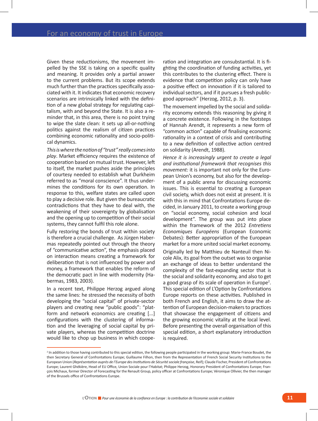Given these reductionisms, the movement impelled by the SSE is taking on a specific quality and meaning. It provides only a partial answer to the current problems. But its scope extends much further than the practices specifically associated with it. It indicates that economic recovery scenarios are intrinsically linked with the definition of a new global strategy for regulating capitalism, with and beyond the State. It is also a reminder that, in this area, there is no point trying to wipe the slate clean: it sets up all-or-nothing politics against the realism of citizen practices combining economic rationality and socio-political dynamics.

*This is where the notion of "trust" really comes into play*. Market efficiency requires the existence of cooperation based on mutual trust. However, left to itself, the market pushes aside the principles of courtesy needed to establish what Durkheim referred to as "moral conscience". It thus undermines the conditions for its own operation. In response to this, welfare states are called upon to play a decisive role. But given the bureaucratic contradictions that they have to deal with, the weakening of their sovereignty by globalisation and the opening up to competition of their social systems, they cannot fulfil this role alone.

Fully restoring the bonds of trust within society is therefore a crucial challenge. As Jürgen Habermas repeatedly pointed out through the theory of "communicative action", the emphasis placed on interaction means creating a framework for deliberation that is not influenced by power and money, a framework that enables the reform of the democratic pact in line with modernity (Habermas, 1983, 2003).

In a recent text, Philippe Herzog argued along the same lines: he stressed the necessity of both developing the "social capital" of private-sector players and creating new "public goods": "platform and network economics are creating [...] configurations with the clustering of information and the leveraging of social capital by private players, whereas the competition doctrine would like to chop up business in which coope-

ration and integration are consubstantial. It is fighting the coordination of funding activities, yet this contributes to the clustering effect. There is evidence that competition policy can only have a positive effect on innovation if it is tailored to individual sectors, and if it pursues a fresh publicgood approach" (Herzog, 2012, p. 3).

The movement impelled by the social and solidarity economy extends this reasoning by giving it a concrete existence. Following in the footsteps of Hannah Arendt, it represents a new form of "common action" capable of finalising economic rationality in a context of crisis and contributing to a new definition of collective action centred on solidarity (Arendt, 1988).

*Hence it is increasingly urgent to create a legal and institutional framework that recognises this movement:* it is important not only for the European Union's economy, but also for the development of a public arena for discussing economic issues. This is essential to creating a European civil society, which does not exist at present. It is with this in mind that Confrontations Europe decided, in January 2011, to create a working group on "social economy, social cohesion and local development". The group was put into place within the framework of the 2012 *Entretiens Economiques Européens* (European Economic Debates): Better appropriation of the European market for a more united social market economy.

Originally led by Matthieu de Nanteuil then Nicole Alix, its goal from the outset was to organise an exchange of ideas to better understand the complexity of the fast-expanding sector that is the social and solidarity economy, and also to get a good grasp of its scale of operation in Europe<sup>2</sup>. This special edition of L'Option by Confrontations Europe reports on these activities. Published in both French and English, it aims to draw the attention of European decision-makers to practices that showcase the engagement of citizens and the growing economic vitality at the local level. Before presenting the overall organisation of this special edition, a short explanatory introduction is required.

<sup>&</sup>lt;sup>2</sup> In addition to those having contributed to this special edition, the following people participated in the working group: Marie-France Boudet, the then Secretary General of Confrontations Europe; Guillaume Filhon, then from the Representation of French Social Security Institutions to the European Union (*Représentation auprès de l'Europe des Institutions de Sécurité sociale française*, Reif); Claude Fischer, President of Confrontations Europe; Laurent Ghékière, Head of EU Office, Union Sociale pour l'Habitat; Philippe Herzog, Honorary President of Confrontations Europe; François Michaux, former Director of Forecasting for the Renault Group, policy officer at Confrontations Europe; Véronique Ollivier, the then manager of the Brussels office of Confrontations Europe.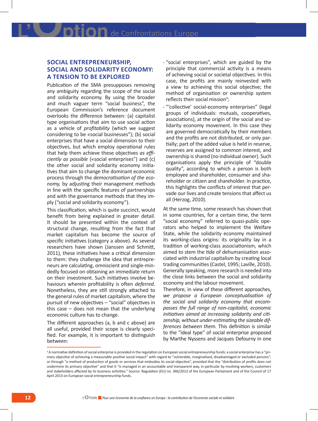### **SOCIAL ENTREPRENEURSHIP, SOCIAL AND SOLIDARITY ECONOMY: A TENSION TO BE EXPLORED**

Publication of the SMA presupposes removing any ambiguity regarding the scope of the social and solidarity economy. By using the broader and much vaguer term "social business", the European Commission's reference document overlooks the difference between: (a) capitalist type organisations that aim to use social action as a vehicle of *profitability* (which we suggest considering to be «social businesses"); (b) social enterprises that have a social dimension to their objectives, but which employ operational rules that help them achieve these objectives *as efficiently as possible* («social enterprises") and (c) the other social and solidarity economy initiatives that aim to change the dominant economic process through the *democratisation of the economy,* by adjusting their management methods in line with the specific features of partnerships and with the governance methods that they imply ("social and solidarity economy").

This classification, which is quite succinct, would benefit from being explained in greater detail. It should be presented within the context of structural change, resulting from the fact that market capitalism has become the source of specific initiatives (category a above). As several researchers have shown (Janssen and Schmitt, 2011), these initiatives have a critical dimension to them: they challenge the idea that entrepreneurs are calculating, omniscient and single-mindedly focused on obtaining an immediate return on their investment. Such initiatives involve behaviours wherein profitability is often *deferred*. Nonetheless, they are still strongly attached to the general rules of market capitalism, where the pursuit of new objectives – "social" objectives in this case – does not mean that the underlying economic culture has to change.

The different approaches (a, b and c above) are all useful, provided their scope is clearly specified. For example, it is important to distinguish between:

- - "social enterprises", which are guided by the principle that commercial activity is a means of achieving social or societal objectives. In this case, the profits are mainly reinvested with a view to achieving this social objective; the method of organisation or ownership system reflects their social mission<sup>3</sup>;
- - "'collective' social-economy enterprises" (legal groups of individuals: mutuals, cooperatives, associations), at the origin of the social and solidarity economy movement. In this case they are governed democratically by their members and the profits are not distributed, or only partially; part of the added value is held in reserve, reserves are assigned to common interest, and ownership is shared (no individual owner). Such organisations apply the principle of "double quality", according to which a person is both employee and shareholder, consumer and shareholder or citizen and shareholder. In practice, this highlights the conflicts of interest that pervade our lives and create tensions that affect us all (Herzog, 2010).

At the same time, some research has shown that in some countries, for a certain time, the term "social economy" referred to quasi-public operators who helped to implement the Welfare State, while the solidarity economy maintained its working-class origins: its originality lay in a tradition of working-class associationism, which aimed to stem the tide of dehumanisation associated with industrial capitalism by creating local trading communities (Castel, 1995; Laville, 2010). Generally speaking, more research is needed into the close links between the social and solidarity economy and the labour movement.

Therefore, in view of these different approaches, *we propose a European conceptualisation of the social and solidarity economy that encompasses the full range of non-capitalist, economic initiatives aimed at increasing solidarity and citizenship, without under-estimating the sizeable differences between them.* This definition is similar to the "ideal type" of social enterprise proposed by Marthe Nyssens and Jacques Defourny in one

<sup>&</sup>lt;sup>3</sup> A normative definition of social enterprise is provided in the regulation on European social entrepreneurship funds: a social enterprise has a "primary objective of achieving a measurable positive social impact" with regard to "vulnerable, marginalised, disadvantaged or excluded persons", or through "a method of production of goods or services that embodies its social objective", provided that the "distribution of profits does not undermine its primary objective" and that it "is managed in an accountable and transparent way, in particular by involving workers, customers and stakeholders affected by its business activities." Source: Regulation (EU) no. 346/2013 of the European Parliament and of the Council of 17 April 2013 on European social entrepreneurship funds.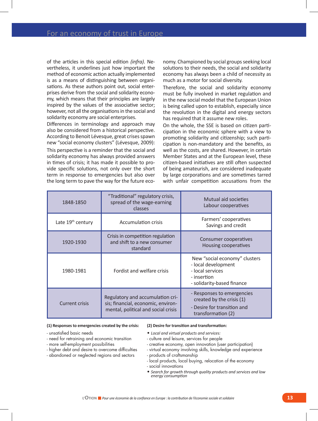of the articles in this special edition *(infra)*. Nevertheless, it underlines just how important the method of economic action actually implemented is as a means of distinguishing between organisations. As these authors point out, social enterprises derive from the social and solidarity economy, which means that their principles are largely inspired by the values of the associative sector; however, not all the organisations in the social and solidarity economy are social enterprises.

Differences in terminology and approach may also be considered from a historical perspective. According to Benoit Lévesque, great crises spawn new "social economy clusters" (Lévesque, 2009):

This perspective is a reminder that the social and solidarity economy has always provided answers in times of crisis; it has made it possible to provide specific solutions, not only over the short term in response to emergencies but also over the long term to pave the way for the future economy. Championed by social groups seeking local solutions to their needs, the social and solidarity economy has always been a child of necessity as much as a motor for social diversity.

Therefore, the social and solidarity economy must be fully involved in market regulation and in the new social model that the European Union is being called upon to establish, especially since the revolution in the digital and energy sectors has required that it assume new roles.

On the whole, the SSE is based on citizen participation in the economic sphere with a view to promoting solidarity and citizenship; such participation is non-mandatory and the benefits, as well as the costs, are shared. However, in certain Member States and at the European level, these citizen-based initiatives are still often suspected of being amateurish, are considered inadequate by large corporations and are sometimes tarred with unfair competition accusations from the

| 1848-1850                     | "Traditional" regulatory crisis,<br>spread of the wage-earning<br>classes                                     | Mutual aid societies<br>Labour cooperatives                                                                           |
|-------------------------------|---------------------------------------------------------------------------------------------------------------|-----------------------------------------------------------------------------------------------------------------------|
| Late 19 <sup>th</sup> century | Accumulation crisis                                                                                           | Farmers' cooperatives<br>Savings and credit                                                                           |
| 1920-1930                     | Crisis in competition regulation<br>and shift to a new consumer<br>standard                                   | Consumer cooperatives<br>Housing cooperatives                                                                         |
| 1980-1981                     | Fordist and welfare crisis                                                                                    | New "social economy" clusters<br>- local development<br>- local services<br>- insertion<br>- solidarity-based finance |
| <b>Current crisis</b>         | Regulatory and accumulation cri-<br>sis; financial, economic, environ-<br>mental, political and social crisis | - Responses to emergencies<br>created by the crisis (1)<br>- Desire for transition and<br>transformation (2)          |

#### **(1) Responses to emergencies created by the crisis:**

- - unsatisfied basic needs
- - need for retraining and economic transition
- - more self-employment possibilities
- - higher debt and desire to overcome difficulties
- - abandoned or neglected regions and sectors

### **(2) Desire for transition and transformation:**

- • *Local and virtual products and services:*
- - culture and leisure, services for people
- - creative economy, open innovation (user participation)
- - virtual economy involving skills, knowledge and experience - products of craftsmanship
- 
- - local products, local buying, relocation of the economy
- - social innovations
- • *Search for growth through quality products and services and low energy consumption*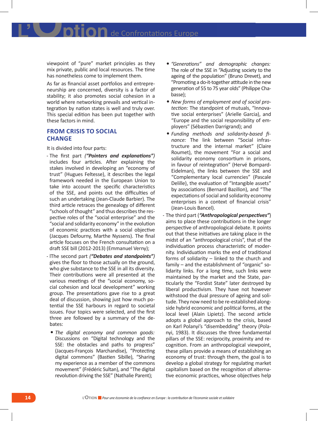viewpoint of "pure" market principles as they mix private, public and local resources. The time has nonetheless come to implement them.

As far as financial asset portfolios and entrepreneurship are concerned, diversity is a factor of stability; it also promotes social cohesion in a world where networking prevails and vertical integration by nation states is well and truly over. This special edition has been put together with these factors in mind.

### **FROM CRISIS TO SOCIAL CHANGE**

It is divided into four parts:

- - The first part *("Pointers and explanations")*  includes four articles. After explaining the stakes involved in developing an "economy of trust" (Hugues Feltesse), it describes the legal framework needed in the European Union to take into account the specific characteristics of the SSE, and points out the difficulties of such an undertaking (Jean-Claude Barbier). The third article retraces the genealogy of different "schools of thought" and thus describes the respective roles of the "social enterprise" and the "social and solidarity economy" in the evolution of economic practices with a social objective (Jacques Defourny, Marthe Nyssens). The final article focuses on the French consultation on a draft SSE bill (2012-2013) (Emmanuel Verny);
- - lThe second part *("Debates and standpoints")*  gives the floor to those actually on the ground, who give substance to the SSE in all its diversity. Their contributions were all presented at the various meetings of the "social economy, social cohesion and local development" working group. The presentations gave rise to a great deal of discussion, showing just how much potential the SSE harbours in regard to societal issues. Four topics were selected, and the first three are followed by a summary of the debates:
	- • *The digital economy and common goods:* Discussions on "Digital technology and the SSE: the obstacles and paths to progress" (Jacques-François Marchandise), "Protecting digital commons" (Bastien Sibille), "Sharing my experience as a member of the commons movement" (Frédéric Sultan), and "The digital revolution driving the SSE" (Nathalie Parent);
- • *"Generations" and demographic changes:* The role of the SSE in "Adjusting society to the ageing of the population" (Bruno Drevet), and "Promoting a do-it-together attitude in the new generation of 55 to 75 year olds" (Philippe Chabasse);
- • *New forms of employment and of social protection:* The standpoint of mutuals, "Innovative social enterprises" (Arielle Garcia), and "Europe and the social responsibility of employers" (Sébastien Darrigrand); and
- • *Funding methods and solidarity-based finance:* The link between "Social infrastructure and the internal market" (Claire Roumet), the movement "For a social and solidarity economy consortium in prisons, in favour of reintegration" (Hervé Bompard-Eidelman), the links between the SSE and "Complementary local currencies" (Pascale Delille), the evaluation of "Intangible assets" by associations (Bernard Bazillon), and "The expectations of social and solidarity economy enterprises in a context of financial crisis" (Jean-Louis Bancel).
- - The third part (*"Anthropological perspectives"*) aims to place these contributions in the longer perspective of anthropological debate. It points out that these initiatives are taking place in the midst of an "anthropological crisis", that of the individuation process characteristic of modernity. Individuation marks the end of traditional forms of solidarity – linked to the church and family – and the establishment of "organic" solidarity links. For a long time, such links were maintained by the market and the State, particularly the "Fordist State" later destroyed by liberal productivism. They have not however withstood the dual pressure of ageing and solitude. They now need to be re-established alongside hybrid economic and political forms, at the local level (Alain Lipietz). The second article adopts a global approach to the crisis, based on Karl Polanyi's "disembedding" theory (Polanyi, 1983). It discusses the three fundamental pillars of the SSE: reciprocity, proximity and recognition. From an anthropological viewpoint, these pillars provide a means of establishing an economy of trust: through them, the goal is to develop a global strategy for regulating market capitalism based on the recognition of alternative economic practices, whose objectives help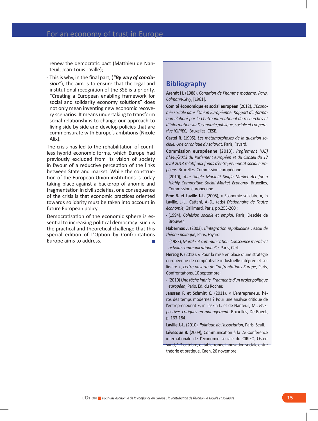renew the democratic pact (Matthieu de Nanteuil, Jean-Louis Laville);

- This is why, in the final part, (*"By way of conclusion"*), the aim is to ensure that the legal and institutional recognition of the SSE is a priority. "Creating a European enabling framework for social and solidarity economy solutions" does not only mean inventing new economic recovery scenarios. It means undertaking to transform social relationships to change our approach to living side by side and develop policies that are commensurate with Europe's ambitions (Nicole Alix).

The crisis has led to the rehabilitation of countless hybrid economic forms, which Europe had previously excluded from its vision of society in favour of a reductive perception of the links between State and market. While the construction of the European Union institutions is today taking place against a backdrop of anomie and fragmentation in civil societies, one consequence of the crisis is that economic practices oriented towards solidarity must be taken into account in future European policy.

Democratisation of the economic sphere is essential to increasing political democracy: such is the practical and theoretical challenge that this special edition of L'Option by Confrontations Europe aims to address.

### **Bibliography**

**Arendt H.** (1988), *Condition de l'homme moderne, Paris, Calmann-Lévy*, [1961].

**Comité économique et social européen** (2012), *L'Economie sociale dans l'Union Européenne. Rapport d'information élaboré par le Centre international de recherches et d'information sur l'économie publique, sociale et coopérative (CIRIEC)*, Bruxelles, CESE.

**Castel R.** (1995), *Les métamorphoses de la question sociale. Une chronique du salariat*, Paris, Fayard.

**Commission européenne** (2013), *Règlement (UE) n°346/2013 du Parlement européen et du Conseil du 17 avril 2013 relatif aux fonds d'entrepreneuriat social européens*, Bruxelles, Commission européenne.

- (2010), *Your Single Market? Single Market Act for a Highly Competitive Social Market Economy,* Bruxelles, Commission européenne.

**Eme B. et Laville J.-L.** (2005), « Economie solidaire », in Laville, J.-L., Cattani, A.-D., (eds) *Dictionnaire de l'autre économie*, Gallimard, Paris, pp.253-260 ;

- (1994), *Cohésion sociale et emploi*, Paris, Desclée de Brouwer.

**Habermas J.** (2003), *L'intégration républicaine : essai de théorie politique*, Paris, Fayard.

-  (1983), *Morale et communication. Conscience morale et activité communicationnelle*, Paris, Cerf.

**Herzog P.** (2012), « Pour la mise en place d'une stratégie européenne de compétitivité industrielle intégrée et solidaire », *Lettre ouverte de Confrontations Europe*, Paris, Confrontations, 10 septembre ;

- (2010) *Une tâche infinie. Fragments d'un projet politique européen*, Paris, Ed. du Rocher.

**Janssen F. et Schmitt C.** (2011), « L'entrepreneur, héros des temps modernes ? Pour une analyse critique de l'entrepreneuriat », in Taskin L. et de Nanteuil, M., *Perspectives critiques en management*, Bruxelles, De Boeck, p. 163-184.

**Laville J.-L.** (2010), *Politique de l'association*, Paris, Seuil.

**Lévesque B.** (2009), Communication à la 2e Conférence internationale de l'économie sociale du CIRIEC, Ostersund, 1-2 octobre, et table-ronde Innovation sociale entre théorie et pratique, Caen, 26 novembre.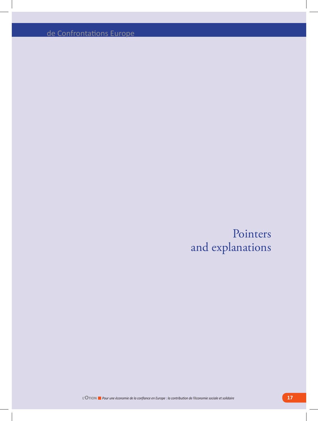de Confrontations Europe

Pointers and explanations

**L'OTION** *Pour une économie de la confiance en Europe : la contribution de l'économie sociale et solidaire* **17**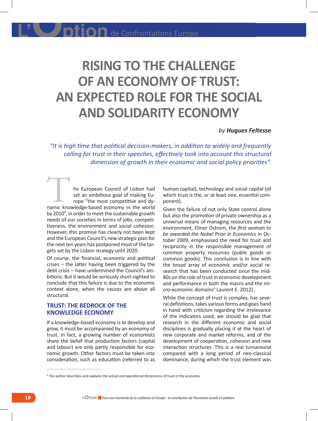# **RISING TO THE CHALLENGE OF AN ECONOMY OF TRUST: AN EXPECTED ROLE FOR THE SOCIAL AND SOLIDARITY ECONOMY**

### *by Hugues Feltesse*

*"It is high time that political decision-makers, in addition to widely and frequently calling for trust in their speeches, effectively took into account this structural dimension of growth in their economic and social policy priorities".* 

he European Council of Lisbon had set an ambitious goal of making Europe "the most competitive and dyhe European Council of Lisbon had<br>set an ambitious goal of making Europe "the most competitive and dy-<br>namic knowledge-based economy in the world by 2010", in order to meet the sustainable growth needs of our societies in terms of jobs, competitiveness, the environment and social cohesion. However, this promise has clearly not been kept and the European Council's new strategic plan for the next ten years has postponed most of the targets set by the Lisbon strategy until 2020.

Of course, the financial, economic and political crises – the latter having been triggered by the debt crisis – have undermined the Council's ambitions. But it would be seriously short-sighted to conclude that this failure is due to the economic context alone, when the causes are above all structural.

### **TRUST: THE BEDROCK OF THE KNOWLEDGE ECONOMY**

If a knowledge-based economy is to develop and grow, it must be accompanied by an economy of trust. In fact, a growing number of economists share the belief that production factors (capital and labour) are only partly responsible for economic growth. Other factors must be taken into consideration, such as education (referred to as human capital), technology and social capital (of which trust is the, or at least one, essential component).

Given the failure of not only State control alone but also the promotion of private ownership as a universal means of managing resources and the environment, Elinor Ostrom, the *first woman to be awarded the Nobel Prize in Economics* in October 2009, emphasised the need for trust and reciprocity in the responsible management of common property resources (public goods or common goods). This conclusion is in line with the broad array of economic and/or social research that has been conducted since the mid-80s on the role of trust in economic development and performance in both the macro and the micro-economic domains<sup>4</sup> Laurent E. 2012).

While the concept of trust is complex, has several definitions, takes various forms and goes hand in hand with criticism regarding the irrelevance of the indicators used, we should be glad that research in the different economic and social disciplines is gradually placing it at the heart of new corporate and market reforms, and of the development of cooperation, cohesion and new interaction structures. This is a real turnaround compared with a long period of neo-classical dominance, during which the trust element was

<sup>4</sup> The author describes and explains the actual and operational dimensions of trust in the economy.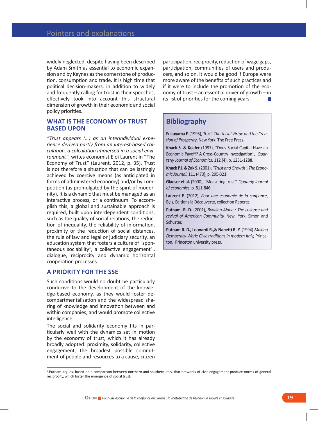widely neglected, despite having been described by Adam Smith as essential to economic expansion and by Keynes as the cornerstone of production, consumption and trade. It is high time that political decision-makers, in addition to widely and frequently calling for trust in their speeches, effectively took into account this structural dimension of growth in their economic and social policy priorities.

### WHAT IS THE ECONOMY OF TRUST **BASED UPON**

*"Trust appears (…) as an interindividual experience derived partly from an interest-based calculation, a calculation immersed in a social environment"*, writes economist Eloi Laurent in "The Economy of Trust" (Laurent, 2012, p. 35). Trust is not therefore a situation that can be lastingly achieved by coercive means (as anticipated in forms of administered economy) and/or by competition (as promulgated by the spirit of modernity). It is a dynamic that must be managed as an interactive process, or a continuum. To accomplish this, a global and sustainable approach is required, built upon interdependent conditions, such as the quality of social relations, the reduction of inequality, the reliability of information, proximity or the reduction of social distances, the rule of law and legal or judiciary security, an education system that fosters a culture of "spontaneous sociability", a collective engagement<sup>5</sup>, dialogue, reciprocity and dynamic horizontal cooperation processes.

### **A PRIORITY FOR THE SSE**

Such conditions would no doubt be particularly conducive to the development of the knowledge-based economy, as they would foster decompartmentalisation and the widespread sharing of knowledge and innovation between and within companies, and would promote collective intelligence.

The social and solidarity economy fits in particularly well with the dynamics set in motion by the economy of trust, which it has already broadly adopted: proximity, solidarity, collective engagement, the broadest possible commitment of people and resources to a cause, citizen

participation, reciprocity, reduction of wage gaps, participation, communities of users and producers, and so on. It would be good if Europe were more aware of the benefits of such practices and if it were to include the promotion of the economy of trust – an essential driver of growth – in its list of priorities for the coming years.

### **Bibliography**

**Fukuyama F.** (1995), *Trust. The Social Virtue and the Creation of Prosperity*, New York, The Free Press.

**Knack S. & Keefer** (1997), "Does Social Capital Have an Economic Payoff? A Cross-Country Investigation'', *Quarterly Journal of Economics,* 112 (4), p. 1251-1288.

**Knack P.J. & Zak S.** (2001), *"Trust and Growth'', The Economic Journal,* 111 (470), p. 295-321

**Glaeser et al.** (2000), "Measuring trust'', *Quaterly Journal of economics*, p. 811-846.

**Laurent E**. (2012), *Pour une économie de la confiance*, Byis, Editions la Découverte, collection Repères.

**Putnam. R. D.** (2001), *Bowling Alone : The collapse and revival of American Community,* New York, Simon and Schuster.

**Putnam R. D., Leonardi R.,& Nanetti R. Y.** (1994) *Making Democracy Work: Civic traditions in modern Italy,* Princeton, Princeton university press.

<sup>&</sup>lt;sup>5</sup> Putnam argues, based on a comparison between northern and southern Italy, that networks of civic engagement produce norms of general reciprocity, which foster the emergence of social trust.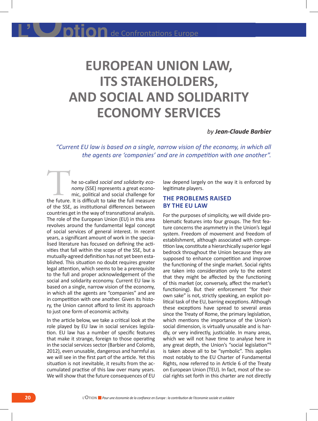# **EUROPEAN UNION LAW, ITS STAKEHOLDERS, AND SOCIAL AND SOLIDARITY ECONOMY SERVICES**

### *by Jean-Claude Barbier*

*"Current EU law is based on a single, narrow vision of the economy, in which all the agents are 'companies' and are in competition with one another".*

he so-called *social and solidarity economy* (SSE) represents a great economic, political and social challenge for the so-called *social and solidarity economy* (SSE) represents a great economic, political and social challenge for the future. It is difficult to take the full measure of the SSE, as institutional differences between countries get in the way of transnational analysis. The role of the European Union (EU) in this area revolves around the fundamental legal concept of social services of general interest. In recent years, a significant amount of work in the specialised literature has focused on defining the activities that fall within the scope of the SSE, but a mutually-agreed definition has not yet been established. This situation no doubt requires greater legal attention, which seems to be a prerequisite to the full and proper acknowledgement of the social and solidarity economy. Current EU law is based on a single, narrow vision of the economy, in which all the agents are "companies" and are in competition with one another. Given its history, the Union cannot afford to limit its approach to just one form of economic activity.

In the article below, we take a critical look at the role played by EU law in social services legislation. EU law has a number of specific features that make it strange, foreign to those operating in the social services sector (Barbier and Colomb, 2012), even unusable, dangerous and harmful as we will see in the first part of the article. Yet this situation is not inevitable, it results from the accumulated practise of this law over many years. We will show that the future consequences of EU

law depend largely on the way it is enforced by legitimate players.

### **THE PROBLEMS RAISED BY THE EU LAW**

For the purposes of simplicity, we will divide problematic features into four groups. The first feature concerns the asymmetry in the Union's legal system. Freedom of movement and freedom of establishment, although associated with competition law, constitute a hierarchically superior legal bedrock throughout the Union because they are supposed to enhance competition and improve the functioning of the single market. Social rights are taken into consideration only to the extent that they might be affected by the functioning of this market (or, conversely, affect the market's functioning). But their enforcement "for their own sake" is not, strictly speaking, an explicit political task of the EU, barring exceptions. Although these exceptions have spread to several areas since the Treaty of Rome, the primary legislation, which mentions the importance of the Union's social dimension, is virtually unusable and is hardly, or very indirectly, justiciable. In many areas, which we will not have time to analyse here in any great depth, the Union's "social legislation"<sup>6</sup> is taken above all to be "symbolic". This applies most notably to the EU Charter of Fundamental Rights, now referred to in Article 6 of the Treaty on European Union (TEU). In fact, most of the social rights set forth in this charter are not directly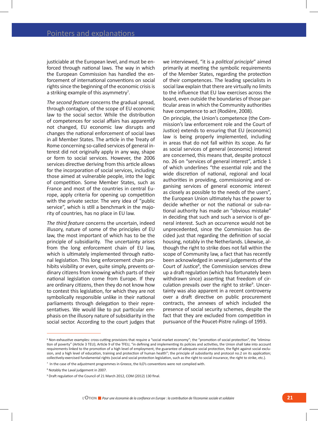justiciable at the European level, and must be enforced through national laws. The way in which the European Commission has handled the enforcement of international conventions on social rights since the beginning of the economic crisis is a striking example of this asymmetry<sup>7</sup>.

*The second feature* concerns the gradual spread, through contagion, of the scope of EU economic law to the social sector. While the distribution of competences for social affairs has apparently not changed, EU economic law disrupts and changes the national enforcement of social laws in all Member States. The article in the Treaty of Rome concerning so-called services of general interest did not originally apply in any way, shape or form to social services. However, the 2006 services directive deriving from this article allows for the incorporation of social services, including those aimed at vulnerable people, into the logic of competition. Some Member States, such as France and most of the countries in central Europe, apply criteria for opening up competition with the private sector. The very idea of "public service", which is still a benchmark in the majority of countries, has no place in EU law.

*The third feature* concerns the uncertain, indeed illusory, nature of some of the principles of EU law, the most important of which has to be the principle of subsidiarity. The uncertainty arises from the long enforcement chain of EU law, which is ultimately implemented through national legislation. This long enforcement chain prohibits visibility or even, quite simply, prevents ordinary citizens from knowing which parts of their national legislation come from Europe. If they are ordinary citizens, then they do not know how to contest this legislation, for which they are not symbolically responsible unlike in their national parliaments through delegation to their representatives. We would like to put particular emphasis on the illusory nature of subsidiarity in the social sector. According to the court judges that we interviewed, "it is a *political principle*" aimed primarily at meeting the symbolic requirements of the Member States, regarding the protection of their competences. The leading specialists in social law explain that there are virtually no limits to the influence that EU law exercises across the board, even outside the boundaries of those particular areas in which the Community authorities have competence to act (Rodière, 2008).

On principle, the Union's competence (the Commission's law enforcement role and the Court of Justice) extends to ensuring that EU (economic) law is being properly implemented, including in areas that do not fall within its scope. As far as social services of general (economic) interest are concerned, this means that, despite protocol no. 26 on "services of general interest", article 1 of which underlines "the essential role and the wide discretion of national, regional and local authorities in providing, commissioning and organising services of general economic interest as closely as possible to the needs of the users", the European Union ultimately has the power to decide whether or not the national or sub-national authority has made an "obvious mistake" in deciding that such and such a service is of general interest. Such an occurrence would not be unprecedented, since the Commission has decided just that regarding the definition of social housing, notably in the Netherlands. Likewise, although the right to strike does not fall within the scope of Community law, a fact that has recently been acknowledged in several judgements of the Court of Justice<sup>8</sup>, the Commission services drew up a draft regulation (which has fortunately been withdrawn since) asserting that freedom of circulation prevails over the right to strike<sup>9</sup>. Uncertainty was also apparent in a recent controversy over a draft directive on public procurement contracts, the annexes of which included the presence of social security schemes, despite the fact that they are excluded from competition in pursuance of the Poucet-Pistre rulings of 1993.

<sup>&</sup>lt;sup>6</sup> Non-exhaustive examples: cross-cutting provisions that require a "social market economy"; the "promotion of social protection", the "elimination of poverty" (Article 3 TEU); Article 9 of the TFEU, "in defining and implementing its policies and activities, the Union shall take into account requirements linked to the promotion of a high level of employment, the guarantee of adequate social protection, the fight against social exclusion, and a high level of education, training and protection of human health"; the principle of subsidiarity and protocol no.2 on its application; collectively-exercised fundamental rights (social and social protection legislation, such as the right to social insurance, the right to strike, etc.).

<sup>&</sup>lt;sup>7</sup> In the case of the adjustment programmes in Greece, the ILO's conventions were not complied with.

<sup>8</sup> Notably the Laval judgement in 2007.

<sup>&</sup>lt;sup>9</sup> Draft regulation of the Council of 21 March 2012, COM (2012) 130 final.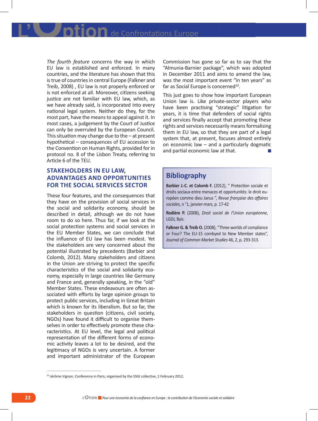*The fourth feature* concerns the way in which EU law is established and enforced. In many countries, and the literature has shown that this is true of countries in central Europe (Falkner and Treib, 2008) , EU law is not properly enforced or is not enforced at all. Moreover, citizens seeking justice are not familiar with EU law, which, as we have already said, is incorporated into every national legal system. Neither do they, for the most part, have the means to appeal against it. In most cases, a judgement by the Court of Justice can only be overruled by the European Council. This situation may change due to the  $-$  at present hypothetical – consequences of EU accession to the Convention on Human Rights, provided for in protocol no. 8 of the Lisbon Treaty, referring to Article 6 of the TEU.

### **STAKEHOLDERS IN EU LAW, ADVANTAGES AND OPPORTUNITIES FOR THE SOCIAL SERVICES SECTOR**

These four features, and the consequences that they have on the provision of social services in the social and solidarity economy, should be described in detail, although we do not have room to do so here. Thus far, if we look at the social protection systems and social services in the EU Member States, we can conclude that the influence of EU law has been modest. Yet the stakeholders are very concerned about the potential illustrated by precedents (Barbier and Colomb, 2012). Many stakeholders and citizens in the Union are striving to protect the specific characteristics of the social and solidarity economy, especially in large countries like Germany and France and, generally speaking, in the "old" Member States. These endeavours are often associated with efforts by large opinion groups to protect public services, including in Great Britain which is known for its liberalism. But so far, the stakeholders in question (citizens, civil society, NGOs) have found it difficult to organise themselves in order to effectively promote these characteristics. At EU level, the legal and political representation of the different forms of economic activity leaves a lot to be desired, and the legitimacy of NGOs is very uncertain. A former and important administrator of the European

Commission has gone so far as to say that the "Almunia-Barnier package", which was adopted in December 2011 and aims to amend the law, was the most important event "in ten years" as far as Social Europe is concerned<sup>10</sup>.

This just goes to show how important European Union law is. Like private-sector players who have been practising "strategic" litigation for years, it is time that defenders of social rights and services finally accept that promoting these rights and services necessarily means formalising them in EU law, so that they are part of a legal system that, at present, focuses almost entirely on economic law – and a particularly dogmatic and partial economic law at that.

### **Bibliography**

**Barbier J.-C. et Colomb F.** (2012), " Protection sociale et droits sociaux entre menaces et opportunités: le droit européen comme dieu Janus ", *Revue française des affaires sociales*, n °1, janvier-mars, p. 17-42

**Rodière P.** (2008), *Droit social de l'Union européenne*, LGDJ, Byis.

**Falkner G. & Treib O.** (2008), "Three worlds of compliance or Four? The EU-15 combyed to New Member states", *Journal of Common Market Studies* 46, 2, p. 293-313.

<sup>&</sup>lt;sup>10</sup> Jérôme Vignon, Conference in Paris, organised by the SSGI collective, 2 February 2012.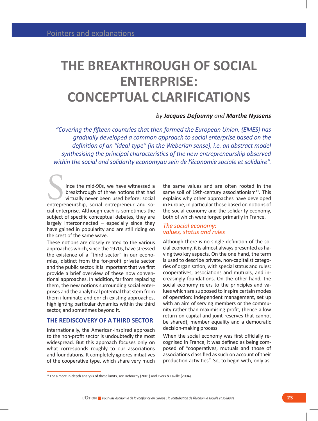### **THE BREAKTHROUGH OF SOCIAL ENTERPRISE: CONCEPTUAL CLARIFICATIONS**

### *by Jacques Defourny and Marthe Nyssens*

*"Covering the fifteen countries that then formed the European Union, {EMES} has gradually developed a common approach to social enterprise based on the definition of an "ideal-type" (in the Weberian sense), i.e. an abstract model synthesising the principal characteristics of the new entrepreneurship observed within the social and solidarity economyau sein de l'économie sociale et solidaire".*

ince the mid-90s, we have witnessed a breakthrough of three notions that had virtually never been used before: social ince the mid-90s, we have witnessed a<br>breakthrough of three notions that had<br>virtually never been used before: social<br>entrepreneurship, social entrepreneur and social enterprise. Although each is sometimes the subject of specific conceptual debates, they are largely interconnected – especially since they have gained in popularity and are still riding on the crest of the same wave.

These notions are closely related to the various approaches which, since the 1970s, have stressed the existence of a "third sector" in our economies, distinct from the for-profit private sector and the public sector. It is important that we first provide a brief overview of these now conventional approaches. In addition, far from replacing them, the new notions surrounding social enterprises and the analytical potential that stem from them illuminate and enrich existing approaches, highlighting particular dynamics within the third sector, and sometimes beyond it.

### **THE REDISCOVERY OF A THIRD SECTOR**

Internationally, the American-inspired approach to the non-profit sector is undoubtedly the most widespread. But this approach focuses only on what corresponds roughly to our associations and foundations. It completely ignores initiatives of the cooperative type, which share very much the same values and are often rooted in the same soil of 19th-century associationism $11$ . This explains why other approaches have developed in Europe, in particular those based on notions of the social economy and the solidarity economy, both of which were forged primarily in France.

### *The social economy: values, status and rules*

Although there is no single definition of the social economy, it is almost always presented as having two key aspects. On the one hand, the term is used to describe private, non-capitalist categories of organisation, with special status and rules: cooperatives, associations and mutuals, and increasingly foundations. On the other hand, the social economy refers to the principles and values which are supposed to inspire certain modes of operation: independent management, set up with an aim of serving members or the community rather than maximising profit, (hence a low return on capital and joint reserves that cannot be shared), member equality and a democratic decision-making process.

When the social economy was first officially recognised in France, it was defined as being composed of "cooperatives, mutuals and those of associations classified as such on account of their production activities". So, to begin with, only as-

<sup>&</sup>lt;sup>11</sup> For a more in-depth analysis of these limits, see Defourny (2001) and Evers & Laville (2004).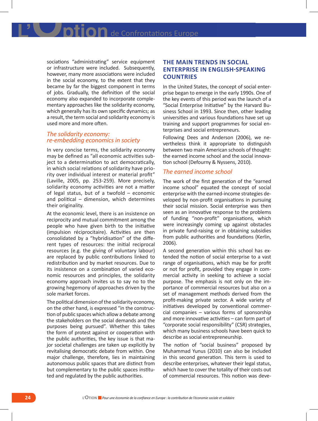IIOn de Confrontations Europe

sociations "administrating" service equipment or infrastructure were included. Subsequently, however, many more associations were included in the social economy, to the extent that they became by far the biggest component in terms of jobs. Gradually, the definition of the social economy also expanded to incorporate complementary approaches like the solidarity economy, which generally has its own specific dynamics; as a result, the term social and solidarity economy is used more and more often.

### *The solidarity economy: re-embedding economics in society*

In very concise terms, the solidarity economy may be defined as "all economic activities subject to a determination to act democratically, in which social relations of solidarity have priority over individual interest or material profit" (Laville, 2005, pp. 253-259). More precisely, solidarity economy activities are not a matter of legal status, but of a twofold – economic and political – dimension, which determines their originality.

At the economic level, there is an insistence on reciprocity and mutual commitment among the people who have given birth to the initiative (impulsion réciprocitaire). Activities are then consolidated by a "hybridisation" of the different types of resources: the initial reciprocal resources (e.g. the giving of voluntary labour) are replaced by public contributions linked to redistribution and by market resources. Due to its insistence on a combination of varied economic resources and principles, the solidarity economy approach invites us to say no to the growing hegemony of approaches driven by the sole market forces.

The political dimension of the solidarity economy, on the other hand, is expressed "in the construction of public spaces which allow a debate among the stakeholders on the social demands and the purposes being pursued". Whether this takes the form of protest against or cooperation with the public authorities, the key issue is that major societal challenges are taken up explicitly by revitalising democratic debate from within. One major challenge, therefore, lies in maintaining autonomous public spaces that are distinct from but complementary to the public spaces instituted and regulated by the public authorities.

### **THE MAIN TRENDS IN SOCIAL ENTERPRISE IN ENGLISH-SPEAKING COUNTRIES**

In the United States, the concept of social enterprise began to emerge in the early 1990s. One of the key events of this period was the launch of a "Social Enterprise Initiative" by the Harvard Business School in 1993. Since then, other leading universities and various foundations have set up training and support programmes for social enterprises and social entrepreneurs.

Following Dees and Anderson (2006), we nevertheless think it appropriate to distinguish between two main American schools of thought: the earned income school and the social innovation school (Defourny & Nyssens, 2010).

#### *The earned income school*

The work of the first generation of the "earned income school" equated the concept of social enterprise with the earned-income strategies developed by non-profit organisations in pursuing their social mission. Social enterprise was then seen as an innovative response to the problems of funding "non-profit" organisations, which were increasingly coming up against obstacles in private fund-raising or in obtaining subsidies from public authorities and foundations (Kerlin, 2006).

A second generation within this school has extended the notion of social enterprise to a vast range of organisations, which may be for profit or not for profit, provided they engage in commercial activity in seeking to achieve a social purpose. The emphasis is not only on the importance of commercial resources but also on a set of management methods derived from the profit-making private sector. A wide variety of initiatives developed by conventional commercial companies – various forms of sponsorship and more innovative activities – can form part of "corporate social responsibility" (CSR) strategies, which many business schools have been quick to describe as social entrepreneurship.

The notion of "social business" proposed by Muhammad Yunus (2010) can also be included in this second generation. This term is used to describe enterprises, whatever their legal status, which have to cover the totality of their costs out of commercial resources. This notion was deve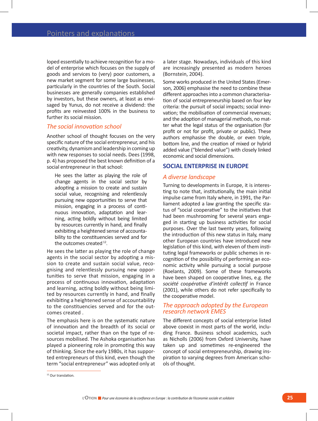loped essentially to achieve recognition for a model of enterprise which focuses on the supply of goods and services to (very) poor customers, a new market segment for some large businesses, particularly in the countries of the South. Social businesses are generally companies established by investors, but these owners, at least as envisaged by Yunus, do not receive a dividend: the profits are reinvested 100% in the business to further its social mission.

### *The social innovation school*

Another school of thought focuses on the very specific nature of the social entrepreneur, and his creativity, dynamism and leadership in coming up with new responses to social needs. Dees (1998, p. 4) has proposed the best known definition of a social entrepreneur in that school:

He sees the latter as playing the role of change agents in the social sector by adopting a mission to create and sustain social value, recognising and relentlessly pursuing new opportunities to serve that mission, engaging in a process of continuous innovation, adaptation and learning, acting boldly without being limited by resources currently in hand, and finally exhibiting a heightened sense of accountability to the constituencies served and for the outcomes created  $12$ .

He sees the latter as playing the role of change agents in the social sector by adopting a mission to create and sustain social value, recognising and relentlessly pursuing new opportunities to serve that mission, engaging in a process of continuous innovation, adaptation and learning, acting boldly without being limited by resources currently in hand, and finally exhibiting a heightened sense of accountability to the constituencies served and for the outcomes created .

The emphasis here is on the systematic nature of innovation and the breadth of its social or societal impact, rather than on the type of resources mobilised. The Ashoka organisation has played a pioneering role in promoting this way of thinking. Since the early 1980s, it has supported entrepreneurs of this kind, even though the term "social entrepreneur" was adopted only at a later stage. Nowadays, individuals of this kind are increasingly presented as modern heroes (Bornstein, 2004).

Some works produced in the United States (Emerson, 2006) emphasise the need to combine these different approaches into a common characterisation of social entrepreneurship based on four key criteria: the pursuit of social impacts; social innovation; the mobilisation of commercial revenues; and the adoption of managerial methods, no matter what the legal status of the organisation (for profit or not for profit, private or public). These authors emphasise the double, or even triple, bottom line, and the creation of mixed or hybrid added value ("blended value") with closely linked economic and social dimensions.

### **SOCIAL ENTERPRISE IN EUROPE**

#### *A diverse landscape*

Turning to developments in Europe, it is interesting to note that, institutionally, the main initial impulse came from Italy where, in 1991, the Parliament adopted a law granting the specific status of "social cooperative" to the initiatives that had been mushrooming for several years engaged in starting up business activities for social purposes. Over the last twenty years, following the introduction of this new status in Italy, many other European countries have introduced new legislation of this kind, with eleven of them instituting legal frameworks or public schemes in recognition of the possibility of performing an economic activity while pursuing a social purpose (Roelants, 2009). Some of these frameworks have been shaped on cooperative lines, e.g. *the société coopérative d'intérêt collectif* in France (2001), while others do not refer specifically to the cooperative model.

#### *The approach adopted by the European research network EMES*

The different concepts of social enterprise listed above coexist in most parts of the world, including France. Business school academics, such as Nicholls (2006) from Oxford University, have taken up and sometimes re-engineered the concept of social entrepreneurship, drawing inspiration to varying degrees from American schools of thought.

<sup>&</sup>lt;sup>12</sup> Our translation.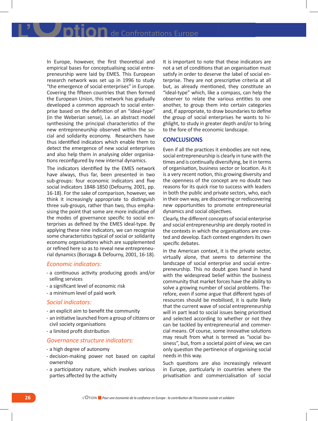In Europe, however, the first theoretical and empirical bases for conceptualising social entrepreneurship were laid by EMES. This European research network was set up in 1996 to study "the emergence of social enterprises" in Europe. Covering the fifteen countries that then formed the European Union, this network has gradually developed a common approach to social enterprise based on the definition of an "ideal-type" (in the Weberian sense), i.e. an abstract model synthesising the principal characteristics of the new entrepreneurship observed within the social and solidarity economy. Researchers have thus identified indicators which enable them to detect the emergence of new social enterprises and also help them in analysing older organisations reconfigured by new internal dynamics.

The indicators identified by the EMES network have always, thus far, been presented in two sub-groups: four economic indicators and five social indicators 1848-1850 (Defourny, 2001, pp. 16-18). For the sake of comparison, however, we think it increasingly appropriate to distinguish three sub-groups, rather than two, thus emphasising the point that some are more indicative of the modes of governance specific to social enterprises as defined by the EMES ideal-type. By applying these nine indicators, we can recognise some characteristics typical of social or solidarity economy organisations which are supplemented or refined here so as to reveal new entrepreneurial dynamics (Borzaga & Defourny, 2001, 16-18).

#### *Economic indicators:*

- - a continuous activity producing goods and/or selling services
- - a significant level of economic risk
- - a minimum level of paid work

#### *Social indicators:*

- - an explicit aim to benefit the community
- - an initiative launched from a group of citizens or civil society organisations
- - a limited profit distribution

### *Governance structure indicators:*

- - a high degree of autonomy
- - decision-making power not based on capital ownership
- - a participatory nature, which involves various parties affected by the activity

It is important to note that these indicators are not a set of conditions that an organisation must satisfy in order to deserve the label of social enterprise. They are not prescriptive criteria at all but, as already mentioned, they constitute an "ideal-type" which, like a compass, can help the observer to relate the various entities to one another, to group them into certain categories and, if appropriate, to draw boundaries to define the group of social enterprises he wants to highlight, to study in greater depth and/or to bring to the fore of the economic landscape.

### **CONCLUSIONS**

Even if all the practices it embodies are not new, social entrepreneurship is clearly in tune with the times and is continually diversifying, be it in terms of organisation, business sector or location. As it is a very recent notion, this growing diversity and the openness of the concept are no doubt two reasons for its quick rise to success with leaders in both the public and private sectors, who, each in their own way, are discovering or rediscovering new opportunities to promote entrepreneurial dynamics and social objectives.

Clearly, the different concepts of social enterprise and social entrepreneurship are deeply rooted in the contexts in which the organisations are created and develop. Each context engenders its own specific debates.

In the American context, it is the private sector, virtually alone, that seems to determine the landscape of social enterprise and social entrepreneurship. This no doubt goes hand in hand with the widespread belief within the business community that market forces have the ability to solve a growing number of social problems. Therefore, even if some argue that different types of resources should be mobilised, it is quite likely that the current wave of social entrepreneurship will in part lead to social issues being prioritised and selected according to whether or not they can be tackled by entrepreneurial and commercial means. Of course, some innovative solutions may result from what is termed as "social business", but, from a societal point of view, we can only question the pertinence of organising social needs in this way.

Such questions are also increasingly relevant in Europe, particularly in countries where the privatisation and commercialisation of social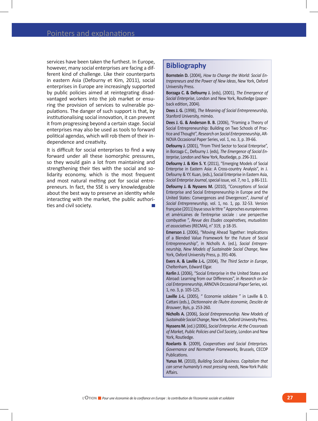services have been taken the furthest. In Europe, however, many social enterprises are facing a different kind of challenge. Like their counterparts in eastern Asia (Defourny et Kim, 2011), social enterprises in Europe are increasingly supported by public policies aimed at reintegrating disadvantaged workers into the job market or ensuring the provision of services to vulnerable populations. The danger of such support is that, by institutionalising social innovation, it can prevent it from progressing beyond a certain stage. Social enterprises may also be used as tools to forward political agendas, which will rob them of their independence and creativity.

It is difficult for social enterprises to find a way forward under all these isomorphic pressures, so they would gain a lot from maintaining and strengthening their ties with the social and solidarity economy, which is the most frequent and most natural melting pot for social entrepreneurs. In fact, the SSE is very knowledgeable about the best way to preserve an identity while interacting with the market, the public authorities and civil society.

### **Bibliography**

**Bornstein D.** (2004), *How to Change the World: Social Entrepreneurs and the Power of New Ideas*, New York, Oxford University Press.

**Borzaga C. & Defourny J.** (eds), (2001), *The Emergence of Social Enterprise*, London and New York, Routledge (paperback edition, 2004).

**Dees J. G.** (1998), *The Meaning of Social Entrepreneurship*, Stanford University, miméo.

**Dees J. G. & Anderson B. B.** (2006), "Framing a Theory of Social Entrepreneurship: Building on Two Schools of Practice and Thought", *Research on Social Enterpreneurship*, AR-NOVA Occasional Paper Series, vol. 1, no. 3, p. 39-66.

**Defourny J.** (2001), "From Third Sector to Social Enterprise", in Borzaga C., Defourny J. (eds), *The Emergence of Social Enterprise*, London and New York, Routledge, p. 296-311.

**Defourny J. & Kim S. Y.** (2011), "Emerging Models of Social Enterprise in Eastern Asia: A Cross-country Analysis", in J. Defourny & Y.Y. Kuan, (eds.), Social Enterprise in Eastern Asia, *Social Enterprise Journal*, special issue, vol. 7, no 1, p 86-111.

**Defourny J. & Nyssens M.** (2010), "Conceptions of Social Enterprise and Social Entrepreneurship in Europe and the United States: Convergences and Divergences", *Journal of Social Entrepreneurship*, vol. 1, no. 1, pp. 32-53. Version française (2011) byue sous le titre " Approches européennes et américaines de l'entreprise sociale : une perspective combyative ", *Revue des Etudes coopératives, mutualistes et associatives* (RECMA), n° 319, p 18-35.

**Emerson J.** (2006), "Moving Ahead Together: Implications of a Blended Value Framework for the Future of Social Entrepreneurship", in Nicholls A. (ed.), *Social Entrepreneurship, New Models of Sustainable Social Change*, New York, Oxford University Press, p. 391-406.

**Evers A. & Laville J.-L.** (2004), *The Third Sector in Europe*, Cheltenham, Edward Elgar.

**Kerlin J.** (2006), "Social Enterprise in the United States and Abroad: Learning from our Differences", in *Research on Social Enterpreneurship*, ARNOVA Occasional Paper Series, vol. 1, no. 3, p. 105-125.

**Laville J.-L.** (2005), " Economie solidaire " in Laville & D. Cattani (eds.), *Dictionnaire de l'Autre économie, Desclée de Brouwer*, Byis, p. 253-260.

**Nicholls A.** (2006), *Social Entrepreneurship. New Models of Sustainable Social Change*, New York, Oxford University Press. **Nyssens M.** (ed.) (2006), *Social Enterprise. At the Crossroads of Market, Public Policies and Civil Society*, London and New York, Routledge.

**Roelants B.** (2009), *Cooperatives and Social Enterprises. Governance and Normative Frameworks*, Brussels, CECOP Publications.

**Yunus M.** (2010), *Building Social Business. Capitalism that can serve humanity's most pressing needs*, New-York Public Affairs.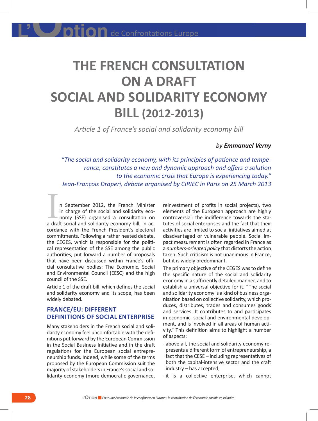# **THE FRENCH CONSULTATION ON A DRAFT SOCIAL AND SOLIDARITY ECONOMY BILL (2012-2013)**

*Article 1 of France's social and solidarity economy bill*

### *by Emmanuel Verny*

*"The social and solidarity economy, with its principles of patience and temperance, constitutes a new and dynamic approach and offers a solution to the economic crisis that Europe is experiencing today." Jean-François Draperi, debate organised by CIRIEC in Paris on 25 March 2013*

n September 2012, the French Minister in charge of the social and solidarity economy (SSE) organised a consultation on n September 2012, the French Minister<br>in charge of the social and solidarity eco-<br>nomy (SSE) organised a consultation on<br>a draft social and solidarity economy bill, in accordance with the French President's electoral commitments. Following a rather heated debate, the CEGES, which is responsible for the political representation of the SSE among the public authorities, put forward a number of proposals that have been discussed within France's official consultative bodies: The Economic, Social and Environmental Council (EESC) and the high council of the SSE.

Article 1 of the draft bill, which defines the social and solidarity economy and its scope, has been widely debated.

### **France/EU: Different definitions of social enterprise**

Many stakeholders in the French social and solidarity economy feel uncomfortable with the definitions put forward by the European Commission in the Social Business Initiative and in the draft regulations for the European social entrepreneurship funds. Indeed, while some of the terms proposed by the European Commission suit the majority of stakeholders in France's social and solidarity economy (more democratic governance, reinvestment of profits in social projects), two elements of the European approach are highly controversial: the indifference towards the statutes of social enterprises and the fact that their activities are limited to social initiatives aimed at disadvantaged or vulnerable people. Social impact measurement is often regarded in France as a *numbers-oriented policy* that distorts the action taken. Such criticism is not unanimous in France, but it is widely predominant.

The primary objective of the CEGES was to define the specific nature of the social and solidarity economy in a sufficiently detailed manner, and to establish a universal objective for it. "The social and solidarity economy is a kind of business organisation based on collective solidarity, which produces, distributes, trades and consumes goods and services. It contributes to and participates in economic, social and environmental development, and is involved in all areas of human activity." This definition aims to highlight a number of aspects:

- - above all, the social and solidarity economy represents a different form of entrepreneurship, a fact that the CESE – including representatives of both the capital-intensive sector and the craft industry – has accepted;
- - it is a collective enterprise, which cannot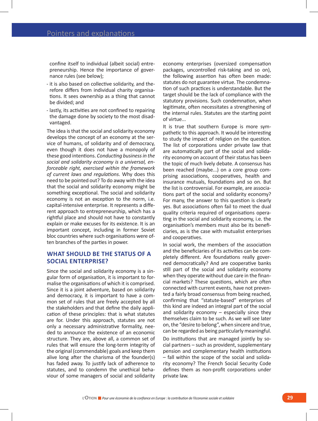confine itself to individual (albeit social) entrepreneurship. Hence the importance of governance rules (see below);

- - it is also based on collective solidarity, and therefore differs from individual charity organisations. It sees ownership as a thing that cannot be divided; and
- - lastly, its activities are not confined to repairing the damage done by society to the most disadvantaged.

The idea is that the social and solidarity economy develops the concept of an economy at the service of humans, of solidarity and of democracy, even though it does not have a monopoly of these good intentions. *Conducting business in the social and solidarity economy is a universal, enforceable right, exercised within the framework of current laws and regulations*. Why does this need to be pointed out? To do away with the idea that the social and solidarity economy might be something exceptional. The social and solidarity economy is not an exception to the norm, i.e. capital-intensive enterprise. It represents a different approach to entrepreneurship, which has a rightful place and should not have to constantly explain or make excuses for its existence. It is an important concept, including in former Soviet bloc countries where such organisations were often branches of the parties in power.

### **What should be the status of a social enterprise?**

Since the social and solidarity economy is a singular form of organisation, it is important to formalise the organisations of which it is comprised. Since it is a joint adventure, based on solidarity and democracy, it is important to have a common set of rules that are freely accepted by all the stakeholders and that define the daily application of these principles: that is what statutes are for. Under this approach, statutes are not only a necessary administrative formality, needed to announce the existence of an economic structure. They are, above all, a common set of rules that will ensure the long-term integrity of the original (commendable) goals and keep them alive long after the charisma of the founder(s) has faded away. To justify lack of adherence to statutes, and to condemn the unethical behaviour of some managers of social and solidarity

economy enterprises (oversized compensation packages, uncontrolled risk-taking and so on), the following assertion has often been made: statutes do not guarantee virtue. The condemnation of such practices is understandable. But the target should be the lack of compliance with the statutory provisions. Such condemnation, when legitimate, often necessitates a strengthening of the internal rules. Statutes are the starting point of virtue...

It is true that southern Europe is more sympathetic to this approach. It would be interesting to study the impact of religion on the question. The list of corporations under private law that are automatically part of the social and solidarity economy on account of their status has been the topic of much lively debate. A consensus has been reached (maybe...) on a core group comprising associations, cooperatives, health and insurance mutuals, foundations and so on. But the list is controversial. For example, are associations part of the social and solidarity economy? For many, the answer to this question is clearly yes. But associations often fail to meet the dual quality criteria required of organisations operating in the social and solidarity economy, i.e. the organisation's members must also be its beneficiaries, as is the case with mutualist enterprises and cooperatives.

In social work, the members of the association and the beneficiaries of its activities can be completely different. Are foundations really governed democratically? And are cooperative banks still part of the social and solidarity economy when they operate without due care in the financial markets? These questions, which are often connected with current events, have not prevented a fairly broad consensus from being reached, confirming that "statute-based" enterprises of this kind are indeed an integral part of the social and solidarity economy – especially since they themselves claim to be such. As we will see later on, the "desire to belong", when sincere and true, can be regarded as being particularly meaningful.

Do institutions that are managed jointly by social partners – such as provident, supplementary pension and complementary health institutions – fall within the scope of the social and solidarity economy? The French Social Security Code defines them as non-profit corporations under private law.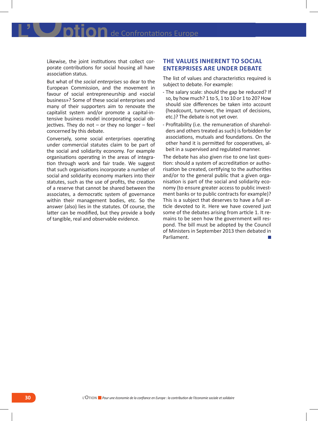IOn de Confrontations Europe

Likewise, the joint institutions that collect corporate contributions for social housing all have association status.

But what of the *social enterprises* so dear to the European Commission, and the movement in favour of social entrepreneurship and «social business»? Some of these social enterprises and many of their supporters aim to renovate the capitalist system and/or promote a capital-intensive business model incorporating social ob $i$ ectives. They do not  $-$  or they no longer  $-$  feel concerned by this debate.

Conversely, some social enterprises operating under commercial statutes claim to be part of the social and solidarity economy. For example organisations operating in the areas of integration through work and fair trade. We suggest that such organisations incorporate a number of social and solidarity economy markers into their statutes, such as the use of profits, the creation of a reserve that cannot be shared between the associates, a democratic system of governance within their management bodies, etc. So the answer (also) lies in the statutes. Of course, the latter can be modified, but they provide a body of tangible, real and observable evidence.

### **The values inherent to social enterprises are under debate**

The list of values and characteristics required is subject to debate. For example:

- - The salary scale: should the gap be reduced? If so, by how much? 1 to 5, 1 to 10 or 1 to 20? How should size differences be taken into account (headcount, turnover, the impact of decisions, etc.)? The debate is not yet over.
- - Profitability (i.e. the remuneration of shareholders and others treated as such) is forbidden for associations, mutuals and foundations. On the other hand it is permitted for cooperatives, albeit in a supervised and regulated manner.

The debate has also given rise to one last question: should a system of accreditation or authorisation be created, certifying to the authorities and/or to the general public that a given organisation is part of the social and solidarity economy (to ensure greater access to public investment banks or to public contracts for example)? This is a subject that deserves to have a full article devoted to it. Here we have covered just some of the debates arising from article 1. It remains to be seen how the government will respond. The bill must be adopted by the Council of Ministers in September 2013 then debated in Parliament.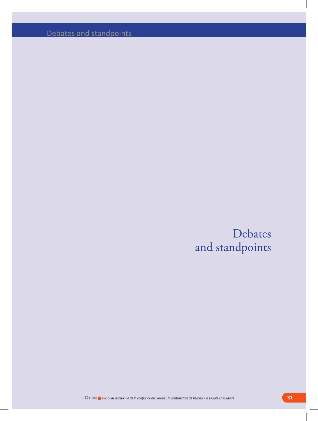Debates and standpoints

Debates and standpoints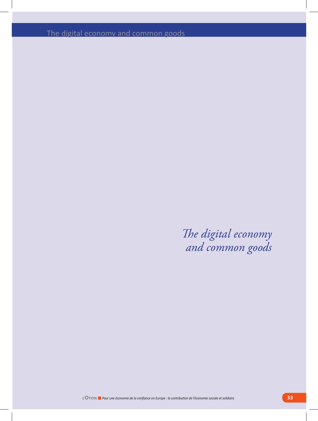The digital economy and common goods

*The digital economy and common goods*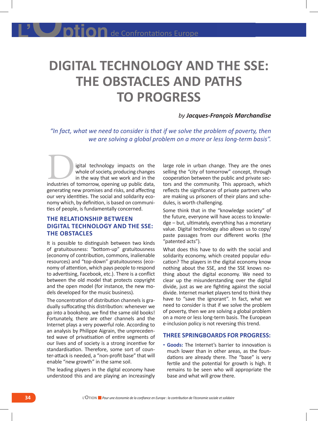### **DIGITAL TECHNOLOGY AND THE SSE: THE OBSTACLES AND PATHS TO PROGRESS**

### *by Jacques-François Marchandise*

*"In fact, what we need to consider is that if we solve the problem of poverty, then we are solving a global problem on a more or less long-term basis".* 

igital technology impacts on the whole of society, producing changes in the way that we work and in the igital technology impacts on the whole of society, producing changes in the way that we work and in the industries of tomorrow, opening up public data, generating new promises and risks, and affecting our very identities. The social and solidarity economy which, by definition, is based on communities of people, is fundamentally concerned.

### **The relationship between digital technology and the SSE: the obstacles**

It is possible to distinguish between two kinds of gratuitousness: "bottom-up" gratuitousness (economy of contribution, commons, inalienable resources) and "top-down" gratuitousness (economy of attention, which pays people to respond to advertising, Facebook, etc.). There is a conflict between the old model that protects copyright and the open model (for instance, the new models developed for the music business).

The concentration of distribution channels is gradually suffocating this distribution: whenever we go into a bookshop, we find the same old books! Fortunately, there are other channels and the Internet plays a very powerful role. According to an analysis by Philippe Aigrain, the unprecedented wave of privatisation of entire segments of our lives and of society is a strong incentive for standardisation. Therefore, some sort of counter-attack is needed, a "non-profit base" that will enable "new growth" in the same soil.

The leading players in the digital economy have understood this and are playing an increasingly

large role in urban change. They are the ones selling the "city of tomorrow" concept, through cooperation between the public and private sectors and the community. This approach, which reflects the significance of private partners who are making us prisoners of their plans and schedules, is worth challenging.

Some think that in the "knowledge society" of the future, everyone will have access to knowledge – but, ultimately, everything has a monetary value. Digital technology also allows us to copy/ paste passages from our different works (the "patented acts").

What does this have to do with the social and solidarity economy, which created popular education? The players in the digital economy know nothing about the SSE, and the SSE knows nothing about the digital economy. We need to clear up the misunderstanding over the digital divide, just as we are fighting against the social divide. Internet market players tend to think they have to "save the ignorant". In fact, what we need to consider is that if we solve the problem of poverty, then we are solving a global problem on a more or less long-term basis. The European e-inclusion policy is not reversing this trend.

### **Three springboards for progress:**

**- Goods:** The Internet's barrier to innovation is much lower than in other areas, as the foundations are already there. The "base" is very fertile and the potential for growth is high. It remains to be seen who will appropriate the base and what will grow there.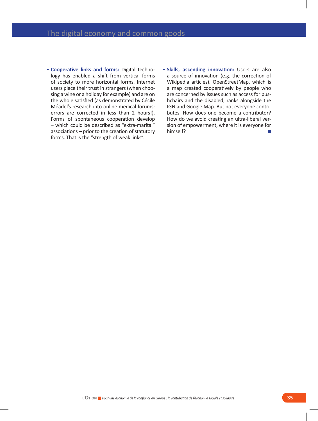- **Cooperative links and forms:** Digital technology has enabled a shift from vertical forms of society to more horizontal forms. Internet users place their trust in strangers (when choosing a wine or a holiday for example) and are on the whole satisfied (as demonstrated by Cécile Méadel's research into online medical forums: errors are corrected in less than 2 hours!). Forms of spontaneous cooperation develop – which could be described as "extra-marital" associations – prior to the creation of statutory forms. That is the "strength of weak links".
- **Skills, ascending innovation:** Users are also a source of innovation (e.g. the correction of Wikipedia articles). OpenStreetMap, which is a map created cooperatively by people who are concerned by issues such as access for pushchairs and the disabled, ranks alongside the IGN and Google Map. But not everyone contributes. How does one become a contributor? How do we avoid creating an ultra-liberal version of empowerment, where it is everyone for himself?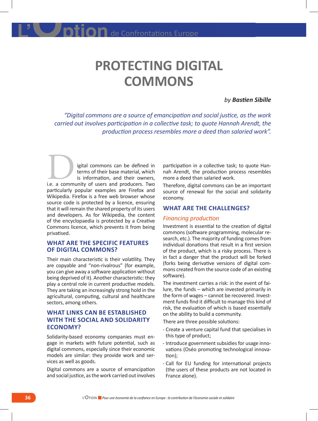## **PROTECTING DIGITAL COMMONS**

### *by Bastien Sibille*

*"Digital commons are a source of emancipation and social justice, as the work carried out involves participation in a collective task; to quote Hannah Arendt, the production process resembles more a deed than salaried work".*

igital commons can be defined in terms of their base material, which is information, and their owners, igital commons can be defined in<br>terms of their base material, which<br>is information, and their owners,<br>i.e. a community of users and producers. Two particularly popular examples are Firefox and Wikipedia. Firefox is a free web browser whose source code is protected by a licence, ensuring that it will remain the shared property of its users and developers. As for Wikipedia, the content of the encyclopaedia is protected by a Creative Commons licence, which prevents it from being privatised.

### **What are the specific features of digital commons?**

Their main characteristic is their volatility. They are copyable and "non-rivalrous" (for example, you can give away a software application without being deprived of it). Another characteristic: they play a central role in current productive models. They are taking an increasingly strong hold in the agricultural, computing, cultural and healthcare sectors, among others.

## **What links can be established with the social and solidarity economy?**

Solidarity-based economy companies must engage in markets with future potential, such as digital commons, especially since their economic models are similar: they provide work and services as well as goods.

Digital commons are a source of emancipation and social justice, as the work carried out involves

participation in a collective task; to quote Hannah Arendt, the production process resembles more a deed than salaried work.

Therefore, digital commons can be an important source of renewal for the social and solidarity economy.

#### **What are the challenges?**

#### *Financing production*

Investment is essential to the creation of digital commons (software programming, molecular research, etc.). The majority of funding comes from individual donations that result in a first version of the product, which is a risky process. There is in fact a danger that the product will be forked (forks being derivative versions of digital commons created from the source code of an existing software).

The investment carries a risk: in the event of failure, the funds – which are invested primarily in the form of wages – cannot be recovered. Investment funds find it difficult to manage this kind of risk, the evaluation of which is based essentially on the ability to build a community.

There are three possible solutions:

- - Create a venture capital fund that specialises in this type of product;
- - Introduce government subsidies for usage innovations (Oséo promoting technological innovation);
- - Call for EU funding for international projects (the users of these products are not located in France alone).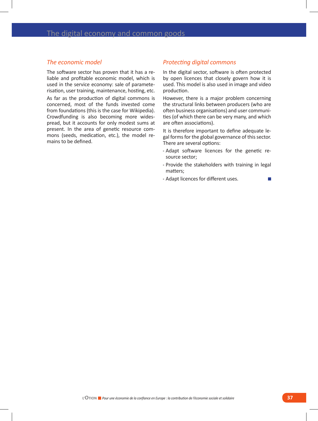### *The economic model*

The software sector has proven that it has a reliable and profitable economic model, which is used in the service economy: sale of parameterisation, user training, maintenance, hosting, etc.

As far as the production of digital commons is concerned, most of the funds invested come from foundations (this is the case for Wikipedia). Crowdfunding is also becoming more widespread, but it accounts for only modest sums at present. In the area of genetic resource commons (seeds, medication, etc.), the model remains to be defined.

#### *Protecting digital commons*

In the digital sector, software is often protected by open licences that closely govern how it is used. This model is also used in image and video production.

However, there is a major problem concerning the structural links between producers (who are often business organisations) and user communities (of which there can be very many, and which are often associations).

It is therefore important to define adequate legal forms for the global governance of this sector. There are several options:

- - Adapt software licences for the genetic resource sector;
- - Provide the stakeholders with training in legal matters;
- - Adapt licences for different uses.**Tale**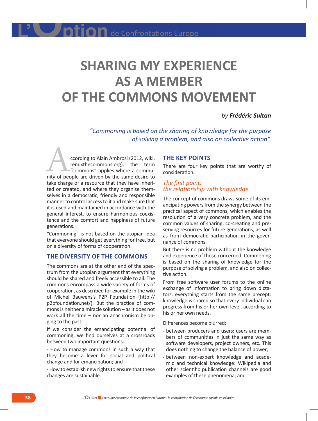# **SHARING MY EXPERIENCE AS A MEMBER OF THE COMMONS MOVEMENT**

### *by Frédéric Sultan*

*"Commoning is based on the sharing of knowledge for the purpose of solving a problem, and also on collective action".*

ccording to Alain Ambrosi (2012, wiki. remixthecommons.org), the term "commons" applies where a commuccording to Alain Ambrosi (2012, wiki.<br>
remixthecommons.org), the term<br>
"commons" applies where a commu-<br>
nity of people are driven by the same desire to take charge of a resource that they have inherited or created, and where they organise themselves in a democratic, friendly and responsible manner to control access to it and make sure that it is used and maintained in accordance with the general interest, to ensure harmonious coexistence and the comfort and happiness of future generations.

"Commoning" is not based on the utopian idea that everyone should get everything for free, but on a diversity of forms of cooperation.

## **The diversity of the commons**

The commons are at the other end of the spectrum from the utopian argument that everything should be shared and freely accessible to all. The commons encompass a wide variety of forms of cooperation, as described for example in the wiki of Michel Bauwens's P2P Foundation (http:// p2pfoundation.net/). But the practice of commons is neither a miracle solution – as it does not work all the time – nor an anachronism belonging to the past.

If we consider the emancipating potential of commoning, we find ourselves at a crossroads between two important questions:

- How to manage commons in such a way that they become a lever for social and political change and for emancipation; and

- How to establish new rights to ensure that these changes are sustainable.

#### **The key points**

There are four key points that are worthy of consideration.

#### *The first point: the relationship with knowledge*

The concept of commons draws some of its emancipating powers from the synergy between the practical aspect of commons, which enables the resolution of a very concrete problem, and the common values of sharing, co-creating and preserving resources for future generations, as well as from democratic participation in the governance of commons.

But there is no problem without the knowledge and experience of those concerned. Commoning is based on the sharing of knowledge for the purpose of solving a problem, and also on collective action.

From free software user forums to the online exchange of information to bring down dictators, everything starts from the same precept: knowledge is shared so that every individual can progress from his or her own level, according to his or her own needs.

Differences become blurred:

- - between producers and users: users are members of communities in just the same way as software developers, project owners, etc. This does nothing to change the balance of power;
- - between non-expert knowledge and academic and technical knowledge: Wikipedia and other scientific publication channels are good examples of these phenomena; and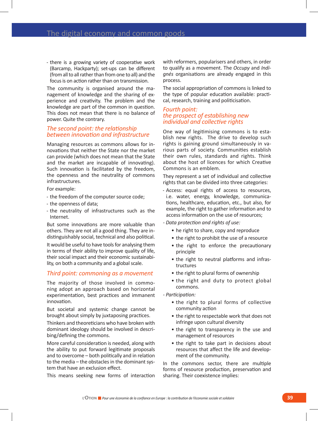- there is a growing variety of cooperative work (Barcamp, Hackparty); set-ups can be different (from all to all rather than from one to all) and the focus is on action rather than on transmission.

The community is organised around the management of knowledge and the sharing of experience and creativity. The problem and the knowledge are part of the common in question. This does not mean that there is no balance of power. Quite the contrary.

#### *The second point: the relationship between innovation and infrastructure*

Managing resources as commons allows for innovations that neither the State nor the market can provide (which does not mean that the State and the market are incapable of innovating). Such innovation is facilitated by the freedom, the openness and the neutrality of commons infrastructures.

For example:

- - the freedom of the computer source code;
- - the openness of data;
- - the neutrality of infrastructures such as the Internet.

But some innovations are more valuable than others. They are not all a good thing. They are indistinguishably social, technical and also political.

It would be useful to have tools for analysing them in terms of their ability to improve quality of life, their social impact and their economic sustainability, on both a community and a global scale.

#### *Third point: commoning as a movement*

The majority of those involved in commoning adopt an approach based on horizontal experimentation, best practices and immanent innovation.

But societal and systemic change cannot be brought about simply by juxtaposing practices.

Thinkers and theoreticians who have broken with dominant ideology should be involved in describing/defining the commons.

More careful consideration is needed, along with the ability to put forward legitimate proposals and to overcome – both politically and in relation to the media – the obstacles in the dominant system that have an exclusion effect.

This means seeking new forms of interaction

with reformers, popularisers and others, in order to qualify as a movement. The *Occupy* and *Indignés* organisations are already engaged in this process.

The social appropriation of commons is linked to the type of popular education available: practical, research, training and politicisation.

#### *Fourth point: the prospect of establishing new individual and collective rights*

One way of legitimising commons is to establish new rights. The drive to develop such rights is gaining ground simultaneously in various parts of society. Communities establish their own rules, standards and rights. Think about the host of licences for which Creative Commons is an emblem.

They represent a set of individual and collective rights that can be divided into three categories:

- - Access: equal rights of access to resources, i.e. water, energy, knowledge, communications, healthcare, education, etc., but also, for example, the right to gather information and to access information on the use of resources;
- *Data protection and rights of use:*
	- he right to share, copy and reproduce
	- the right to prohibit the use of a resource
	- the right to enforce the precautionary principle
	- the right to neutral platforms and infrastructures
	- the right to plural forms of ownership
	- the right and duty to protect global commons.

*- Participation:*

- the right to plural forms of collective community action
- the right to respectable work that does not infringe upon cultural diversity
- the right to transparency in the use and management of resources
- the right to take part in decisions about resources that affect the life and development of the community.

In the commons sector, there are multiple forms of resource production, preservation and sharing. Their coexistence implies: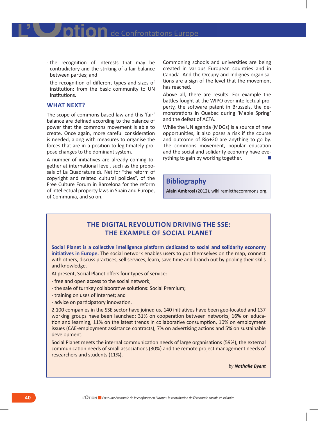- - the recognition of interests that may be contradictory and the striking of a fair balance between parties; and
- - the recognition of different types and sizes of institution: from the basic community to UN institutions.

### **What next?**

The scope of commons-based law and this 'fair' balance are defined according to the balance of power that the commons movement is able to create. Once again, more careful consideration is needed, along with measures to organise the forces that are in a position to legitimately propose changes to the dominant system.

A number of initiatives are already coming together at international level, such as the proposals of La Quadrature du Net for "the reform of copyright and related cultural policies", of the Free Culture Forum in Barcelona for the reform of intellectual property laws in Spain and Europe, of Communia, and so on.

Commoning schools and universities are being created in various European countries and in Canada. And the Occupy and Indignés organisations are a sign of the level that the movement has reached.

Above all, there are results. For example the battles fought at the WIPO over intellectual property, the software patent in Brussels, the demonstrations in Quebec during 'Maple Spring' and the defeat of ACTA.

While the UN agenda (MDGs) is a source of new opportunities, it also poses a risk if the course and outcome of Rio+20 are anything to go by. The commons movement, popular education and the social and solidarity economy have everything to gain by working together.

## **Bibliography**

**Alain Ambrosi** (2012), wiki.remixthecommons.org.

## **THE DIGITAL REVOLUTION DRIVING THE SSE: THE EXAMPLE OF SOCIAL PLANET**

**Social Planet is a collective intelligence platform dedicated to social and solidarity economy initiatives in Europe.** The social network enables users to put themselves on the map, connect with others, discuss practices, sell services, learn, save time and branch out by pooling their skills and knowledge.

At present, Social Planet offers four types of service:

- free and open access to the social network;
- the sale of turnkey collaborative solutions: Social Premium;
- training on uses of Internet; and
- advice on participatory innovation.

2,100 companies in the SSE sector have joined us, 140 initiatives have been geo-located and 137 working groups have been launched: 31% on cooperation between networks, 16% on education and learning, 11% on the latest trends in collaborative consumption, 10% on employment issues (CAE-employment assistance contracts), 7% on advertising actions and 5% on sustainable development.

Social Planet meets the internal communication needs of large organisations (59%), the external communication needs of small associations (30%) and the remote project management needs of researchers and students (11%).

*by Nathalie Byent*

**40 L'OTION** *Pour une économie de la confiance en Europe : la contribution de l'économie sociale et solidaire*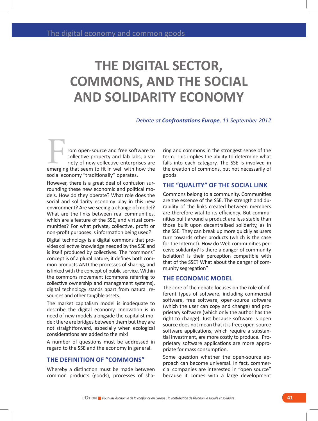# **THE DIGITAL SECTOR, COMMONS, AND THE SOCIAL AND SOLIDARITY ECONOMY**

*Debate at Confrontations Europe, 11 September 2012*

rom open-source and free software to collective property and fab labs, a variety of new collective enterprises are From open-source and free software to<br>collective property and fab labs, a va-<br>riety of new collective enterprises are<br>emerging that seem to fit in well with how the social economy "traditionally" operates.

However, there is a great deal of confusion surrounding these new economic and political models. How do they operate? What role does the social and solidarity economy play in this new environment? Are we seeing a change of model? What are the links between real communities, which are a feature of the SSE, and virtual communities? For what private, collective, profit or non-profit purposes is information being used?

Digital technology is a digital commons that provides collective knowledge needed by the SSE and is itself produced by collectives. The "commons" concept is of a plural nature; it defines both common products AND the processes of sharing, and is linked with the concept of public service. Within the commons movement (commons referring to collective ownership and management systems), digital technology stands apart from natural resources and other tangible assets.

The market capitalism model is inadequate to describe the digital economy. Innovation is in need of new models alongside the capitalist model; there are bridges between them but they are not straightforward, especially when ecological considerations are added to the mix!

A number of questions must be addressed in regard to the SSE and the economy in general.

### **The definition of "commons"**

Whereby a distinction must be made between common products (goods), processes of sha-

ring and commons in the strongest sense of the term. This implies the ability to determine what falls into each category. The SSE is involved in the creation of commons, but not necessarily of goods.

#### **The "quality" of the social link**

Commons belong to a community. Communities are the essence of the SSE. The strength and durability of the links created between members are therefore vital to its efficiency. But communities built around a product are less stable than those built upon decentralised solidarity, as in the SSE. They can break up more quickly as users turn towards other products (which is the case for the Internet). How do Web communities perceive solidarity? Is there a danger of community isolation? Is their perception compatible with that of the SSE? What about the danger of community segregation?

### **The economic model**

The core of the debate focuses on the role of different types of software, including commercial software, free software, open-source software (which the user can copy and change) and proprietary software (which only the author has the right to change). Just because software is open source does not mean that it is free; open-source software applications, which require a substantial investment, are more costly to produce. Proprietary software applications are more appropriate for mass consumption.

Some question whether the open-source approach can become universal. In fact, commercial companies are interested in "open source" because it comes with a large development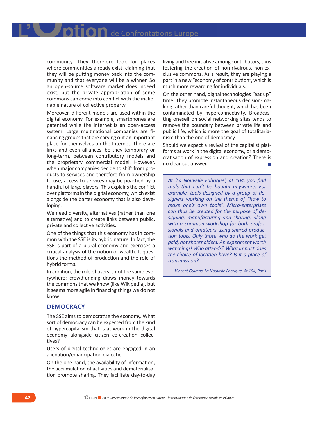community. They therefore look for places where communities already exist, claiming that they will be putting money back into the community and that everyone will be a winner. So an open-source software market does indeed exist, but the private appropriation of some commons can come into conflict with the inalienable nature of collective property.

Moreover, different models are used within the digital economy. For example, smartphones are patented while the Internet is an open-access system. Large multinational companies are financing groups that are carving out an important place for themselves on the Internet. There are links and even alliances, be they temporary or long-term, between contributory models and the proprietary commercial model. However, when major companies decide to shift from products to services and therefore from ownership to use, access to services may be poached by a handful of large players. This explains the conflict over platforms in the digital economy, which exist alongside the barter economy that is also developing.

We need diversity, alternatives (rather than one alternative) and to create links between public, private and collective activities.

One of the things that this economy has in common with the SSE is its hybrid nature. In fact, the SSE is part of a plural economy and exercises a critical analysis of the notion of wealth. It questions the method of production and the role of hybrid forms.

In addition, the role of users is not the same everywhere: crowdfunding draws money towards the commons that we know (like Wikipedia), but it seems more agile in financing things we do not know!

#### **Democracy**

The SSE aims to democratise the economy. What sort of democracy can be expected from the kind of hypercapitalism that is at work in the digital economy alongside citizen co-creation collectives?

Users of digital technologies are engaged in an alienation/emancipation dialectic.

On the one hand, the availability of information, the accumulation of activities and dematerialisation promote sharing. They facilitate day-to-day living and free initiative among contributors, thus fostering the creation of non-rivalrous, non-exclusive commons. As a result, they are playing a part in a new "economy of contribution", which is much more rewarding for individuals.

On the other hand, digital technologies "eat up" time. They promote instantaneous decision-making rather than careful thought, which has been contaminated by hyperconnectivity. Broadcasting oneself on social networking sites tends to remove the boundary between private life and public life, which is more the goal of totalitarianism than the one of democracy.

Should we expect a revival of the capitalist platforms at work in the digital economy, or a democratisation of expression and creation? There is no clear-cut answer.

*At 'La Nouvelle Fabrique', at 104, you find tools that can't be bought anywhere. For example, tools designed by a group of designers working on the theme of "how to make one's own tools". Micro-enterprises can thus be created for the purpose of designing, manufacturing and sharing, along with a common workshop for both professionals and amateurs using shared production tools. Only those who do the work get paid, not shareholders. An experiment worth watching!! Who attends? What impact does the choice of location have? Is it a place of transmission?*

*Vincent Guimas, La Nouvelle Fabrique, At 104, Paris*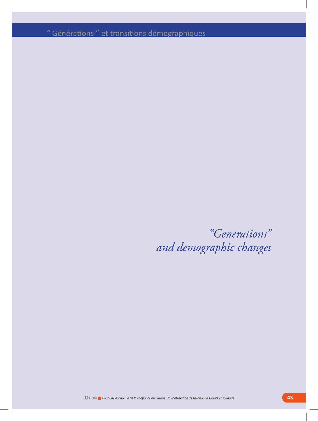" Générations " et transitions démographiques

*"Generations" and demographic changes*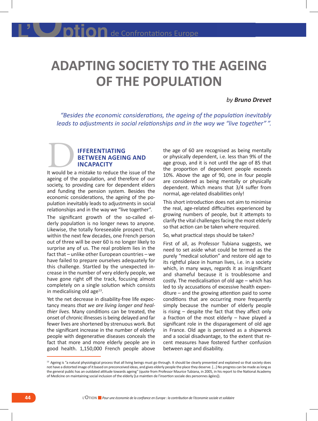# **ADAPTING SOCIETY TO THE AGEING OF THE POPULATION**

#### *by Bruno Drevet*

*"Besides the economic considerations, the ageing of the population inevitably leads to adjustments in social relationships and in the way we "live together" ".* 

## **ifferentiating between ageing and incapacity IFFERENTIATING<br>BETWEEN AGEING AND<br>INCAPACITY**<br>It would be a mistake to reduce the issue of the

ageing of the population, and therefore of our society, to providing care for dependent elders and funding the pension system. Besides the economic considerations, the ageing of the population inevitably leads to adjustments in social relationships and in the way we "live together".

The significant growth of the so-called elderly population is no longer news to anyone. Likewise, the totally foreseeable prospect that, within the next few decades, one French person out of three will be over 60 is no longer likely to surprise any of us. The real problem lies in the fact that – unlike other European countries – we have failed to prepare ourselves adequately for this challenge. Startled by the unexpected increase in the number of very elderly people, we have gone right off the track, focusing almost completely on a single solution which consists in medicalising old age<sup>13</sup>.

Yet the net decrease in disability-free life expectancy means *that we are living longer and healthier lives.* Many conditions can be treated, the onset of chronic illnesses is being delayed and far fewer lives are shortened by strenuous work. But the significant increase in the number of elderly people with degenerative diseases conceals the fact that more and more elderly people are in good health. 1,150,000 French people above

the age of 60 are recognised as being mentally or physically dependent, i.e. less than 9% of the age group, and it is not until the age of 85 that the proportion of dependent people exceeds 10%. Above the age of 90, one in four people are considered as being mentally or physically dependent. Which means that 3/4 suffer from normal, age-related disabilities only!

This short introduction does not aim to minimise the real, age-related difficulties experienced by growing numbers of people, but it attempts to clarify the vital challenges facing the most elderly so that action can be taken where required.

So, what practical steps should be taken?

First of all, as Professor Tubiana suggests, we need to set aside what could be termed as the purely "medical solution" and restore old age to its rightful place in human lives, i.e. in a society which, in many ways, regards it as insignificant and shameful because it is troublesome and costly. The medicalisation of old age – which has led to sly accusations of excessive health expenditure – and the growing attention paid to some conditions that are occurring more frequently simply because the number of elderly people is rising – despite the fact that they affect only a fraction of the most elderly – have played a significant role in the disparagement of old age in France. Old age is perceived as a shipwreck and a social disadvantage, to the extent that recent measures have fostered further confusion between age and disability.

<sup>&</sup>lt;sup>13</sup> Ageing is "a natural physiological process that all living beings must go through. It should be clearly presented and explained so that society does not have a distorted image of it based on preconceived ideas, and gives elderly people the place they deserve. […] No progress can be made as long as the general public has an outdated attitude towards ageing" (quote from Professor Maurice Tubiana, in 2005, in his report to the National Academy of Medicine on maintaining social inclusion of the elderly [Le maintien de l'insertion sociale des personnes âgées]).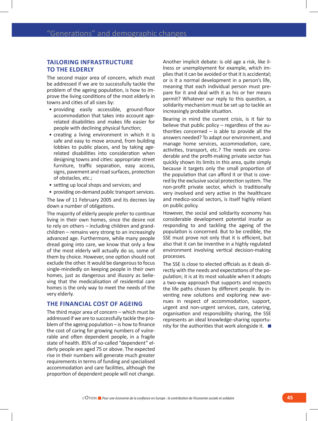## **Tailoring infrastructure to the elderly**

The second major area of concern, which must be addressed if we are to successfully tackle the problem of the ageing population, is how to improve the living conditions of the most elderly in towns and cities of all sizes by:

- providing easily accessible, ground-floor accommodation that takes into account agerelated disabilities and makes life easier for people with declining physical function;
- creating a living environment in which it is safe and easy to move around, from building lobbies to public places, and by taking agerelated disabilities into consideration when designing towns and cities: appropriate street furniture, traffic separation, easy access, signs, pavement and road surfaces, protection of obstacles, etc.;
- setting up local shops and services; and
- providing on-demand public transport services.

The law of 11 February 2005 and its decrees lay down a number of obligations.

The majority of elderly people prefer to continue living in their own homes, since the desire not to rely on others – including children and grandchildren – remains very strong to an increasingly advanced age. Furthermore, while many people dread going into care, we know that only a few of the most elderly will actually do so, some of them by choice. However, one option should not exclude the other. It would be dangerous to focus single-mindedly on keeping people in their own homes, just as dangerous and illusory as believing that the medicalisation of residential care homes is the only way to meet the needs of the very elderly.

### **The financial cost of ageing**

The third major area of concern – which must be addressed if we are to successfully tackle the problem of the ageing population – is how to finance the cost of caring for growing numbers of vulnerable and often dependent people, in a fragile state of health. 85% of so-called "dependent" elderly people are aged 75 or above. The expected rise in their numbers will generate much greater requirements in terms of funding and specialised accommodation and care facilities, although the proportion of dependent people will not change. Another implicit debate: is old age a risk, like illness or unemployment for example, which implies that it can be avoided or that it is accidental; or is it a normal development in a person's life, meaning that each individual person must prepare for it and deal with it as his or her means permit? Whatever our reply to this question, a solidarity mechanism must be set up to tackle an increasingly probable situation.

Bearing in mind the current crisis, is it fair to believe that public policy – regardless of the authorities concerned  $-$  is able to provide all the answers needed? To adapt our environment, and manage home services, accommodation, care, activities, transport, etc.? The needs are considerable and the profit-making private sector has quickly shown its limits in this area, quite simply because it targets only the small proportion of the population that can afford it or that is covered by the exclusive social protection system. The non-profit private sector, which is traditionally very involved and very active in the healthcare and medico-social sectors, is itself highly reliant on public policy.

However, the social and solidarity economy has considerable development potential insofar as responding to and tackling the ageing of the population is concerned. But to be credible, the SSE must prove not only that it is efficient, but also that it can be inventive in a highly regulated environment involving vertical decision-making processes.

The SSE is close to elected officials as it deals directly with the needs and expectations of the population; it is at its most valuable when it adopts a two-way approach that supports and respects the life paths chosen by different people. By inventing new solutions and exploring new avenues in respect of accommodation, support, urgent and non-urgent services, care, catering, organisation and responsibility sharing, the SSE represents an ideal knowledge-sharing opportunity for the authorities that work alongside it.  $\blacksquare$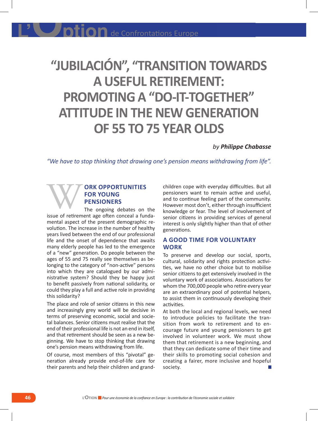# **"JUBILACIÓN", "TRANSITION TOWARDS A USEFUL RETIREMENT: PROMOTING A "DO-IT-TOGETHER" ATTITUDE IN THE NEW GENERATION OF 55 TO 75 YEAR OLDS**

*by Philippe Chabasse*

*"We have to stop thinking that drawing one's pension means withdrawing from life".* 

## **ork opportunities for young pensioners EXECUTE OR SOUNG PENSIONERS**<br>
The ongoing debates on the<br>
sisue of retirement age often conceal a funda-

The ongoing debates on the mental aspect of the present demographic revolution. The increase in the number of healthy years lived between the end of our professional life and the onset of dependence that awaits many elderly people has led to the emergence of a "new" generation. Do people between the ages of 55 and 75 really see themselves as belonging to the category of "non-active" persons into which they are catalogued by our administrative system? Should they be happy just to benefit passively from national solidarity, or could they play a full and active role in providing this solidarity?

The place and role of senior citizens in this new and increasingly grey world will be decisive in terms of preserving economic, social and societal balances. Senior citizens must realise that the end of their professional life is not an end in itself, and that retirement should be seen as a new beginning. We have to stop thinking that drawing one's pension means withdrawing from life.

Of course, most members of this "pivotal" generation already provide end-of-life care for their parents and help their children and grand-

children cope with everyday difficulties. But all pensioners want to remain active and useful, and to continue feeling part of the community. However most don't, either through insufficient knowledge or fear. The level of involvement of senior citizens in providing services of general interest is only slightly higher than that of other generations.

## **A good time for voluntary work**

To preserve and develop our social, sports, cultural, solidarity and rights protection activities, we have no other choice but to mobilise senior citizens to get extensively involved in the voluntary work of associations. Associations for whom the 700,000 people who retire every year are an extraordinary pool of potential helpers, to assist them in continuously developing their activities.

At both the local and regional levels, we need to introduce policies to facilitate the transition from work to retirement and to encourage future and young pensioners to get involved in volunteer work. We must show them that retirement is a new beginning, and that they can dedicate some of their time and their skills to promoting social cohesion and creating a fairer, more inclusive and hopeful society.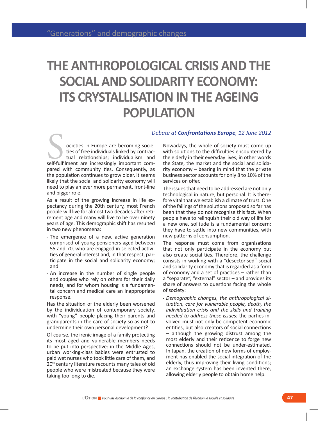# **THE ANTHROPOLOGICAL CRISIS AND THE SOCIAL AND SOLIDARITY ECONOMY: ITS CRYSTALLISATION IN THE AGEING POPULATION**

#### *Debate at Confrontations Europe, 12 June 2012*

ocieties in Europe are becoming societies of free individuals linked by contractual relationships; individualism and L<br>
societies in Europe are becoming socie-<br>
ties of free individuals linked by contrac-<br>
tual relationships; individualism and<br>
self-fulfilment are increasingly important compared with community ties. Consequently, as the population continues to grow older, it seems likely that the social and solidarity economy will need to play an ever more permanent, front-line and bigger role.

As a result of the growing increase in life expectancy during the 20th century, most French people will live for almost two decades after retirement age and many will live to be over ninety years of age. This demographic shift has resulted in two new phenomena:

- - The emergence of a new, active generation comprised of young pensioners aged between 55 and 70, who are engaged in selected activities of general interest and, in that respect, participate in the social and solidarity economy; and
- - An increase in the number of single people and couples who rely on others for their daily needs, and for whom housing is a fundamental concern and medical care an inappropriate response.

Has the situation of the elderly been worsened by the individuation of contemporary society, with "young" people placing their parents and grandparents in the care of society so as not to undermine their own personal development?

Of course, the irenic image of a family protecting its most aged and vulnerable members needs to be put into perspective: in the Middle Ages, urban working-class babies were entrusted to paid wet nurses who took little care of them, and 20<sup>th</sup> century literature recounts many tales of old people who were mistreated because they were taking too long to die.

Nowadays, the whole of society must come up with solutions to the difficulties encountered by the elderly in their everyday lives, in other words the State, the market and the social and solidarity economy – bearing in mind that the private business sector accounts for only 8 to 10% of the services on offer.

The issues that need to be addressed are not only technological in nature, but personal. It is therefore vital that we establish a climate of trust. One of the failings of the solutions proposed so far has been that they do not recognise this fact. When people have to relinquish their old way of life for a new one, solitude is a fundamental concern; they have to settle into new communities, with new patterns of consumption.

The response must come from organisations that not only participate in the economy but also create social ties. Therefore, the challenge consists in working with a "desectorised" social and solidarity economy that is regarded as a form of economy and a set of practices – rather than a "separate", "external" sector – and provides its share of answers to questions facing the whole of society:

- *Demographic changes, the anthropological situation, care for vulnerable people, death, the individuation crisis and the skills and training needed to address these issues:* the parties involved must not only be competent economic entities, but also creators of social connections – although the growing distrust among the most elderly and their reticence to forge new connections should not be under-estimated. In Japan, the creation of new forms of employment has enabled the social integration of the elderly, thus improving their living conditions; an exchange system has been invented there, allowing elderly people to obtain home help.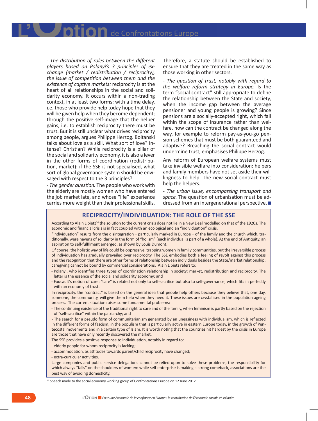$\overline{\mathbf{d}}$  de Confrontations Europe

- *The distribution of roles between the different players based on Polanyi's 3 principles of exchange (market / redistribution / reciprocity), the issue of competition between them and the existence of captive markets:* reciprocity is at the heart of all relationships in the social and solidarity economy. It occurs within a non-trading context, in at least two forms: with a time delay, i.e. those who provide help today hope that they will be given help when they become dependent; through the positive self-image that the helper gains, i.e. to establish reciprocity there must be trust. But it is still unclear what drives reciprocity among people, argues Philippe Herzog. Boltanski talks about love as a skill. What sort of love? Intense? Christian? While reciprocity is a pillar of the social and solidarity economy, it is also a lever in the other forms of coordination (redistribution, market): if the SSE is not specialised, what sort of global governance system should be envisaged with respect to the 3 principles?

- *The gender question.* The people who work with the elderly are mostly women who have entered the job market late, and whose "life" experience carries more weight than their professional skills.

Therefore, a statute should be established to ensure that they are treated in the same way as those working in other sectors.

- *The question of trust, notably with regard to the welfare reform strategy in Europe.* Is the term "social contract" still appropriate to define the relationship between the State and society, when the income gap between the average pensioner and young people is growing? Since pensions are a socially-accepted right, which fall within the scope of insurance rather than welfare, how can the contract be changed along the way, for example to reform pay-as-you-go pension schemes that must be both guaranteed and adaptive? Breaching the social contract would undermine trust, emphasises Philippe Herzog.

Any reform of European welfare systems must take invisible welfare into consideration: helpers and family members have not set aside their willingness to help. The new social contract must help the helpers.

- *The urban issue, encompassing transport and space.* The question of urbanisation must be addressed from an intergenerational perspective.

#### **Reciprocity/individuation: The role of the SSE**

According to Alain Lipietz<sup>14</sup> the solution to the current crisis does not lie in a New Deal modelled on that of the 1920s. The economic and financial crisis is in fact coupled with an ecological and an "individuation" crisis.

"Individuation" results from the disintegration – particularly marked in Europe – of the family and the church which, traditionally, were havens of solidarity in the form of "holism" (each individual is part of a whole). At the end of Antiquity, an aspiration to self-fulfilment emerged, as shown by Louis Dumont.

Of course, the holistic way of life could be oppressive, trapping women in family communities, but the irreversible process of individuation has gradually prevailed over reciprocity. The SSE embodies both a feeling of revolt against this process and the recognition that there are other forms of relationship between individuals besides the State/market relationship: caregiving cannot be bound by commercial considerations. Alain Lipietz refers to:

- - Polanyi, who identifies three types of coordination relationship in society: market, redistribution and reciprocity. The latter is the essence of the social and solidarity economy; and
- - Foucault's notion of care: "care" is related not only to self-sacrifice but also to self-governance, which fits in perfectly with an economy of trust.

In reciprocity, the "contract" is based on the general idea that people help others because they believe that, one day, someone, the community, will give them help when they need it. These issues are crystallised in the population ageing process. The current situation raises some fundamental problems:

- The continuing existence of the traditional right to care and of the family, when feminism is partly based on the rejection of "self-sacrifice" within the patriarchy; and

- The search for a pseudo form of communitarianism generated by an uneasiness with individualism, which is reflected in the different forms of fascism, in the populism that is particularly active in eastern Europe today, in the growth of Pentecostal movements and in a certain type of Islam. It is worth noting that the countries hit hardest by the crisis in Europe are those that have only recently discovered the market.

The SSE provides a positive response to individuation, notably in regard to:

- elderly people for whom reciprocity is lacking;

- accommodation, as attitudes towards parent/child reciprocity have changed;

- extra-curricular activities.

Large companies and public service delegations cannot be relied upon to solve these problems, the responsibility for which always "falls" on the shoulders of women: while self-enterprise is making a strong comeback, associations are the best way of avoiding domesticity.

14 Speech made to the social economy working group of Confrontations Europe on 12 June 2012.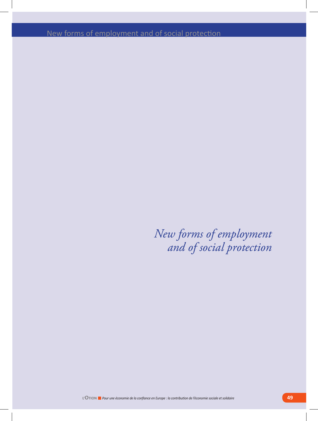New forms of employment and of social protection

*New forms of employment and of social protection*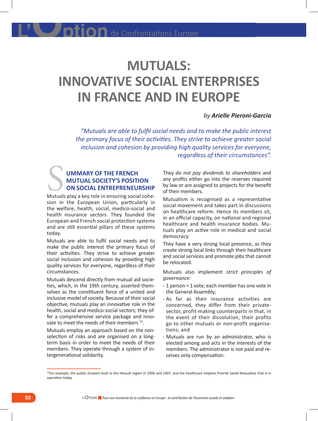## **MUTUALS: INNOVATIVE SOCIAL ENTERPRISES IN FRANCE AND IN EUROPE**

#### *by Arielle Pieroni-Garcia*

*"Mutuals are able to fulfil social needs and to make the public interest the primary focus of their activities. They strive to achieve greater social inclusion and cohesion by providing high quality services for everyone, regardless of their circumstances".*

## **ummary of the French mutual society's position on social entrepreneurship** UMMARY OF THE FRENCH<br>MUTUAL SOCIETY'S POSITION<br>ON SOCIAL ENTREPRENEURSHIP<br>Mutuals play a key role in ensuring social cohe-

sion in the European Union, particularly in the welfare, health, social, medico-social and health insurance sectors. They founded the European and French social protection systems and are still essential pillars of these systems today.

Mutuals are able to fulfil social needs and to make the public interest the primary focus of their activities. They strive to achieve greater social inclusion and cohesion by providing high quality services for everyone, regardless of their circumstances.

Mutuals descend directly from mutual aid societies, which, in the 19th century, asserted themselves as the constituent force of a united and inclusive model of society. Because of their social objective, mutuals play an innovative role in the health, social and medico-social sectors; they offer a comprehensive service package and innovate to meet the needs of their members <sup>15</sup>.

Mutuals employ an approach based on the nonselection of risks and are organised on a longterm basis in order to meet the needs of their members. They operate through a system of intergenerational solidarity.

They *do not pay dividends to shareholders* and any profits either go into the reserves required by law or are assigned to projects for the benefit of their members.

Mutualism is recognised as a representative social movement and takes part in discussions on healthcare reform. Hence its members sit, in an official capacity, on national and regional healthcare and health insurance bodies. Mutuals play an active role in medical and social democracy.

They have a very strong local presence, as they create strong local links through their healthcare and social services and promote jobs that cannot be relocated.

Mutuals also implement *strict principles of governance:* 

- - 1 person = 1 vote; each member has one vote in the General Assembly;
- - As far as their insurance activities are concerned, they differ from their privatesector, profit-making counterparts in that, in the event of their dissolution, their profits go to other mutuals or non-profit organisations; and
- - Mutuals are run by an administrator, who is elected among and acts in the interests of the members. The administrator is not paid and receives only compensation.

<sup>&</sup>lt;sup>15</sup>For example, the public showers built in the Hérault region in 1906 and 1907, and the healthcare helpline Priorité Santé Mutualiste that is in operation today.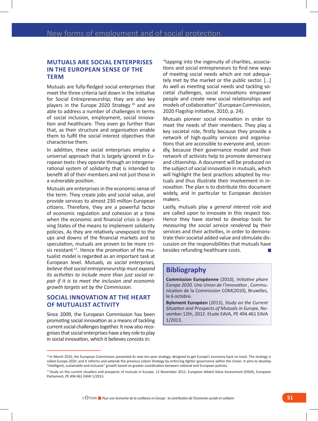## **Mutuals are social enterprises in the European sense of the term**

Mutuals are fully-fledged social enterprises that meet the three criteria laid down in the Initiative for Social Entrepreneurship; they are also key players in the Europe 2020 Strategy  $16$  and are able to address a number of challenges in terms of social inclusion, employment, social innovation and healthcare. They even go further than that, as their structure and organisation enable them to fulfil the social interest objectives that characterise them.

In addition, these social enterprises employ a universal approach that is largely ignored in European texts: they operate through an intergenerational system of solidarity that is intended to benefit all of their members and not just those in a vulnerable position.

Mutuals are enterprises in the economic sense of the term. They create jobs and social value, and provide services to almost 230 million European citizens. Therefore, they are a powerful factor of economic regulation and cohesion at a time when the economic and financial crisis is depriving States of the means to implement solidarity policies. As they are relatively unexposed to the ups and downs of the financial markets and to speculation, mutuals are proven to be more crisis resistant <sup>17</sup>. Hence the promotion of the mutualist model is regarded as an important task at European level. *Mutuals, as social enterprises, believe that social entrepreneurship must expand its activities to include more than just social repair if it is to meet the inclusion and economic growth targets set by the Commission.*

### **Social innovation at the heart of mutualist activity**

Since 2009, the European Commission has been promoting social innovation as a means of tackling current social challenges together. It now also recognises that social enterprises have a key role to play in social innovation, which it believes consists in:

"tapping into the ingenuity of charities, associations and social entrepreneurs to find new ways of meeting social needs which are not adequately met by the market or the public sector. […] As well as meeting social needs and tackling societal challenges, social innovations empower people and create new social relationships and models of collaboration" (European Commission, 2020 Flagship Initiative, 2010, p. 24).

Mutuals pioneer social innovation in order to meet the needs of their members. They play a key societal role, firstly because they provide a network of high-quality services and organisations that are accessible to everyone and, secondly, because their governance model and their network of activists help to promote democracy and citizenship. A document will be produced on the subject of social innovation in mutuals, which will highlight the best practices adopted by mutuals and thus illustrate their involvement in innovation. The plan is to distribute this document widely, and in particular to European decision makers.

Lastly, mutuals play a *general interest role* and are called upon to innovate in this respect too. Hence they have started to develop tools for *measuring the social service rendered* by their services and their activities, in order to demonstrate their societal added value and stimulate discussion on the responsibilities that mutuals have besides refunding healthcare costs.

## **Bibliography**

**Commission Européenne** (2010), *Initiative phare Europe 2020. Une Union de l'innovation* , Communication de la Commission COM(2010), Bruxelles, le 6 octobre.

**Bylement Européen** (2013), *Study on the Current Situation and Prospects of Mutuals in Europe*, November 12th, 2012. Etude EAVA, PE 494.461 EAVA 1/2013.

<sup>&</sup>lt;sup>16</sup> In March 2010, the European Commission presented its new ten-year strategy, designed to get Europe's economy back on track. The strategy is called Europe 2020, and it reforms and extends the previous Lisbon Strategy by enforcing tighter governance within the Union. It aims to develop "intelligent, sustainable and inclusive" growth based on greater coordination between national and European policies.

<sup>&</sup>lt;sup>17</sup> Study on the current situation and prospects of mutuals in Europe, 12 November 2012. European Added Value Assessment (EAVA), European Parliament, PE 494.461 EAVA 1/2013.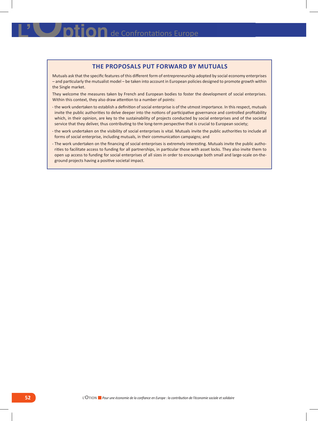## **LES PROPOSALS PUT FORWARD BY MUTUALS**

Mutuals ask that the specific features of this different form of entrepreneurship adopted by social economy enterprises – and particularly the mutualist model – be taken into account in European policies designed to promote growth within the Single market.

They welcome the measures taken by French and European bodies to foster the development of social enterprises. Within this context, they also draw attention to a number of points:

- - the work undertaken to establish a definition of social enterprise is of the utmost importance. In this respect, mutuals invite the public authorities to delve deeper into the notions of participative governance and controlled profitability which, in their opinion, are key to the sustainability of projects conducted by social enterprises and of the societal service that they deliver, thus contributing to the long-term perspective that is crucial to European society;
- - the work undertaken on the visibility of social enterprises is vital. Mutuals invite the public authorities to include all forms of social enterprise, including mutuals, in their communication campaigns; and
- - The work undertaken on the financing of social enterprises is extremely interesting. Mutuals invite the public authorities to facilitate access to funding for all partnerships, in particular those with asset locks. They also invite them to open up access to funding for social enterprises of all sizes in order to encourage both small and large-scale on-theground projects having a positive societal impact.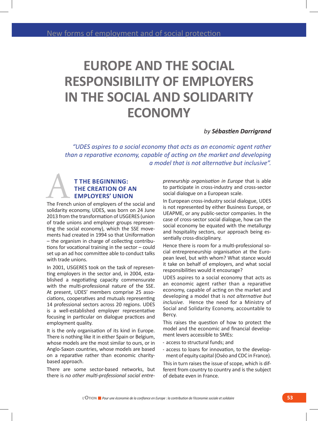# **EUROPE AND THE SOCIAL RESPONSIBILITY OF EMPLOYERS IN THE SOCIAL AND SOLIDARITY ECONOMY**

#### *by Sébastien Darrigrand*

*"UDES aspires to a social economy that acts as an economic agent rather than a reparative economy, capable of acting on the market and developing a model that is not alternative but inclusive".* 

## **t the beginning: the creation of an employers' union** THE BEGINNING:<br>
THE CREATION OF AN<br>
EMPLOYERS' UNION<br>
The French union of employers of the social and

solidarity economy, UDES, was born on 24 June 2013 from the transformation of USGERES (union of trade unions and employer groups representing the social economy), which the SSE movements had created in 1994 so that Uniformation – the organism in charge of collecting contributions for vocational training in the sector – could set up an ad hoc committee able to conduct talks with trade unions.

In 2001, USGERES took on the task of representing employers in the sector and, in 2004, established a negotiating capacity commensurate with the multi-professional nature of the SSE. At present, UDES' members comprise 25 associations, cooperatives and mutuals representing 14 professional sectors across 20 regions. UDES is a well-established employer representative focusing in particular on dialogue practices and employment quality.

It is the only organisation of its kind in Europe. There is nothing like it in either Spain or Belgium, whose models are the most similar to ours, or in Anglo-Saxon countries, whose models are based on a reparative rather than economic charitybased approach.

There are some sector-based networks, but there is *no other multi-professional social entre-* *preneurship organisation in Europe* that is able to participate in cross-industry and cross-sector social dialogue on a European scale.

In European cross-industry social dialogue, UDES is not represented by either Business Europe, or UEAPME, or any public-sector companies. In the case of cross-sector social dialogue, how can the social economy be equated with the metallurgy and hospitality sectors, our approach being essentially cross-disciplinary.

Hence there is room for a multi-professional social entrepreneurship organisation at the European level, but with whom? What stance would it take on behalf of employers, and what social responsibilities would it encourage?

UDES aspires to a social economy that acts as an economic agent rather than a reparative economy, capable of acting on the market and developing a model that is *not alternative but inclusive.* Hence the need for a Ministry of Social and Solidarity Economy, accountable to Bercy.

This raises the question of how to protect the model and the economic and financial development levers accessible to SMEs:

- - access to structural funds; and
- - access to loans for innovation, to the development of equity capital (Oséo and CDC in France).

This in turn raises the issue of scope, which is different from country to country and is the subject of debate even in France.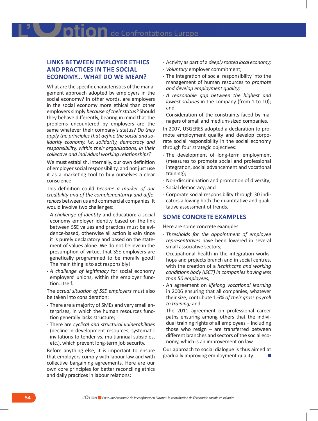## **Links between employer ethics and practices in the social economy... What do we mean?**

What are the specific characteristics of the management approach adopted by employers in the social economy? In other words, are employers in the social economy more ethical than other employers simply *because of their status?* Should they behave differently, bearing in mind that the problems encountered by employers are the same whatever their company's status? *Do they apply the principles that define the social and solidarity economy, i.e. solidarity, democracy and responsibility, within their organisations, in their collective and individual working relationships?*

We must establish, internally, our own definition of employer social responsibility, and not just use it as a marketing tool to buy ourselves a clear conscience.

This definition could *become a marker of our credibility and of the complementarity and differences* between us and commercial companies. It would involve two challenges:

- - *A challenge of identity* and education: a social economy employer identity based on the link between SSE values and practices must be evidence-based, otherwise all action is vain since it is purely declaratory and based on the statement of values alone. We do not believe in the presumption of virtue, that SSE employers are genetically programmed to be morally good! The main thing is to act responsibly!
- - *A challenge of legitimacy* for social economy employers' unions, within the employer function. itself.

The *actual situation of SSE employers* must also be taken into consideration:

- - There are a majority of SMEs and very small enterprises, in which the human resources function generally lacks structure;
- - There are *cyclical and structural vulnerabilities* (decline in development resources, systematic invitations to tender vs. multiannual subsidies, etc.), which prevent long-term job security.

Before anything else, it is important to ensure that employers comply with labour law and with collective bargaining agreements. Here are our own core principles for better reconciling ethics and daily practices in labour relations:

- - Activity as part of a *deeply rooted local economy;* - *Voluntary* employer commitment;
- - The integration of social responsibility into the management of human resources to *promote and develop employment quality;*
- - *A reasonable gap between the highest and lowest salaries* in the company (from 1 to 10); and
- - Consideration of the constraints faced by managers of small and medium-sized companies.

In 2007, USGERES adopted a declaration to promote employment quality and develop corporate social responsibility in the social economy through four strategic objectives:

- - The development of long-term employment (measures to promote social and professional integration, social advancement and vocational training);
- - Non-discrimination and promotion of diversity;
- - Social democracy; and
- - Corporate social responsibility through 30 indicators allowing both the quantitative and qualitative assessment of trends.

#### **Some concrete examples**

Here are some concrete examples:

- - *Thresholds for the appointment of employee representatives* have been lowered in several small associative sectors;
- - Occupational health in the integration workshops and projects branch and in social centres, with the creation of a *healthcare and working conditions body (ISCT) in companies having less than 50 employees;*
- - An agreement on *lifelong vocational learning*  in 2006 ensuring that all companies, whatever their size, contribute 1.6% *of their gross payroll to training;* and
- - The 2011 agreement on professional career paths ensuring among others that the individual training rights of all employees – including those who resign – are transferred between different branches and sectors of the social economy, which is an improvement on law.

Our approach to social dialogue is thus aimed at gradually improving employment quality.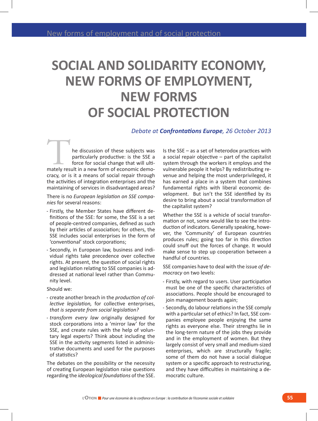# **SOCIAL AND SOLIDARITY ECONOMY, NEW FORMS OF EMPLOYMENT, NEW FORMS OF SOCIAL PROTECTION**

### *Debate at Confrontations Europe, 26 October 2013*

he discussion of these subjects was particularly productive: is the SSE a force for social change that will ultimately result in a new form of economic demo-<br>the SSE a force for social change that will ultimately result in a new form of economic democracy, or is it a means of social repair through the activities of integration enterprises and the maintaining of services in disadvantaged areas?

There is no *European legislation on SSE companies* for several reasons:

- - Firstly, the Member States have different definitions of the SSE: for some, the SSE is a set of people-centred companies, defined as such by their articles of association; for others, the SSE includes social enterprises in the form of 'conventional' stock corporations;
- - Secondly, in European law, business and individual rights take precedence over collective rights. At present, the question of social rights and legislation relating to SSE companies is addressed at national level rather than Community level.

Should we:

- - create another breach in the *production of collective legislation,* for collective enterprises, *that is separate from social legislation?*
- - *transform every law* originally designed for stock corporations into a 'mirror law' for the SSE, and create rules with the help of voluntary legal experts? Think about including the SSE in the activity segments listed in administrative documents and used for the purposes of statistics?

The debates on the possibility or the necessity of creating European legislation raise questions regarding the *ideological foundations* of the SSE.

Is the SSE – as a set of heterodox practices with a social repair objective – part of the capitalist system through the workers it employs and the vulnerable people it helps? By redistributing revenue and helping the most underprivileged, it has earned a place in a system that combines fundamental rights with liberal economic development. But isn't the SSE identified by its desire to bring about a social transformation of the capitalist system?

Whether the SSE is a vehicle of social transformation or not, some would like to see the introduction of indicators. Generally speaking, however, the 'Community' of European countries produces rules; going too far in this direction could snuff out the forces of change. It would make sense to step up cooperation between a handful of countries.

SSE companies have to deal with the issue *of democracy* on two levels:

- - Firstly, with regard to users. User participation must be one of the specific characteristics of associations. People should be encouraged to join management boards again;
- - Secondly, do labour relations in the SSE comply with a particular set of ethics? In fact, SSE companies employee people enjoying the same rights as everyone else. Their strengths lie in the long-term nature of the jobs they provide and in the employment of women. But they largely consist of very small and medium-sized enterprises, which are structurally fragile; some of them do not have a social dialogue system or a specific approach to restructuring, and they have difficulties in maintaining a democratic culture.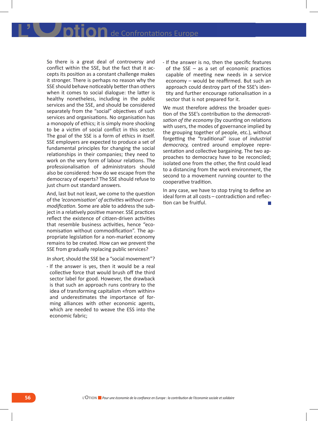So there is a great deal of controversy and conflict within the SSE, but the fact that it accepts its position as a constant challenge makes it stronger. There is perhaps no reason why the SSE should behave noticeably better than others when it comes to social dialogue: the latter is healthy nonetheless, including in the public services and the SSE, and should be considered separately from the "social" objectives of such services and organisations. No organisation has a monopoly of ethics; it is simply more shocking to be a victim of social conflict in this sector. The goal of the SSE is a form of ethics in itself. SSE employers are expected to produce a set of fundamental principles for changing the social relationships in their companies; they need to work on the very form of labour relations. The professionalisation of administrators should also be considered: how do we escape from the democracy of experts? The SSE should refuse to just churn out standard answers.

And, last but not least, we come to the question of the *'economisation' of activities without commodification.* Some are able to address the subject in a relatively positive manner. SSE practices reflect the existence of citizen-driven activities that resemble business activities, hence "economisation without commodification". The appropriate legislation for a non-market economy remains to be created. How can we prevent the SSE from gradually replacing public services?

*In short,* should the SSE be a "social movement"?

- If the answer is yes, then it would be a real collective force that would brush off the third sector label for good. However, the drawback is that such an approach runs contrary to the idea of transforming capitalism «from within» and underestimates the importance of forming alliances with other economic agents, which are needed to weave the ESS into the economic fabric;

- If the answer is no, then the specific features of the SSE – as a set of economic practices capable of meeting new needs in a service economy – would be reaffirmed. But such an approach could destroy part of the SSE's identity and further encourage rationalisation in a sector that is not prepared for it.

We must therefore address the broader question of the SSE's contribution to the *democratisation of the economy* (by counting on relations with users, the modes of governance implied by the grouping together of people, etc.), without forgetting the "traditional" issue of *industrial democracy,* centred around employee representation and collective bargaining. The two approaches to democracy have to be reconciled; isolated one from the other, the first could lead to a distancing from the work environment, the second to a movement running counter to the cooperative tradition.

In any case, we have to stop trying to define an ideal form at all costs – contradiction and reflection can be fruitful.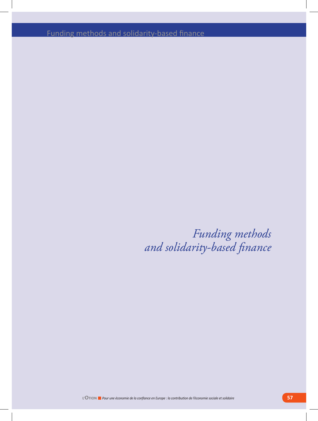Funding methods and solidarity-based finance

*Funding methods and solidarity-based finance*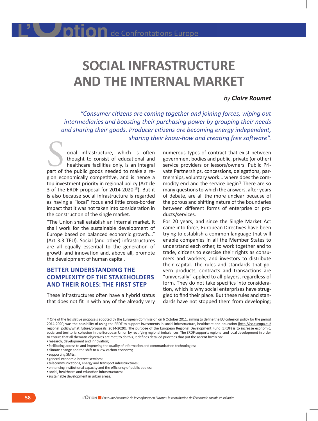## **SOCIAL INFRASTRUCTURE AND THE INTERNAL MARKET**

### *by Claire Roumet*

*"Consumer citizens are coming together and joining forces, wiping out intermediaries and boosting their purchasing power by grouping their needs and sharing their goods. Producer citizens are becoming energy independent, sharing their know-how and creating free software".*

ocial infrastructure, which is often thought to consist of educational and healthcare facilities only, is an integral part of the public goods needed to make a re-<br>
part of the public goods needed to make a region economically competitive, and is hence a top investment priority in regional policy (Article 3 of the ERDF proposal for 2014-2020 18). But it is also because social infrastructure is regarded as having a "local" focus and little cross-border impact that it was not taken into consideration in the construction of the single market.

"The Union shall establish an internal market. It shall work for the sustainable development of Europe based on balanced economic growth..." (Art 3.3 TEU). Social (and other) infrastructures are all equally essential to the generation of growth and innovation and, above all, promote the development of human capital.

## **Better understanding the complexity of the stakeholders and their roles: the first step**

These infrastructures often have a hybrid status that does not fit in with any of the already very

numerous types of contract that exist between government bodies and public, private (or other) service providers or lessors/owners. Public Private Partnerships, concessions, delegations, partnerships, voluntary work... where does the commodity end and the service begin? There are so many questions to which the answers, after years of debate, are all the more unclear because of the porous and shifting nature of the boundaries between different forms of enterprise or products/services.

For 20 years, and since the Single Market Act came into force, European Directives have been trying to establish a common language that will enable companies in all the Member States to understand each other, to work together and to trade, citizens to exercise their rights as consumers and workers, and investors to distribute their capital. The rules and standards that govern products, contracts and transactions are "universally" applied to all players, regardless of form. They do not take specifics into consideration, which is why social enterprises have struggled to find their place. But these rules and standards have not stopped them from developing;

- •general economic interest services;
- •telecommunications, energy and transport infrastructures;

<sup>&</sup>lt;sup>18</sup> One of the legislative proposals adopted by the European Commission on 6 October 2011, aiming to define the EU cohesion policy for the period 2014-2020, was the possibility of using the ERDF to support investments in social infrastructure, healthcare and education (http://ec.europa.eu/ regional policy/what future/proposals 2014-2020). The purpose of the European Regional Development Fund (ERDF) is to increase economic, social and territorial cohesion in the European Union by rectifying regional imbalances. The ERDF supports regional and local development in order to ensure that all thematic objectives are met; to do this, it defines detailed priorities that put the accent firmly on:

<sup>•</sup>research, development and innovation;

<sup>•</sup>facilitating access to and improving the quality of information and communication technologies;

<sup>•</sup>climate change and the shift to a low-carbon economy;

<sup>•</sup>supporting SMEs;

<sup>•</sup>enhancing institutional capacity and the efficiency of public bodies;

<sup>•</sup>social, healthcare and education infrastructures; •sustainable development in urban areas.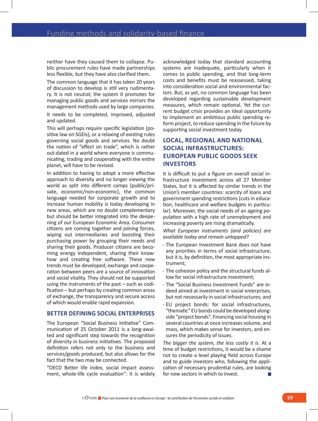neither have they caused them to collapse. Public procurement rules have made partnerships less flexible, but they have also clarified them.

The common language that it has taken 20 years of discussion to develop is still very rudimentary. It is not neutral; the system it promotes for managing public goods and services mirrors the management methods used by large companies. It needs to be completed, improved, adjusted and updated.

This will perhaps require specific legislation (positive law on SGEIs), or a relaxing of existing rules governing social goods and services. No doubt the notion of "effect on trade", which is rather out-dated in a world where everyone is communicating, trading and cooperating with the entire planet, will have to be revised.

In addition to having to adopt a more effective approach to diversity and no longer viewing the world as split into different camps (public/private, economic/non-economic), the common language needed for corporate growth and to increase human mobility is today developing in new areas, which are no doubt complementary but should be better integrated into the deepening of our European Economic Area. Consumer citizens are coming together and joining forces, wiping out intermediaries and boosting their purchasing power by grouping their needs and sharing their goods. Producer citizens are becoming energy independent, sharing their knowhow and creating free software. These new trends must be developed; exchange and cooperation between peers are a source of innovation and social vitality. They should not be supported using the instruments of the past – such as codification – but perhaps by creating common areas of exchange, the transparency and secure access of which would enable rapid expansion.

#### **Better defining social enterprises**

The European "Social Business Initiative" Communication of 25 October 2011 is a long-awaited and significant step towards the recognition of diversity in business initiatives. The proposed definition refers not only to the business and services/goods produced, but also allows for the fact that the two may be connected.

"OECD Better life index, social impact assessment, whole-life cycle evaluation": it is widely acknowledged today that standard accounting systems are inadequate, particularly when it comes to public spending, and that long-term costs and benefits must be reassessed, taking into consideration social and environmental factors. But, as yet, no common language has been developed regarding sustainable development measures, which remain optional. Yet the current budget crisis provides an ideal opportunity to implement an ambitious public spending reform project, to reduce spending in the future by supporting social investment today.

## **Local, regional and national social infrastructures: European public goods seek investors**

It is difficult to put a figure on overall social infrastructure investment across all 27 Member States, but it is affected by similar trends in the Union's member countries: scarcity of loans and government spending restrictions (cuts in education, healthcare and welfare budgets in particular). Moreover, the social needs of an ageing population with a high rate of unemployment and increasing poverty are rising dramatically.

*What European instruments (and policies) are available today and remain untapped?* 

- - The European Investment Bank does not have any priorities in terms of social infrastructure, but it is, by definition, the most appropriate instrument;
- - The cohesion policy and the structural funds allow for social infrastructure investment;
- - The "Social Business Investment Funds" are indeed aimed at investment in social enterprises, but not necessarily in social infrastructures; and
- - EU project bonds: for social infrastructures, "thematic" EU bonds could be developed alongside "project bonds". Financing social housing in several countries at once increases volume, and mass, which makes sense for investors, and ensures the periodicity of issues.

*The bigger the system, the less costly it is.* At a time of budget restrictions, it would be a shame not to create a level playing field across Europe and to guide investors who, following the application of necessary prudential rules, are looking for new sectors in which to invest.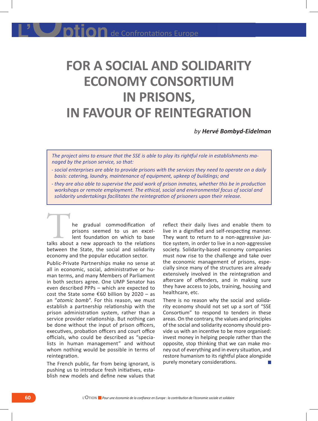# **FOR A SOCIAL AND SOLIDARITY ECONOMY CONSORTIUM IN PRISONS, IN FAVOUR OF REINTEGRATION**

*by Hervé Bombyd-Eidelman* 

*The project aims to ensure that the SSE is able to play its rightful role in establishments managed by the prison service, so that:*

- - *social enterprises are able to provide prisons with the services they need to operate on a daily basis: catering, laundry, maintenance of equipment, upkeep of buildings; and*
- - *they are also able to supervise the paid work of prison inmates, whether this be in production workshops or remote employment. The ethical, social and environmental focus of social and solidarity undertakings facilitates the reintegration of prisoners upon their release.*

he gradual commodification of prisons seemed to us an excellent foundation on which to base The gradual commodification of<br>prisons seemed to us an excel-<br>lent foundation on which to base<br>talks about a new approach to the relations between the State, the social and solidarity economy and the popular education sector.

Public-Private Partnerships make no sense at all in economic, social, administrative or human terms, and many Members of Parliament in both sectors agree. One UMP Senator has even described PPPs – which are expected to cost the State some  $\epsilon$ 60 billion by 2020 - as an "*atomic bomb*". For this reason, we must establish a partnership relationship with the prison administration system, rather than a service provider relationship. But nothing can be done without the input of prison officers, executives, probation officers and court office officials, who could be described as "specialists in human management" and without whom nothing would be possible in terms of reintegration.

The French public, far from being ignorant, is pushing us to introduce fresh initiatives, establish new models and define new values that reflect their daily lives and enable them to live in a dignified and self-respecting manner. They want to return to a non-aggressive justice system, in order to live in a non-aggressive society. Solidarity-based economy companies must now rise to the challenge and take over the economic management of prisons, especially since many of the structures are already extensively involved in the reintegration and aftercare of offenders, and in making sure they have access to jobs, training, housing and healthcare, etc.

There is no reason why the social and solidarity economy should not set up a sort of "SSE Consortium" to respond to tenders in these areas. On the contrary, the values and principles of the social and solidarity economy should provide us with an incentive to be more organised: invest money in helping people rather than the opposite, stop thinking that we can make money out of everything and in every situation, and restore humanism to its rightful place alongside purely monetary considerations.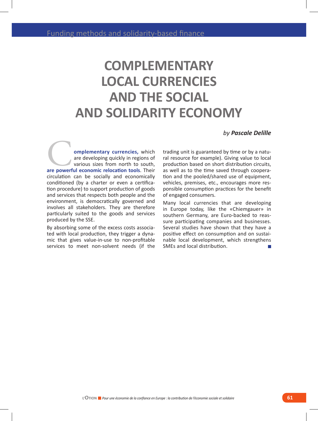# **COMPLEMENTARY LOCAL CURRENCIES AND THE SOCIAL AND SOLIDARITY ECONOMY**

#### *by Pascale Delille*

**omplementary currencies,** which are developing quickly in regions of various sizes from north to south, **are developing quickly in regions of**<br>various sizes from north to south,<br>are powerful economic relocation tools. Their circulation can be socially and economically conditioned (by a charter or even a certification procedure) to support production of goods and services that respects both people and the environment, is democratically governed and involves all stakeholders. They are therefore particularly suited to the goods and services produced by the SSE.

By absorbing some of the excess costs associated with local production, they trigger a dynamic that gives value-in-use to non-profitable services to meet non-solvent needs (if the trading unit is guaranteed by time or by a natural resource for example). Giving value to local production based on short distribution circuits, as well as to the time saved through cooperation and the pooled/shared use of equipment, vehicles, premises, etc., encourages more responsible consumption practices for the benefit of engaged consumers.

Many local currencies that are developing in Europe today, like the «Chiemgauer» in southern Germany, are Euro-backed to reassure participating companies and businesses. Several studies have shown that they have a positive effect on consumption and on sustainable local development, which strengthens SMEs and local distribution.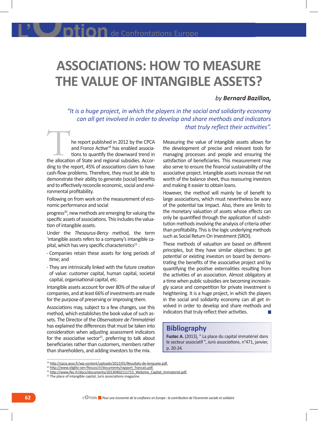# **ASSOCIATIONS: HOW TO MEASURE THE VALUE OF INTANGIBLE ASSETS?**

### *by Bernard Bazillon,*

*"It is a huge project, in which the players in the social and solidarity economy can all get involved in order to develop and share methods and indicators that truly reflect their activities".* 

he report published in 2012 by the CPCA and France Active<sup>19</sup> has enabled associations to quantify the downward trend in the report published in 2012 by the CPCA<br>
and France Active<sup>19</sup> has enabled associa-<br>
tions to quantify the downward trend in<br>
the allocation of State and regional subsidies. According to the report, 45% of associations claim to have cash-flow problems. Therefore, they must be able to demonstrate their ability to generate (social) benefits and to effectively reconcile economic, social and environmental profitability.

Following on from work on the measurement of economic performance and social

progress<sup>20</sup>, new methods are emerging for valuing the specific assets of associations. This includes the valuation of intangible assets.

Under the *Thesaurus-Bercy* method, the term 'intangible assets refers to a company's intangible capital, which has very specific characteristics $^{21}$  :

- - Companies retain these assets for long periods of time; and
- - They are intrinsically linked with the future creation of value: customer capital, human capital, societal capital, organisational capital, etc.

Intangible assets account for over 80% of the value of companies, and at least 66% of investments are made for the purpose of preserving or improving them.

Associations may, subject to a few changes, use this method, which establishes the book value of such assets. The Director of the *Observatoire de l'Immatériel* has explained the differences that must be taken into consideration when adjusting assessment indicators for the associative sector<sup>22</sup>, preferring to talk about beneficiaries rather than customers, members rather than shareholders, and adding investors to the mix.

Measuring the value of intangible assets allows for the development of precise and relevant tools for managing processes and people and ensuring the satisfaction of beneficiaries. This measurement may also serve to ensure the financial sustainability of the associative project. Intangible assets increase the net worth of the balance sheet, thus reassuring investors and making it easier to obtain loans.

However, the method will mainly be of benefit to large associations, which must nevertheless be wary of the potential tax impact. Also, there are limits to the monetary valuation of assets whose effects can only be quantified through the application of substitution methods involving the analysis of criteria other than profitability. This is the logic underlying methods such as Social Return On Investment (SROI).

These methods of valuation are based on different principles, but they have similar objectives: to get potential or existing investors on board by demonstrating the benefits of the associative project and by quantifying the positive externalities resulting from the activities of an association. Almost obligatory at a time when public subsidies are becoming increasingly scarce and competition for private investment is heightening. It is a huge project, in which the players in the social and solidarity economy can all get involved in order to develop and share methods and indicators that truly reflect their activities.

## **Bibliography**

**Fustec A.** (2013), " La place du capital immatériel dans le secteur associatif ", *Juris associations*, n°471, janvier, p. 20-24.

<sup>19</sup> http://cpca.asso.fr/wp-content/uploads/2012/01/Resultats-de-lenquete.pdf.

<sup>&</sup>lt;sup>20</sup> http://www.stiglitz-sen-fitoussi.fr/documents/rapport\_francais.pdf.

http://www.ifec.fr/docs/documents/20130402111715\_Webzine\_Capital\_Immateriel.pdf.

<sup>&</sup>lt;sup>22</sup> The place of intangible capital, Juris associations magazine.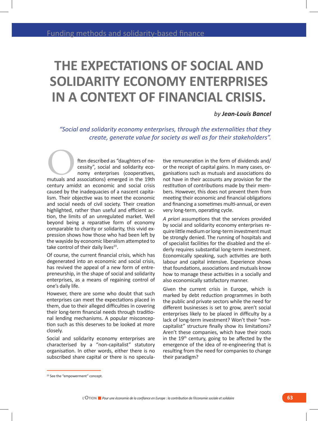# **THE EXPECTATIONS OF SOCIAL AND SOLIDARITY ECONOMY ENTERPRISES IN A CONTEXT OF FINANCIAL CRISIS.**

#### *by Jean-Louis Bancel*

*"Social and solidarity economy enterprises, through the externalities that they create, generate value for society as well as for their stakeholders".*

ften described as "daughters of necessity", social and solidarity economy enterprises (cooperatives, ften described as "daughters of necessity", social and solidarity economy enterprises (cooperatives, mutuals and associations) emerged in the 19th century amidst an economic and social crisis caused by the inadequacies of a nascent capitalism. Their objective was to meet the economic and social needs of civil society. Their creation highlighted, rather than useful and efficient action, the limits of an unregulated market. Well beyond being a reparative form of economy comparable to charity or solidarity, this vivid expression shows how those who had been left by the wayside by economic liberalism attempted to take control of their daily lives $23$ .

Of course, the current financial crisis, which has degenerated into an economic and social crisis, has revived the appeal of a new form of entrepreneurship, in the shape of social and solidarity enterprises, as a means of regaining control of one's daily life.

However, there are some who doubt that such enterprises can meet the expectations placed in them, due to their alleged difficulties in covering their long-term financial needs through traditional lending mechanisms. A popular misconception such as this deserves to be looked at more closely.

Social and solidarity economy enterprises are characterised by a "non-capitalist" statutory organisation. In other words, either there is no subscribed share capital or there is no speculative remuneration in the form of dividends and/ or the receipt of capital gains. In many cases, organisations such as mutuals and associations do not have in their accounts any provision for the restitution of contributions made by their members. However, this does not prevent them from meeting their economic and financial obligations and financing a sometimes multi-annual, or even very long-term, operating cycle.

*A priori* assumptions that the services provided by social and solidarity economy enterprises require little medium or long-term investment must be strongly denied. The running of hospitals and of specialist facilities for the disabled and the elderly requires substantial long-term investment. Economically speaking, such activities are both labour and capital intensive. Experience shows that foundations, associations and mutuals know how to manage these activities in a socially and also economically satisfactory manner.

Given the current crisis in Europe, which is marked by debt reduction programmes in both the public and private sectors while the need for different businesses is set to grow, aren't social enterprises likely to be placed in difficulty by a lack of long-term investment? Won't their "noncapitalist" structure finally show its limitations? Aren't these companies, which have their roots in the  $19<sup>th</sup>$  century, going to be affected by the emergence of the idea of re-engineering that is resulting from the need for companies to change their paradigm?

<sup>&</sup>lt;sup>23</sup> See the "empowerment" concept.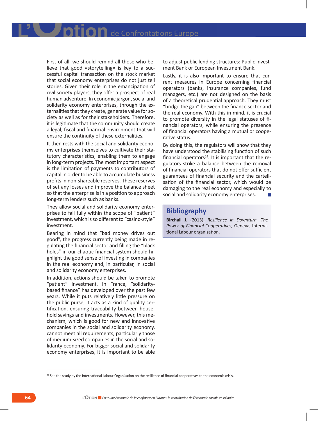First of all, we should remind all those who believe that good «storytelling» is key to a successful capital transaction on the stock market that social economy enterprises do not just tell stories. Given their role in the emancipation of civil society players, they offer a prospect of real human adventure. In economic jargon, social and solidarity economy enterprises, through the externalities that they create, generate value for society as well as for their stakeholders. Therefore, it is legitimate that the community should create a legal, fiscal and financial environment that will ensure the continuity of these externalities.

It then rests with the social and solidarity economy enterprises themselves to cultivate their statutory characteristics, enabling them to engage in long-term projects. The most important aspect is the limitation of payments to contributors of capital in order to be able to accumulate business profits in non-shareable reserves. These reserves offset any losses and improve the balance sheet so that the enterprise is in a position to approach long-term lenders such as banks.

They allow social and solidarity economy enterprises to fall fully within the scope of "patient" investment, which is so different to "casino-style" investment.

Bearing in mind that "bad money drives out good", the progress currently being made in regulating the financial sector and filling the "black holes" in our chaotic financial system should highlight the good sense of investing in companies in the real economy and, in particular, in social and solidarity economy enterprises.

In addition, actions should be taken to promote "patient" investment. In France, "solidaritybased finance" has developed over the past few years. While it puts relatively little pressure on the public purse, it acts as a kind of quality certification, ensuring traceability between household savings and investments. However, this mechanism, which is good for new and innovative companies in the social and solidarity economy, cannot meet all requirements, particularly those of medium-sized companies in the social and solidarity economy. For bigger social and solidarity economy enterprises, it is important to be able to adjust public lending structures: Public Investment Bank or European Investment Bank.

Lastly, it is also important to ensure that current measures in Europe concerning financial operators (banks, insurance companies, fund managers, etc.) are not designed on the basis of a theoretical prudential approach. They must "bridge the gap" between the finance sector and the real economy. With this in mind, it is crucial to promote diversity in the legal statuses of financial operators, while ensuring the presence of financial operators having a mutual or cooperative status.

By doing this, the regulators will show that they have understood the stabilising function of such financial operators $24$ . It is important that the regulators strike a balance between the removal of financial operators that do not offer sufficient guarantees of financial security and the cartelisation of the financial sector, which would be damaging to the real economy and especially to social and solidarity economy enterprises.

## **Bibliography**

**Birchall J.** (2013), *Resilience in Downturn. The Power of Financial Cooperatives,* Geneva, International Labour organization.

<sup>&</sup>lt;sup>24</sup> See the study by the International Labour Organisation on the resilience of financial cooperatives to the economic crisis.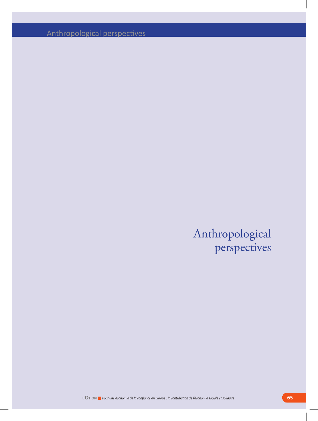Anthropological perspectives

## Anthropological perspectives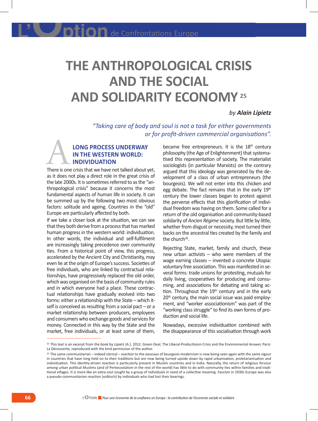# **THE ANTHROPOLOGICAL CRISIS AND THE SOCIAL AND SOLIDARITY ECONOMY** 25

#### *by Alain Lipietz*

*"Taking care of body and soul is not a task for either governments or for profit-driven commercial organisations".*

## **long process underway in the Western world: individuation** LONG PROCESS UNDERWAY<br>
IN THE WESTERN WORLD:<br>
INDIVIDUATION<br>
There is one crisis that we have not talked about yet,

as it does not play a direct role in the great crisis of the late 2000s. It is sometimes referred to as the "anthropological crisis" because it concerns the most fundamental aspects of human life in society. It can be summed up by the following two most obvious factors: solitude and ageing. Countries in the "old" Europe are particularly affected by both.

If we take a closer look at the situation, we can see that they both derive from a process that has marked human progress in the western world: individuation. In other words, the individual and self-fulfilment are increasingly taking precedence over community ties. From a historical point of view, this progress, accelerated by the Ancient City and Christianity, may even lie at the origin of Europe's success. Societies of free individuals, who are linked by contractual relationships, have progressively replaced the old order, which was organised on the basis of community rules and in which everyone had a place. These contractual relationships have gradually evolved into two forms: either a relationship with the State – which itself is conceived as resulting from a social pact – or a market relationship between producers, employees and consumers who exchange goods and services for money. Connected in this way by the State and the market, free individuals, or at least some of them,

became free entrepreneurs. It is the  $18<sup>th</sup>$  century philosophy (the Age of Enlightenment) that systematised this representation of society. The materialist sociologists (in particular Marxists) on the contrary argued that this ideology was generated by the development of a class of urban entrepreneurs (the bourgeois). We will not enter into this chicken and egg debate. The fact remains that in the early 19<sup>th</sup> century the lower classes began to protest against the perverse effects that this glorification of individual freedom was having on them. Some called for a return of the old organisation and community-based solidarity of *Ancien Régime* society. But little by little, whether from disgust or necessity, most turned their backs on the ancestral ties created by the family and the church $26$ .

Rejecting State, market, family and church, these new urban activists – who were members of the wage earning classes – invented a concrete Utopia: voluntary free association. This was manifested in several forms: trade unions for protesting, mutuals for daily living, cooperatives for producing and consuming, and associations for debating and taking action. Throughout the  $19<sup>th</sup>$  century and in the early 20<sup>th</sup> century, the main social issue was paid employment, and "worker associationism" was part of the "working class struggle" to find its own forms of production and social life.

Nowadays, excessive individuation combined with the disappearance of this socialisation through work

<sup>&</sup>lt;sup>25</sup> This text is an excerpt from the book by Lipietz (A.). 2012. Green Deal, The Liberal-Productivism Crisis and the Environmental Answer, Paris: La Découverte, reproduced with the kind permission of the author.

<sup>&</sup>lt;sup>26</sup> The same communitarian – indeed clerical – reaction to the excesses of bourgeois modernism is now being seen again with the same vigour in countries that have long held on to their traditions but are now being turned upside down by rapid urbanisation, proletarianisation and individuation. This identity-driven reaction is particularly present in Muslim countries and in India. Naturally, the return of religious fervour among urban political Muslims (and of Pentecostalism in the rest of the world) has little to do with community ties within families and traditional villages. It is more like an extra soul sought by a group of individuals in need of a collective meaning. Fascism in 1930s Europe was also a pseudo-communitarian reaction (volkisch) by individuals who had lost their bearings.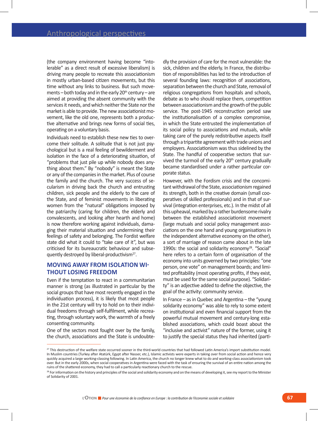(the company environment having become "intolerable" as a direct result of excessive liberalism) is driving many people to recreate this associationism in mostly urban-based citizen movements, but this time without any links to business. But such movements – both today and in the early  $20<sup>th</sup>$  century – are aimed at providing the absent community with the services it needs, and which neither the State nor the market is able to provide. The new associationist movement, like the old one, represents both a productive alternative and brings new forms of social ties, operating on a voluntary basis.

Individuals need to establish these new ties to overcome their solitude. A solitude that is not just psychological but is a real feeling of bewilderment and isolation in the face of a deteriorating situation, of "problems that just pile up while nobody does anything about them." By "nobody" is meant the State or any of the companies in the market. Plus of course the family and the church. The very success of secularism in driving back the church and entrusting children, sick people and the elderly to the care of the State, and of feminist movements in liberating women from the "natural" obligations imposed by the patriarchy (caring for children, the elderly and convalescents, and looking after hearth and home) is now therefore working against individuals, damaging their material situation and undermining their feelings of safety and belonging. The Fordist welfare state did what it could to "take care of it", but was criticised for its bureaucratic behaviour and subsequently destroyed by liberal-productivism<sup>27</sup>.

### **Moving away from isolation without losing freedom**

Even if the temptation to react in a communitarian manner is strong (as illustrated in particular by the social groups that have most recently engaged in the individuation process), it is likely that most people in the 21st century will try to hold on to their individual freedoms through self-fulfilment, while recreating, through voluntary work, the warmth of a freely consenting community.

One of the sectors most fought over by the family, the church, associations and the State is undoubte-

dly the provision of care for the most vulnerable: the sick, children and the elderly. In France, the distribution of responsibilities has led to the introduction of several founding laws: recognition of associations, separation between the church and State, removal of religious congregations from hospitals and schools, debate as to who should replace them, competition between associationism and the growth of the public service. The post-1945 reconstruction period saw the institutionalisation of a complex compromise, in which the State entrusted the implementation of its social policy to associations and mutuals, while taking care of the purely redistributive aspects itself through a tripartite agreement with trade unions and employers. Associationism was thus sidelined by the State. The handful of cooperative sectors that survived the turmoil of the early  $20<sup>th</sup>$  century gradually became standardised under a rather particular corporate status.

However, with the Fordism crisis and the concomitant withdrawal of the State, associationism regained its strength, both in the creative domain (small cooperatives of skilled professionals) and in that of survival (integration enterprises, etc.). In the midst of all this upheaval, marked by a rather burdensome rivalry between the established associationist movement (large mutuals and social policy management associations on the one hand and young organisations in the independent alternative economy on the other), a sort of marriage of reason came about in the late 1990s: the social and solidarity economy<sup>28</sup>. "Social" here refers to a certain form of organisation of the economy into units governed by two principles: "one person, one vote" on management boards; and limited profitability (most operating profits, if they exist, must be used for the same social purpose). "Solidarity" is an adjective added to define the objective, the goal of the activity: community service.

In France – as in Quebec and Argentina – the "young solidarity economy" was able to rely to some extent on institutional and even financial support from the powerful mutual movement and century-long established associations, which could boast about the "inclusive and activist" nature of the former, using it to justify the special status they had inherited (parti-

<sup>&</sup>lt;sup>27</sup> This destruction of the welfare state occurred sooner in the third-world countries that had followed Latin America's import substitution model. In Muslim countries (Turkey after Atatürk, Egypt after Nasser, etc.), Islamic activists were experts in taking over from social action and hence very quickly acquired a large working-classing following. In Latin America, the church no longer knew what to do and working-class associationism took over. But in the early 2000s, when social cooperatives in Argentina were faced with the task of ensuring the survival of an entire nation among the ruins of the shattered economy, they had to call a particularly reactionary church to the rescue.

<sup>&</sup>lt;sup>28</sup> For information on the history and principles of the social and solidarity economy and on the means of developing it, see my report to the Minister of Solidarity of 2001.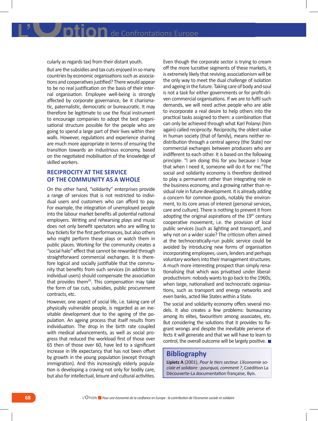cularly as regards tax) from their distant youth.

But are the subsidies and tax cuts enjoyed in so many countries by economic organisations such as associations and cooperatives justified? There would appear to be no real justification on the basis of their internal organisation. Employee well-being is strongly affected by corporate governance, be it charismatic, paternalistic, democratic or bureaucratic. It may therefore be legitimate to use the fiscal instrument to encourage companies to adopt the best organisational structure possible for the people who are going to spend a large part of their lives within their walls. However, regulations and experience sharing are much more appropriate in terms of ensuring the transition towards an industrious economy, based on the negotiated mobilisation of the knowledge of skilled workers.

## **Reciprocity at the service of the community as a whole**

On the other hand, "solidarity" enterprises provide a range of services that is not restricted to individual users and customers who can afford to pay. For example, the integration of unemployed people into the labour market benefits all potential national employers. Writing and rehearsing plays and music does not only benefit spectators who are willing to buy tickets for the first performances, but also others who might perform these plays or watch them in public places. Working for the community creates a "social halo" effect that cannot be rewarded through straightforward commercial exchanges. It is therefore logical and socially justifiable that the community that benefits from such services (in addition to individual users) should compensate the association that provides them<sup>29</sup>. This compensation may take the form of tax cuts, subsidies, public procurement contracts, etc.

However, one aspect of social life, i.e. taking care of physically vulnerable people, is regarded as an inevitable development due to the ageing of the population. An ageing process that itself results from individuation. The drop in the birth rate coupled with medical advancements, as well as social progress that reduced the workload first of those over 65 then of those over 60, have led to a significant increase in life expectancy that has not been offset by growth in the young population (except through immigration). And this increasingly elderly population is developing a craving not only for bodily care, but also for intellectual, leisure and cultural activities.

Even though the corporate sector is trying to cream off the more lucrative segments of these markets, it is extremely likely that reviving associationism will be the only way to meet the dual challenge of isolation and ageing in the future. Taking care of body and soul is not a task for either governments or for profit-driven commercial organisations. If we are to fulfil such demands, we will need active people who are able to incorporate a real desire to help others into the practical tasks assigned to them: a combination that can only be achieved through what Karl Polanyi (him again) called *reciprocity*. Reciprocity, the oldest value in human society (that of family), means neither redistribution through a central agency (the State) nor commercial exchanges between producers who are indifferent to each other. It is based on the following principle: "I am doing this for you because I hope that when I need it, someone will do it for me."The social and solidarity economy is therefore destined to play a permanent rather than integrating role in the business economy, and a growing rather than residual role in future development. It is already adding a concern for common goods, notably the environment, to its core areas of interest (personal services, care and culture). There is nothing to prevent it from adopting the original aspirations of the  $19<sup>th</sup>$  century cooperative movement, i.e. the provision of local public services (such as lighting and transport), and why not on a wider scale? The criticism often aimed at the technocratically-run public service could be avoided by introducing new forms of organisation incorporating employees, users, lenders and perhaps voluntary workers into their management structures. A much more interesting prospect than simply renationalising that which was privatised under liberalproductivism: nobody wants to go back to the 1960s, when large, nationalised and technocratic organisations, such as transport and energy networks and even banks, acted like States within a State.

The social and solidarity economy offers several models. It also creates a few problems: bureaucracy among its elites, favouritism among associates, etc. But considering the solutions that it provides to flagrant wrongs and despite the inevitable perverse effects it will generate and that we will have to learn to control, the overall outcome will be largely positive.

## **Bibliography**

**Lipietz A** (2001), *Pour le tiers secteur. L'économie sociale et solidaire : pourquoi, comment ?*, Coédition La Découverte-La documentation française, Byis.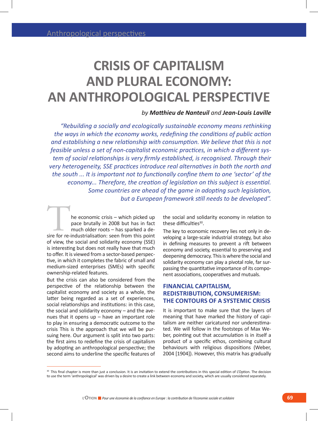## **CRISIS OF CAPITALISM AND PLURAL ECONOMY: AN ANTHROPOLOGICAL PERSPECTIVE**

## *by Matthieu de Nanteuil and Jean-Louis Laville*

*"Rebuilding a socially and ecologically sustainable economy means rethinking the ways in which the economy works, redefining the conditions of public action and establishing a new relationship with consumption. We believe that this is not feasible unless a set of non-capitalist economic practices, in which a different system of social relationships is very firmly established, is recognised. Through their very heterogeneity, SSE practices introduce real alternatives in both the north and the south ... It is important not to functionally confine them to one 'sector' of the economy... Therefore, the creation of legislation on this subject is essential. Some countries are ahead of the game in adopting such legislation, but a European framework still needs to be developed".*

he economic crisis – which picked up pace brutally in 2008 but has in fact much older roots – has sparked a dehe economic crisis – which picked up<br>pace brutally in 2008 but has in fact<br>much older roots – has sparked a de-<br>sire for re-industrialisation: seen from this point of view, the social and solidarity economy (SSE) is interesting but does not really have that much to offer. It is viewed from a sector-based perspective, in which it completes the fabric of small and medium-sized enterprises (SMEs) with specific ownership-related features.

But the crisis can also be considered from the perspective of the relationship between the capitalist economy and society as a whole, the latter being regarded as a set of experiences, social relationships and institutions: in this case, the social and solidarity economy – and the avenues that it opens up – have an important role to play in ensuring a democratic outcome to the crisis This is the approach that we will be pursuing here. Our argument is split into two parts: the first aims to redefine the crisis of capitalism by adopting an anthropological perspective; the second aims to underline the specific features of the social and solidarity economy in relation to these difficulties<sup>30</sup>.

The key to economic recovery lies not only in developing a large-scale industrial strategy, but also in defining measures to prevent a rift between economy and society, essential to preserving and deepening democracy. This is where the social and solidarity economy can play a pivotal role, far surpassing the quantitative importance of its component associations, cooperatives and mutuals.

### **FINANCIAL CAPITALISM, REDISTRIBUTION, CONSUMERISM: THE CONTOURS OF A SYSTEMIC CRISIS**

It is important to make sure that the layers of meaning that have marked the history of capitalism are neither caricatured nor underestimated. We will follow in the footsteps of Max Weber, pointing out that accumulation is in itself a product of a specific ethos, combining cultural behaviours with religious dispositions (Weber, 2004 [1904]). However, this matrix has gradually

<sup>30</sup> This final chapter is more than just a conclusion. It is an invitation to extend the contributions in this special edition of L'Option. The decision to use the term 'anthropological' was driven by a desire to create a link between economy and society, which are usually considered separately.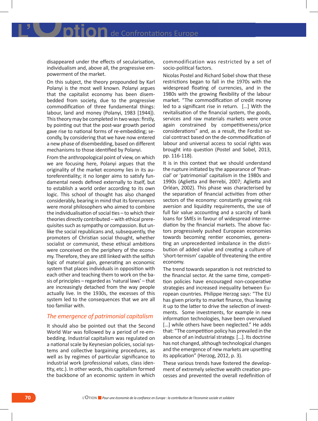disappeared under the effects of secularisation, individualism and, above all, the progressive empowerment of the market.

On this subject, the theory propounded by Karl Polanyi is the most well known. Polanyi argues that the capitalist economy has been disembedded from society, due to the progressive commodification of three fundamental things: labour, land and money (Polanyi, 1983 [1944]). This theory may be completed in two ways: firstly, by pointing out that the post-war growth period gave rise to national forms of re-embedding; secondly, by considering that we have now entered a new phase of disembedding, based on different mechanisms to those identified by Polanyi.

From the anthropological point of view, on which we are focusing here, Polanyi argues that the originality of the market economy lies in its autoreferentiality; it no longer aims to satisfy fundamental needs defined externally to itself, but to establish a world order according to its own logic. This school of thought has also changed considerably, bearing in mind that its forerunners were moral philosophers who aimed to combine the individualisation of social ties – to which their theories directly contributed – with ethical prerequisites such as sympathy or compassion. But unlike the social republicans and, subsequently, the promoters of Christian social thought, whether socialist or communist, these ethical ambitions were conceived on the periphery of the economy. Therefore, they are still linked with the selfish logic of material gain, generating an economic system that places individuals in opposition with each other and teaching them to work on the basis of principles – regarded as 'natural laws' – that are increasingly detached from the way people actually live. In the 1930s, the excesses of this system led to the consequences that we are all too familiar with.

### *The emergence of patrimonial capitalism*

It should also be pointed out that the Second World War was followed by a period of re-embedding. Industrial capitalism was regulated on a national scale by Keynesian policies, social systems and collective bargaining procedures, as well as by regimes of particular significance to industrial work (professional values, class identity, etc.). In other words, this capitalism formed the backbone of an economic system in which

commodification was restricted by a set of socio-political factors.

Nicolas Postel and Richard Sobel show that these restrictions began to fall in the 1970s with the widespread floating of currencies, and in the 1980s with the growing flexibility of the labour market. "The commodification of credit money led to a significant rise in return. […] With the revitalisation of the financial system, the goods, services and raw materials markets were once again constrained by competitiveness/price considerations" and, as a result, the Fordist social contract based on the de-commodification of labour and universal access to social rights was brought into question (Postel and Sobel, 2013, pp. 116-118).

It is in this context that we should understand the rupture initiated by the appearance of 'financial' or 'patrimonial' capitalism in the 1980s and 1990s (Aglietta and Berrebi, 2007; Aglietta and Orléan, 2002). This phase was characterised by the separation of financial activities from other sectors of the economy: constantly growing risk aversion and liquidity requirements, the use of full fair value accounting and a scarcity of bank loans for SMEs in favour of widespread intermediation by the financial markets. The above factors progressively pushed European economies towards becoming rentier economies, generating an unprecedented imbalance in the distribution of added value and creating a culture of 'short-termism' capable of threatening the entire economy.

The trend towards separation is not restricted to the financial sector. At the same time, competition policies have encouraged non-cooperative strategies and increased inequality between European countries. Philippe Herzog says: "The EU has given priority to market finance, thus leaving it up to the latter to drive the selection of investments. Some investments, for example in new information technologies, have been overvalued [...] while others have been neglected." He adds that: "The competition policy has prevailed in the absence of an industrial strategy. […]. Its doctrine has not changed, although technological changes and the emergence of new markets are upsetting its application" (Herzog, 2012, p. 3).

These various trends have fostered the development of extremely selective wealth creation processes and prevented the overall redefinition of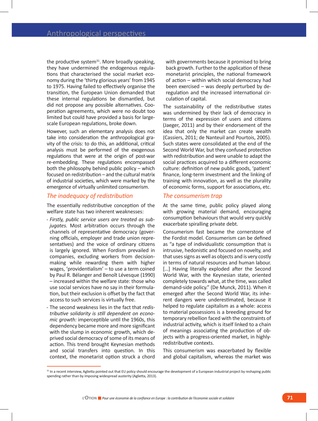the productive system $31$ . More broadly speaking, they have undermined the endogenous regulations that characterised the social market economy during the 'thirty glorious years' from 1945 to 1975. Having failed to effectively organise the transition, the European Union demanded that these internal regulations be dismantled, but did not propose any possible alternatives. Cooperation agreements, which were no doubt too limited but could have provided a basis for largescale European regulations, broke down.

However, such an elementary analysis does not take into consideration the anthropological gravity of the crisis: to do this, an additional, critical analysis must be performed of the exogenous regulations that were at the origin of post-war re-embedding. These regulations encompassed both the philosophy behind public policy – which focused on redistribution – and the cultural matrix of industrial societies, which were marked by the emergence of virtually unlimited consumerism.

#### *The inadequacy of redistribution*

The essentially redistributive conception of the welfare state has two inherent weaknesses:

- - *Firstly, public service users are treated as subjugates.* Most arbitration occurs through the channels of representative democracy (governing officials, employer and trade union representatives) and the voice of ordinary citizens is largely ignored. When Fordism prevailed in companies, excluding workers from decisionmaking while rewarding them with higher wages, 'providentialism' – to use a term coined by Paul R. Bélanger and Benoît Lévesque (1990) – increased within the welfare state: those who use social services have no say in their formulation, but their exclusion is offset by the fact that access to such services is virtually free.
- - The second weakness lies in the fact that *redistributive solidarity is still dependent on economic growth:* imperceptible until the 1960s, this dependency became more and more significant with the slump in economic growth, which deprived social democracy of some of its means of action. This trend brought Keynesian methods and social transfers into question. In this context, the monetarist option struck a chord

with governments because it promised to bring back growth. Further to the application of these monetarist principles, the national framework of action – within which social democracy had been exercised – was deeply perturbed by deregulation and the increased international circulation of capital.

The sustainability of the redistributive states was undermined by their lack of democracy in terms of the expression of users and citizens (Jaeger, 2011) and by their endorsement of the idea that only the market can create wealth (Cassiers, 2011; de Nanteuil and Pourtois, 2005). Such states were consolidated at the end of the Second World War, but they confused protection with redistribution and were unable to adapt the social practices acquired to a different economic culture: definition of new public goods, 'patient' finance, long-term investment and the linking of training with innovation, as well as the plurality of economic forms, support for associations, etc.

#### *The consumerism trap*

At the same time, public policy played along with growing material demand, encouraging consumption behaviours that would very quickly exacerbate spiralling private debt.

Consumerism fast became the cornerstone of the Fordist model. Consumerism can be defined as "a type of individualistic consumption that is intrusive, hedonistic and focused on novelty, and that uses signs as well as objects and is very costly in terms of natural resources and human labour. [...] Having literally exploded after the Second World War, with the Keynesian state, oriented completely towards what, at the time, was called demand-side policy." (De Munck, 2011). When it emerged after the Second World War, its inherent dangers were underestimated, because it helped to regulate capitalism as a whole: access to material possessions is a breeding ground for temporary rebellion faced with the constraints of industrial activity, which is itself linked to a chain of meanings associating the production of objects with a progress-oriented market, in highlyredistributive contexts.

This consumerism was exacerbated by flexible and global capitalism, whereas the market was

<sup>31</sup> In a recent interview, Aglietta pointed out that EU policy should encourage the development of a European industrial project by reshaping public spending rather than by imposing widespread austerity (Aglietta, 2013).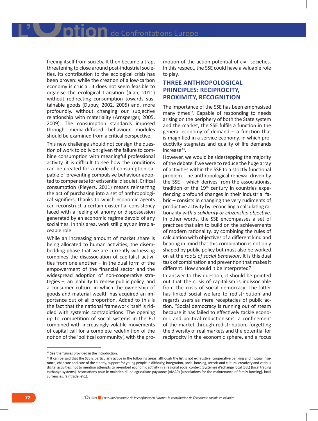IOn de Confrontations Europe

freeing itself from society. It then became a trap, threatening to close around post-industrial societies. Its contribution to the ecological crisis has been proven: while the creation of a low-carbon economy is crucial, it does not seem feasible to organise the ecological transition (Juan, 2011) without redirecting consumption towards sustainable goods (Dupuy, 2002, 2005) and, more profoundly, without changing our subjective relationship with materiality (Arnsperger, 2005, 2009). The consumption standards imposed through media-diffused behaviour modules should be examined from a critical perspective.

This new challenge should not consign the question of work to oblivion: given the failure to combine consumption with meaningful professional activity, it is difficult to see how the conditions can be created for a mode of consumption capable of preventing compulsive behaviour adopted to compensate for existential disquiet. Critical consumption (Pleyers, 2011) means reinserting the act of purchasing into a set of anthropological signifiers, thanks to which economic agents can reconstruct a certain existential consistency faced with a feeling of anomy or dispossession generated by an economic regime devoid of any social ties. In this area, work still plays an irreplaceable role.

While an increasing amount of market share is being allocated to human activities, the disembedding phase that we are currently witnessing combines the disassociation of capitalist activities from one another – in the dual form of the empowerment of the financial sector and the widespread adoption of non-cooperative strategies –, an inability to renew public policy, and a consumer culture in which the ownership of goods and material wealth has acquired an importance out of all proportion. Added to this is the fact that the national framework itself is riddled with systemic contradictions. The opening up to competition of social systems in the EU combined with increasingly volatile movements of capital call for a complete redefinition of the notion of the 'political community', with the pro-

motion of the action potential of civil societies. In this respect, the SSE could have a valuable role to play.

## **THREE ANTHROPOLOGICAL PRINCIPLES: RECIPROCITY, PROXIMITY, RECOGNITION**

The importance of the SSE has been emphasised many times $32$ . Capable of responding to needs arising on the periphery of both the State system and the market, the SSE fulfils a function in the general economy of demand – a function that is magnified in a service economy, in which productivity stagnates and quality of life demands  $increase<sup>33</sup>$ .

However, we would be sidestepping the majority of the debate if we were to reduce the huge array of activities within the SSE to a strictly functional problem. The anthropological renewal driven by the SSE – which derives from the associationist tradition of the  $19<sup>th</sup>$  century in countries experiencing profound changes in their industrial fabric – consists in changing the very rudiments of productive activity by reconciling a calculating rationality *with a solidarity or citizenship objective*. In other words, the SSE encompasses a set of practices that aim to build on the achievements of modern rationality, by combining the rules of calculation with objectives of a different kind and bearing in mind that this combination is not only shaped by public policy but must also be worked on at the *roots of social behaviour*. It is this dual task of combination and prevention that makes it different. How should it be interpreted?

In answer to this question, it should be pointed out that the crisis of capitalism is indissociable from the crisis of social democracy. The latter has linked social welfare to redistribution and regards users as mere receptacles of public action. "Social democracy is running out of steam because it has failed to effectively tackle economic and political reductionisms: a confinement of the market through redistribution, forgetting the diversity of real markets and the potential for reciprocity in the economic sphere, and a focus

<sup>&</sup>lt;sup>32</sup> See the figures provided in the introduction.

<sup>33</sup> It can be said that the SSE is particularly active in the following areas, although the list is not exhaustive: cooperative banking and mutual insurance, childcare and care of the elderly, support for young people in difficulty, integration, social housing, artistic and cultural creativity and various digital activities, not to mention attempts to re-embed economic activity in a regional social context (Systèmes d'échange local (SEL) [local trading exchange systems], Associations pour le maintien d'une agriculture paysanne (AMAP) [associations for the maintenance of family farming], local currencies, fair trade, etc.).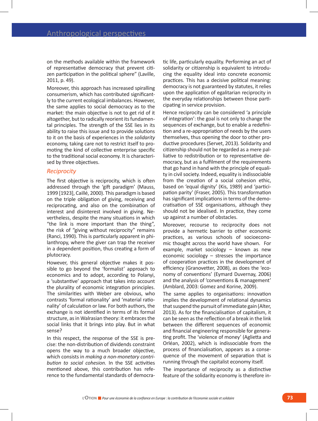on the methods available within the framework of representative democracy that prevent citizen participation in the political sphere" (Laville, 2011, p. 49).

Moreover, this approach has increased spiralling consumerism, which has contributed significantly to the current ecological imbalances. However, the same applies to social democracy as to the market: the main objective is not to get rid of it altogether, but to radically reorient its fundamental principles. The strength of the SSE lies in its ability to raise this issue and to provide solutions to it on the basis of experiences in the *solidarity* economy, taking care not to restrict itself to promoting the kind of collective enterprise specific to the traditional social economy. It is characterised by three objectives.

#### *Reciprocity*

The first objective is reciprocity, which is often addressed through the 'gift paradigm' (Mauss, 1999 [1923], Caillé, 2000). This paradigm is based on the triple obligation of giving, receiving and reciprocating, and also on the combination of interest and disinterest involved in giving. Nevertheless, despite the many situations in which "the link is more important than the thing", the risk of "giving without reciprocity" remains (Ranci, 1990). This is particularly apparent in philanthropy, where the giver can trap the receiver in a dependent position, thus creating a form of plutocracy.

However, this general objective makes it possible to go beyond the 'formalist' approach to economics and to adopt, according to Polanyi, a 'substantive' approach that takes into account the plurality of economic integration principles. The similarities with Weber are obvious, who contrasts 'formal rationality' and 'material rationality' of calculation or law. For both authors, the exchange is not identified in terms of its formal structure, as in Walrasian theory: it embraces the social links that it brings into play. But in what sense?

In this respect, the response of the SSE is precise: the non-distribution of dividends constraint opens the way to a much broader objective, which consists in *making a non-monetary contribution to social cohesion.* In the SSE activities mentioned above, this contribution has reference to the fundamental standards of democratic life, particularly equality. Performing an act of solidarity or citizenship is equivalent to introducing the equality ideal into concrete economic practices. This has a decisive political meaning: democracy is not guaranteed by statutes, it relies upon the application of egalitarian reciprocity in the everyday relationships between those participating in service provision.

Hence reciprocity can be considered 'a principle of integration': the goal is not only to change the sequences of exchange, but to enable a redefinition and a re-appropriation of needs by the users themselves, thus opening the door to other productive procedures (Servet, 2013). Solidarity and citizenship should not be regarded as a mere palliative to redistribution or to representative democracy, but as a fulfilment of the requirements that go hand in hand with the principle of equality in civil society. Indeed, equality is indissociable from the creation of a social cohesion ethic, based on 'equal dignity' (Kis, 1989) and 'participation parity' (Fraser, 2005). This transformation has significant implications in terms of the democratisation of SSE organisations, although they should not be idealised. In practice, they come up against a number of obstacles.

Moreover, recourse to reciprocity does not provide a hermetic barrier to other economic practices, as various schools of socioeconomic thought across the world have shown. For example, market sociology – known as new economic sociology – stresses the importance of cooperation practices in the development of efficiency (Granovetter, 2008), as does the 'economy of conventions' (Eymard Duvernay, 2006) and the analysis of 'conventions & management' (Amblard, 2003: Gomez and Korine, 2009).

The same applies to organisations: innovation implies the development of relational dynamics that suspend the pursuit of immediate gain (Alter, 2013). As for the financialisation of capitalism, it can be seen as the reflection of a break in the link between the different sequences of economic and financial engineering responsible for generating profit. The 'violence of money' (Aglietta and Orléan, 2002), which is indissociable from the process of financialisation, appears as a consequence of the movement of separation that is running through the capitalist economy itself.

The importance of reciprocity as a distinctive feature of the solidarity economy is therefore in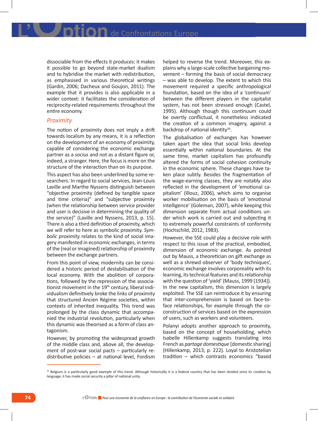dissociable from the effects it produces: it makes it possible to go beyond state-market dualism and to hybridise the market with redistribution, as emphasised in various theoretical writings (Gardin, 2006; Dacheux and Goujon, 2011). The example that it provides is also applicable in a wider context: it facilitates the consideration of reciprocity-related requirements throughout the entire economy.

#### *Proximity*

The notion of proximity does not imply a drift towards localism by any means, it is a reflection on the development of an economy of proximity, capable of considering the economic exchange partner as a *socius* and not as a distant figure or, indeed, a stranger. Here, the focus is more on the structure of the interaction than on its purpose.

This aspect has also been underlined by some researchers. In regard to social services, Jean-Louis Laville and Marthe Nyssens distinguish between "objective proximity (defined by tangible space and time criteria)" and "subjective proximity (when the relationship between service provider and user is decisive in determining the quality of the service)" (Laville and Nyssens, 2013, p. 15). There is also a third definition of proximity, which we will refer to here as symbolic proximity. *Symbolic proximity* relates to the kind of social imagery manifested in economic exchanges, in terms of the (real or imagined) relationship of proximity between the exchange partners.

From this point of view, modernity can be considered a historic period of destabilisation of the local economy. With the abolition of corporations, followed by the repression of the associationist movement in the 19<sup>th</sup> century, liberal individualism definitively broke the links of proximity that structured Ancien Régime societies, within contexts of inherited inequality. This trend was prolonged by the class dynamic that accompanied the industrial revolution, particularly when this dynamic was theorised as a form of class antagonism.

However, by promoting the widespread growth of the middle class and, above all, the development of post-war social pacts – particularly redistributive policies – at national level, Fordism helped to reverse the trend. Moreover, this explains why a large-scale collective bargaining movement – forming the basis of social democracy – was able to develop. The extent to which this movement required a specific anthropological foundation, based on the idea of a 'continuum' between the different players in the capitalist system, has not been stressed enough (Castel, 1995). Although though this continuum could be overtly conflictual, it nonetheless indicated the creation of a common imagery, against a backdrop of national identity<sup>34</sup>.

The globalisation of exchanges has however taken apart the idea that social links develop essentially within national boundaries. At the same time, market capitalism has profoundly altered the forms of social cohesion continuity in the economic sphere. These changes have taken place subtly. Besides the fragmentation of the wage-earning classes, they are notably also reflected in the development of 'emotional capitalism' (Illouz, 2006), which aims to organise worker mobilisation on the basis of 'emotional intelligence' (Goleman, 2007), while keeping this dimension separate from actual conditions under which work is carried out and subjecting it to extremely powerful constraints of conformity (Hochschild, 2012, 1983).

However, the SSE could play a decisive role with respect to this issue of the practical, embodied, dimension of economic exchange. As pointed out by Mauss, a theoretician on gift exchange as well as a shrewd observer of 'body techniques', economic exchange involves corporeality with its learning, its technical features and its relationship with the question of 'yield' (Mauss, 1999 [1934]). In the new capitalism, this dimension is largely exploited. The SSE can reintroduce it by ensuring that inter-comprehension is based on face-toface relationships, for example through the coconstruction of services based on the expression of users, such as workers and volunteers.

Polanyi adopts another approach to proximity, based on the concept of householding, which Isabelle Hillenkamp suggests translating into French as *partage domestique* [domestic sharing] (Hillenkamp, 2013, p. 222). Loyal to Aristotelian tradition – which contrasts economics "based

<sup>34</sup> Belgium is a particularly good example of this trend. Although historically it is a federal country that has been divided since its creation by language, it has made social security a pillar of national unity.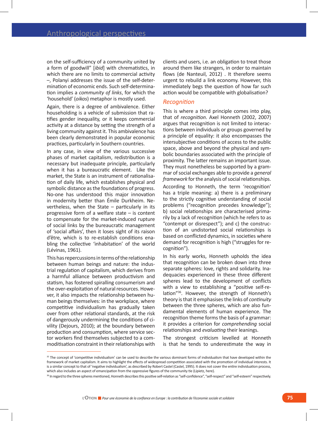on the self-sufficiency of a community united by a form of goodwill" [*ibid*] with chrematistics, in which there are no limits to commercial activity –, Polanyi addresses the issue of the self-determination of economic ends. Such self-determination implies a *community of links*, for which the 'household' (*oikos*) metaphor is mostly used.

Again, there is a degree of ambivalence. Either householding is a vehicle of submission that ratifies gender inequality, or it keeps commercial activity at a distance by setting the strength of a living community against it. This ambivalence has been clearly demonstrated in popular economic practices, particularly in Southern countries.

In any case, in view of the various successive phases of market capitalism, redistribution is a necessary but inadequate principle, particularly when it has a bureaucratic element. Like the market, the State is an instrument of rationalisation of daily life, which establishes physical and symbolic distance as the foundations of progress. No-one has understood this major innovation in modernity better than Émile Durkheim. Nevertheless, when the State  $-$  particularly in its progressive form of a welfare state – is content to compensate for the market-induced rupture of social links by the bureaucratic management of 'social affairs', then it loses sight of its raison d'être, which is to re-establish conditions enabling the collective 'inhabitation' of the world (Lévinas, 1961).

This has repercussions in terms of the relationship between human beings and nature: the industrial regulation of capitalism, which derives from a harmful alliance between productivism and statism, has fostered spiralling consumerism and the over-exploitation of natural resources. However, it also impacts the relationship between human beings themselves: in the workplace, where competitive individualism has gradually taken over from other relational standards, at the risk of dangerously undermining the conditions of civility (Dejours, 2010); at the boundary between production and consumption, where service sector workers find themselves subjected to a commoditisation constraint in their relationships with clients and users, i.e. an obligation to treat those around them like strangers, in order to maintain flows (de Nanteuil, 2012) . It therefore seems urgent to rebuild a link economy. However, this immediately begs the question of how far such action would be compatible with globalisation?

#### *Recognition*

This is where a third principle comes into play, that of *recognition*. Axel Honneth (2002, 2007) argues that recognition is not limited to interactions between individuals or groups governed by a principle of equality: it also encompasses the intersubjective conditions of access to the public space, above and beyond the physical and symbolic boundaries associated with the principle of proximity. The latter remains an important issue. They must nonetheless be supported by a grammar of social exchanges able to provide a *general framework* for the analysis of social relationships.

According to Honneth, the term 'recognition' has a triple meaning: a) there is a preliminary to the strictly cognitive understanding of social problems ("recognition precedes knowledge"); b) social relationships are characterised primarily by a lack of recognition (which he refers to as "contempt or disrespect"); and c) the construction of an undistorted social relationships is based on conflicted dynamics, in societies where demand for recognition is high ("struggles for recognition").

In his early works, Honneth upholds the idea that recognition can be broken down into three separate spheres: love, rights and solidarity. Inadequacies experienced in these three different spheres lead to the development of conflicts with a view to establishing a "positive self-relation"36. However, the strength of Honneth's theory is that it emphasises the links of *continuity* between the three spheres, which are also fundamental elements of human experience. The recognition theme forms the basis of a grammar: it provides a criterion for *comprehending* social relationships and *evaluating* their leanings.

The strongest criticism levelled at Honneth is that he tends to underestimate the way in

<sup>&</sup>lt;sup>35</sup> The concept of 'competitive individualism' can be used to describe the various dominant forms of individualism that have developed within the framework of market capitalism. It aims to highlight the effects of widespread competition associated with the promotion of individual interests. It is a similar concept to that of 'negative individualism', as described by Robert Castel (Castel, 1995). It does not cover the entire individuation process, which also includes an aspect of emancipation from the oppressive figures of the community tie (Lipietz, here).

<sup>&</sup>lt;sup>36</sup> In regard to the three spheres mentioned, Honneth describes this positive self-relation as "self-confidence", "self-respect" and "self-esteem" respectively.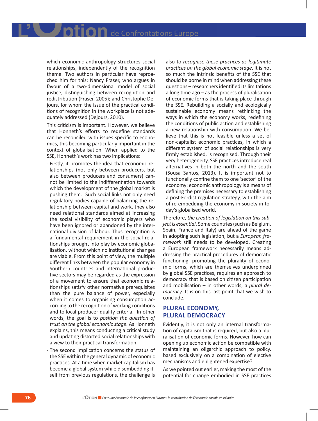which economic anthropology structures social relationships, independently of the recognition theme. Two authors in particular have reproached him for this: Nancy Fraser, who argues in favour of a two-dimensional model of social justice, distinguishing between recognition and redistribution (Fraser, 2005); and Christophe Dejours, for whom the issue of the practical conditions of recognition in the workplace is not adequately addressed (Dejours, 2010).

This criticism is important. However, we believe that Honneth's efforts to redefine standards can be reconciled with issues specific to economics, this becoming particularly important in the context of globalisation. When applied to the SSE, Honneth's work has two implications:

- - Firstly, it promotes the idea that economic relationships (not only between producers, but also between producers and consumers) cannot be limited to the indifferentiation towards which the development of the global market is pushing them. Such social links not only need regulatory bodies capable of balancing the relationship between capital and work, they also need relational standards aimed at increasing the social visibility of economic players who have been ignored or abandoned by the international division of labour. Thus recognition is a fundamental requirement in the social relationships brought into play by economic globalisation, without which no institutional changes are viable. From this point of view, the multiple different links between the popular economy in Southern countries and international productive sectors may be regarded as the expression of a movement to ensure that economic relationships satisfy other normative prerequisites than the pure balance of power, especially when it comes to organising consumption according to the recognition of working conditions and to local producer quality criteria. In other words, the goal is to *position the question of trust on the global economic stage*. As Honneth explains, this means conducting a critical study and updating distorted social relationships with a view to their practical transformation.
- - The second implication concerns the status of the SSE within the general dynamic of economic practices. At a time when market capitalism has become a global system while disembedding itself from previous regulations, the challenge is

also to *recognise these practices as legitimate practices on the global economic stage*. It is not so much the intrinsic benefits of the SSE that should be borne in mind when addressing these questions – researchers identified its limitations a long time ago – as the process of pluralisation of economic forms that is taking place through the SSE. Rebuilding a socially and ecologically sustainable economy means rethinking the ways in which the economy works, redefining the conditions of public action and establishing a new relationship with consumption. We believe that this is not feasible unless a set of non-capitalist economic practices, in which a different system of social relationships is very firmly established, is recognised. Through their very heterogeneity, SSE practices introduce real alternatives in both the north and the south (Sousa Santos, 2013). It is important not to functionally confine them to one 'sector' of the economy: economic anthropology is a means of defining the premises necessary to establishing a post-Fordist regulation strategy, with the aim of re-embedding the economy in society in today's globalised world.

Therefore, *the creation of legislation on this subject is essential*. Some countries (such as Belgium, Spain, France and Italy) are ahead of the game in adopting such legislation, but a *European framework* still needs to be developed. Creating a European framework necessarily means addressing the practical procedures of democratic functioning: promoting the plurality of economic forms, which are themselves underpinned by global SSE practices, requires an approach to democracy that is based on citizen participation and mobilisation – in other words, a *plural democracy*. It is on this last point that we wish to conclude.

## **Plural economy, plural democracy**

Evidently, it is not only an internal transformation of capitalism that is required, but also a pluralisation of economic forms. However, how can opening up economic action be compatible with maintaining an oligarchic approach to policy, based exclusively on a combination of elective mechanisms and enlightened expertise?

As we pointed out earlier, making the most of the potential for change embodied in SSE practices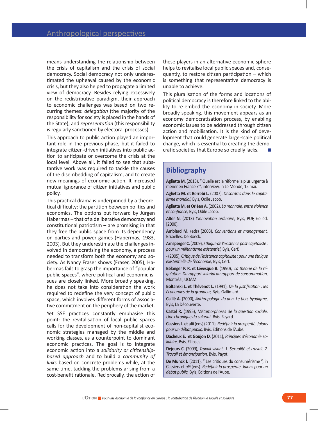means understanding the relationship between the crisis of capitalism and the crisis of social democracy. Social democracy not only underestimated the upheaval caused by the economic crisis, but they also helped to propagate a limited view of democracy. Besides relying excessively on the redistributive paradigm, their approach to economic challenges was based on two recurring themes: *delegation* (the majority of the responsibility for society is placed in the hands of the State), and *representation* (this responsibility is regularly sanctioned by electoral processes).

This approach to public action played an important role in the previous phase, but it failed to integrate citizen-driven initiatives into public action to anticipate or overcome the crisis at the local level. Above all, it failed to see that substantive work was required to tackle the causes of the disembedding of capitalism, and to create new meanings of economic action. It increased mutual ignorance of citizen initiatives and public policy.

This practical drama is underpinned by a theoretical difficulty: the partition between politics and economics. The options put forward by Jürgen Habermas – that of a deliberative democracy and constitutional patriotism  $-$  are promising in that they free the public space from its dependency on parties and power games (Habermas, 1983, 2003). But they underestimate the challenges involved in democratising the economy, a process needed to transform both the economy and society. As Nancy Fraser shows (Fraser, 2005), Habermas fails to grasp the importance of "popular public spaces", where political and economic issues are closely linked. More broadly speaking, he does not take into consideration the work required to redefine the very concept of public space, which involves different forms of associative commitment on the periphery of the market.

Yet SSE practices constantly emphasise this point: the revitalisation of local public spaces calls for the development of non-capitalist economic strategies managed by the middle and working classes, as a counterpoint to dominant economic practices. The goal is to integrate economic action into a *solidarity or citizenshipbased approach* and to build a *community of links* based on concrete problems while, at the same time, tackling the problems arising from a cost-benefit rationale. Reciprocally, the action of these players in an alternative economic sphere helps to revitalise local public spaces and, consequently, to restore citizen participation – which is something that representative democracy is unable to achieve.

This pluralisation of the forms and locations of political democracy is therefore linked to the ability to re-embed the economy in society. More broadly speaking, this movement appears as an economy democratisation process, by enabling economic issues to be addressed through citizen action and mobilisation. It is the kind of development that could generate large-scale political change, which is essential to creating the democratic societies that Europe so cruelly lacks.

## **Bibliography**

**Aglietta M.** (2013), " Quelle est la réforme la plus urgente à mener en France ? ", interview, in Le Monde, 15 mai.

**Aglietta M. et Berrebi L.** (2007), *Désordres dans le capitalisme mondial,* Byis, Odile Jacob.

**Aglietta M. et Orléan A.** (2002), *La monnaie, entre violence et confiance,* Byis, Odile Jacob.

**Alter N.** (2013) *L'innovation ordinaire,* Byis, PUF, 6e éd. [2000].

**Amblard M.** (eds) (2003), *Conventions et management.* Bruxelles, De Boeck.

**Arnsperger C.** (2009), *Ethique de l'existence post-capitaliste : pour un militantisme existentiel,* Byis, Cerf.

- (2005), *Critique de l'existence capitaliste : pour une éthique existentielle de l'économie,* Byis, Cerf.

**Bélanger P. R. et Lévesque B.** (1990), *La théorie de la régulation. Du rapport salarial au rapport de consommation,* Montréal, UQAM.

**Boltanski L. et Thévenot L.** (1991), *De la justification : les économies de la grandeur,* Byis, Gallimard.

**Caillé A.** (2000), *Anthropologie du don. Le tiers byadigme,* Byis, La Découverte.

**Castel R.** (1995), *Métamorphoses de la question sociale. Une chronique du salariat.* Byis, Fayard.

**Cassiers I. et alii** (eds) (2011), *Redéfinir la prospérité. Jalons pour un débat public,* Byis, Editions de l'Aube.

**Dacheux E. et Goujon D.** (2011), *Principes d'économie solidaire,* Byis, Ellipses.

**Dejours C.** (2009), *Travail vivant. 1. Sexualité et travail. 2. Travail et émancipation,* Byis, Payot.

**De Munck J.** (2011), " Les critiques du consumérisme ", in Cassiers et *alii* (eds). *Redéfinir la prospérité. Jalons pour un débat public,* Byis, Editions de l'Aube.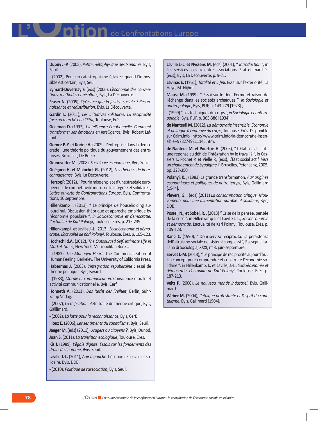**de Confrontations Europe** 

**Dupuy J.-P.** (2005), *Petite métaphysique des tsunamis*. Byis, Seuil.

- (2002), Pour un catastrophisme éclairé : quand l'impossible est certain, Byis, Seuil.

**Eymard-Duvernay F.** (eds) (2006), *L'économie des conventions, méthodes et résultats,* Byis, La Découverte.

**Fraser N.** (2005), *Qu'est-ce que la justice sociale ? Reconnaissance et redistribution,* Byis, La Découverte.

**Gardin L.** (2011), *Les initiatives solidaires. La réciprocité face au marché et à l'Etat,* Toulouse, Erès.

**Goleman D.** (1997), *L'intelligence émotionnelle. Comment transformer ses émotions en intelligence,* Byis, Robert Laffont.

**Gomez P.-Y. et Korine H.** (2009), L'entreprise dans la démocratie : une théorie politique du gouvernement des entreprises, Bruxelles, De Boeck.

**Granovetter M.** (2008), *Sociologie économique*, Byis, Seuil.

**Guéguen H. et Malochet G.**, (2012), *Les théories de la reconnaissance*, Byis, La Découverte.

**Herzog P.** (2012), " Pour la mise en place d'une stratégie européenne de compétitivité industrielle intégrée et solidaire ", *Lettre ouverte de Confrontations Europe*, Byis, Confrontations, 10 septembre.

**Hillenkamp I.** (2013), " Le principe de householding aujourd'hui. Discussion théorique et approche empirique by l'économie populaire ", *in Socioéconomie et démocratie. L'actualité de Karl Polanyi*, Toulouse, Erès, p. 215-239.

**Hillenkamp I. et Laville J.-L.** (2013), *Socioéconomie et démocratie. L'actualité de Karl Polanyi*, Toulouse, Erès, p. 105-123.

**Hochschild,A.** (2012), *The Outsourced Self. Intimate Life in Market Times*, New York, Metropolitan Books.

- (1983), *The Managed Heart*. The Commercialization of Human Feeling. Berkeley, The University of California Press.

**Habermas J.** (2003), *L'intégration républicaine* : essai de théorie politique, Byis, Fayard.

- (1983), *Morale et communication.* Conscience morale et activité communicationnelle, Byis, Cerf.

**Honneth A.** (2011), *Das Recht der Freiheit*, Berlin, Suhrkamp Verlag.

- (2007), *La réification*. Petit traité de théorie critique, Byis, Galllimard.

- (2002), *La lutte pour la reconnaissance*, Byis, Cerf.

**Illouz E.** (2006), *Les sentiments du capitalisme*, Byis, Seuil.

**Jaeger M.** (eds) (2011), *Usagers ou citoyens ?*, Byis, Dunod,

**Juan S.** (2011), *La transition écologique*, Toulouse, Erès.

**Kis J.** (1989), *L'égale dignité. Essais sur les fondements des droits de l'homme*, Byis, Seuil.

**Laville J.-L.** (2011), *Agir à gauche*. L'économie sociale et solidaire. Byis, DDB.

- (2010), *Politique de l'association*, Byis, Seuil.

**Laville J.-L. et Nyssens M.** (eds) (2001), " *Introduction* ", in Les services sociaux entre associations, Etat et marchés (eds), Byis, La Découverte, p. 9-21.

**Lévinas E.** (1961), *Totalité et infini*. Essai sur l'extériorité, La Haye, M. Nijhoff.

**Mauss M.** (1999), " Essai sur le don. Forme et raison de l'échange dans les sociétés archaïques ", *in Sociologie et anthropologie*, Byis, PUF, p. 143-279 [1923] ;

- (1999) " Les techniques du corps ", *in Sociologie et anthropologie*, Byis, PUF, p. 365-386 [1934] ;

**de Nanteuil M.** (2012), *La démocratie insensible. Economie et politique à l'épreuve du corps,* Toulouse, Erès. Disponible sur Cairn.info : http://www.cairn.info/la-democratie-insensible--9782749211145.htm.

**de Nanteuil M. et Pourtois H.** (2005), " L'Etat social actif : une réponse au défi de l'intégration by le travail ? ", in Cassiers I., Pochet P. et Vielle P., (eds), L'Etat social actif. *Vers un changement de byadigme ?*, Bruxelles, Peter Lang, 2005, pp. 323-350.

**Polanyi, K.** , (1983) La grande transformation. *Aux origines économiques et politiques de notre temps*, Byis, Gallimard [1944].

**Pleyers, G.** , (eds) (2011) *La consommation critique. Mouvements pour une alimentation durable et solidaire*, Byis, DDB.

**Postel, N., et Sobel, R.** , (2013) " Crise de la pensée, pensée de la crise ", in Hillenkamp I. et Laville J.-L., *Socioéconomie et démocratie.* L'actualité de Karl Polanyi, Toulouse, Erès, p. 105-123.

**Ranci C.** (1990), " Doni serviza reciprocita. La persistenza dell'altruismo sociale nei sistemi complessi ", Rassegna Italiana di Sociologia, XXXI, n° 3, juin-septembre .

**Servet J.-M.** (2013), " Le principe de réciprocité aujourd'hui. Un concept pour comprendre et construire l'économie solidaire ", in Hillenkamp, I., et Laville, J.-L., *Socioéconomie et démocratie. L'actualité de Karl Polanyi*, Toulouse, Erès, p. 187-213.

**Veltz P.** (2000), *Le nouveau monde industriel*, Byis, Gallimard.

**Weber M.** (2004), *L'éthique protestante et l'esprit du capitalisme*, Byis, Gallimard [1904].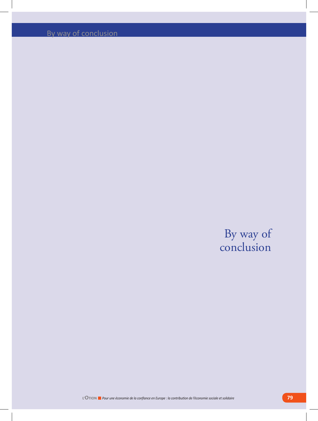By way of conclusion

## By way of conclusion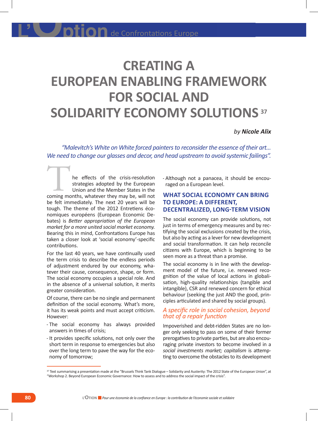# **CREATING A EUROPEAN ENABLING FRAMEWORK FOR SOCIAL AND SOLIDARITY ECONOMY SOLUTIONS <sup>37</sup>**

#### *by Nicole Alix*

*"Malevitch's White on White forced painters to reconsider the essence of their art… We need to change our glasses and decor, and head upstream to avoid systemic failings".*

he effects of the crisis-resolution strategies adopted by the European Union and the Member States in the The effects of the crisis-resolution<br>strategies adopted by the European<br>Union and the Member States in the<br>coming months, whatever they may be, will not be felt immediately. The next 20 years will be tough. The theme of the 2012 Entretiens économiques européens (European Economic Debates) is *Better appropriation of the European market for a more united social market economy.*  Bearing this in mind, Confrontations Europe has taken a closer look at 'social economy'-specific contributions.

For the last 40 years, we have continually used the term crisis to describe the endless periods of adjustment endured by our economy, whatever their cause, consequence, shape, or form. The social economy occupies a special role. And in the absence of a universal solution, it merits greater consideration.

Of course, there can be no single and permanent definition of the social economy. What's more, it has its weak points and must accept criticism. However:

- - The social economy has always provided answers in times of crisis;
- - It provides specific solutions, not only over the short term in response to emergencies but also over the long term to pave the way for the economy of tomorrow;

- Although not a panacea, it should be encouraged on a European level.

## **WHAT SOCIAL ECONOMY CAN BRING TO EUROPE: A DIFFERENT, DECENTRALIZED, LONG-TERM VISION**

The social economy can provide solutions, not just in terms of emergency measures and by rectifying the social exclusions created by the crisis, but also by acting as a lever for new development and social transformation. It can help reconcile citizens with Europe, which is beginning to be seen more as a threat than a promise.

The social economy is in line with the development model of the future, i.e. renewed recognition of the value of local actions in globalisation, high-quality relationships (tangible and intangible), CSR and renewed concern for ethical behaviour (seeking the just AND the good, principles articulated and shared by social groups).

### *A specific role in social cohesion, beyond that of a repair function*

Impoverished and debt-ridden States are no longer only seeking to pass on some of their former prerogatives to private parties, but are also encouraging private investors to become involved in a *social investments market; capitalism* is attempting to overcome the obstacles to its development

<sup>&</sup>lt;sup>37</sup> Text summarising a presentation made at the "Brussels Think Tank Dialogue - Solidarity and Austerity: The 2012 State of the European Union", at "Workshop 2. Beyond European Economic Governance: How to assess and to address the social impact of the crisis".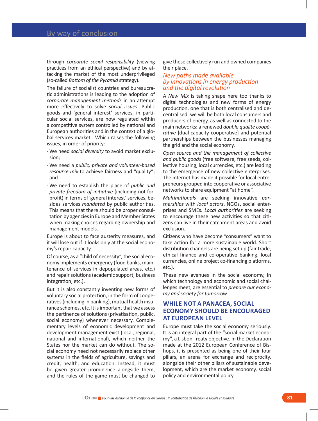through *corporate social responsibility* (viewing practices from an ethical perspective) and by attacking the market of the most underprivileged (so-called *Bottom of the Pyramid* strategy).

The failure of socialist countries and bureaucratic administrations is leading to the adoption of *corporate management methods* in an attempt more effectively to solve *social issues*. Public goods and 'general interest' services, in particular social services, are now regulated within a competitive system controlled by national and European authorities and in the context of a global services market. Which raises the following issues, in order of priority:

- - We need *social diversity* to avoid market exclusion;
- - We need a *public, private and volunteer-based resource mix* to achieve fairness and "quality"; and
- - We need to establish the place of *public and private freedom of initiative* (including not-forprofit) in terms of 'general interest' services, besides services *mandated* by public authorities. This means that there should be proper consultation by agencies in Europe and Member States when making choices regarding ownership and management models.

Europe is about to face austerity measures, and it will lose out if it looks only at the social economy's repair capacity.

Of course, as a "child of necessity", the social economy implements emergency (food banks, maintenance of services in depopulated areas, etc.) and repair solutions (academic support, business integration, etc.).

But it is also constantly inventing new forms of voluntary social protection, in the form of cooperatives (including in banking), mutual health insurance schemes, etc. It is important that we assess the pertinence of solutions (privatisation, public, social economy) whenever necessary. Complementary levels of economic development and development management exist (local, regional, national and international), which neither the States nor the market can do without. The social economy need not necessarily replace other systems in the fields of agriculture, savings and credit, health, and education. Instead, it must be given greater prominence alongside them, and the rules of the game must be changed to

give these collectively run and owned companies their place.

#### *New paths made available by innovations in energy production and the digital revolution*

A *New Mix* is taking shape here too thanks to digital technologies and new forms of energy production, one that is both centralised and decentralised: we will be both local consumers and producers of energy, as well as connected to the main networks: a renewed *double qualité coopérative* [dual-capacity cooperative] and potential partnerships between the businesses managing the grid and the social economy.

*Open source and the management of collective and public goods* (free software, free seeds, collective housing, local currencies, etc.) are leading to the emergence of new collective enterprises. The internet has made it possible for local entrepreneurs grouped into cooperative or associative networks to share equipment "at home".

*Multinationals* are seeking innovative *partnerships* with *local actors*, NGOs, social enterprises and SMEs. *Local authorities* are seeking to encourage these new activities so that citizens can live in their catchment areas and avoid exclusion.

Citizens who have become "consumers" want to take action for a more sustainable world. Short distribution channels are being set up (fair trade, ethical finance and co-operative banking, local currencies, online project co-financing platforms, etc.).

These new avenues in the social economy, in which technology and economic and social challenges meet, are essential to *prepare our economy and society for tomorrow.* 

## **WHILE NOT A PANACEA, SOCIAL ECONOMY SHOULD BE ENCOURAGED AT EUROPEAN LEVEL**

Europe must take the social economy seriously. It is an integral part of the "social market economy", a Lisbon Treaty objective. In the Declaration made at the 2012 European Conference of Bishops, it is presented as being one of their four pillars, an arena for exchange and reciprocity, alongside their other pillars of sustainable development, which are the market economy, social policy and environmental policy.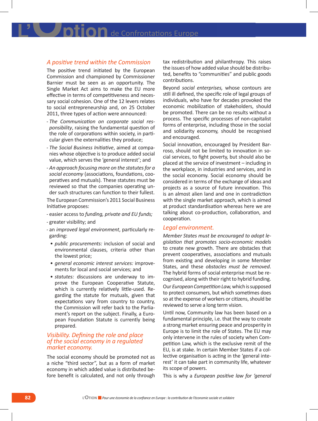**DION** de Confrontations Europe

#### *A positive trend within the Commission*

The positive trend initiated by the European Commission and championed by Commissioner Barnier must be seen as an opportunity. The Single Market Act aims to make the EU more effective in terms of competitiveness and necessary social cohesion. One of the 12 levers relates to social entrepreneurship and, on 25 October 2011, three types of action were announced:

- - *The Communication on corporate social responsibility*, raising the fundamental question of the role of corporations within society, in particular given the externalities they produce;
- - *The Social Business Initiative*, aimed at companies whose objective is to produce added social value, which serves the 'general interest'; and
- - *An approach focusing more on the statutes for a social economy* (associations, foundations, cooperatives and mutuals). These statutes must be reviewed so that the companies operating under such structures can function to their fullest.

The European Commission's 2011 Social Business Initiative proposes:

- - easier access to *funding, private and EU funds;*
- - greater visibility; and
- - an *improved legal environment*, particularly regarding:
- *public procurements:* inclusion of social and environmental clauses, criteria other than the lowest price;
- *general economic interest services:* improvements for local and social services; and
- *statutes:* discussions are underway to improve the European Cooperative Statute, which is currently relatively little-used. Regarding the statute for mutuals, given that expectations vary from country to country, the Commission will refer back to the Parliament's report on the subject. Finally, a European Foundation Statute is currently being prepared.

#### *Visibility. Defining the role and place of the social economy in a regulated market economy.*

The social economy should be promoted not as a niche "third sector", but as a form of market economy in which added value is distributed before benefit is calculated, and not only through tax redistribution and philanthropy. This raises the issues of how added value should be distributed, benefits to "communities" and public goods contributions.

Beyond *social enterprises,* whose contours are still ill defined, the specific role of legal groups of individuals, who have for decades provoked the economic mobilization of stakeholders, should be promoted. There can be no results without a process. The specific processes of non-capitalist forms of enterprise, including those in the social and solidarity economy, should be recognised and encouraged.

Social innovation, encouraged by President Barroso, should not be limited to innovation in social services, to fight poverty, but should also be placed at the service of investment – including in the workplace, in industries and services, and in the social economy. Social economy should be considered in terms of the exchange of ideas and projects as a source of future innovation. This is an almost alien land and one in contradiction with the single market approach, which is aimed at product standardisation whereas here we are talking about co-production, collaboration, and cooperation.

#### *Legal environment.*

*Member States must be encouraged to adopt legislation that promotes socio-economic models* to create new growth. There are obstacles that prevent cooperatives, associations and mutuals from existing and developing in some Member States, and these *obstacles must be removed*. The hybrid forms of social enterprise must be recognised, along with their right to hybrid funding.

Our *European Competition Law,* which is supposed to protect consumers, but which sometimes does so at the expense of workers or citizens, should be reviewed to serve a long term vision.

Until now, Community law has been based on a fundamental principle, i.e. that the way to create a strong market ensuring peace and prosperity in Europe is to limit the role of States. The EU may only intervene in the rules of society when Competition Law, which is the exclusive remit of the EU, is at stake. In certain Member States if a collective organisation is acting in the 'general interest' it can take part in community life, whatever its scope of powers.

This is why a *European positive law for 'general*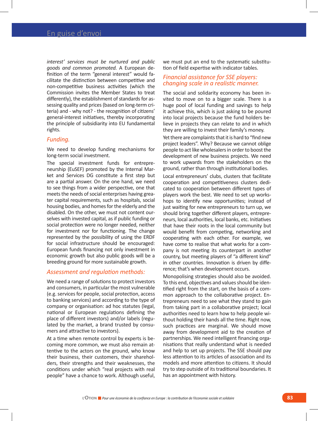*interest' services must be nurtured and public goods and common promoted.* A European definition of the term "general interest" would facilitate the distinction between competitive and non-competitive business activities (which the Commission invites the Member States to treat differently), the establishment of standards for assessing quality and prices (based on long-term criteria) and - why not? - the recognition of citizens' general-interest initiatives, thereby incorporating the principle of subsidiarity into EU fundamental rights.

#### *Funding.*

We need to develop funding mechanisms for long-term social investment.

The special investment funds for entrepreneurship (EuSEF) promoted by the Internal Market and Services DG constitute a first step but are a partial answer. On the one hand, we need to see things from a wider perspective, one that meets the needs of social enterprises having greater capital requirements, such as hospitals, social housing bodies, and homes for the elderly and the disabled. On the other, we must not content ourselves with invested capital, as if public funding or social protection were no longer needed, neither for investment nor for functioning. The change represented by the possibility of using the ERDF for social infrastructure should be encouraged: European funds financing not only investment in economic growth but also public goods will be a breeding ground for more sustainable growth.

#### *Assessment and regulation methods:*

We need a range of solutions to protect investors and consumers, in particular the most vulnerable (e.g. services for people, social protection, access to banking services) and according to the type of company or organisation: ad hoc statutes (legal, national or European regulations defining the place of different investors) and/or labels (regulated by the market, a brand trusted by consumers and attractive to investors).

At a time when remote control by experts is becoming more common, we must also remain attentive to the actors on the ground, who know their business, their customers, their shareholders, their strengths and their weaknesses, the conditions under which "real projects with real people" have a chance to work. Although useful,

we must put an end to the systematic substitution of field expertise with indicator tables.

#### *Financial assistance for SSE players: changing scale in a realistic manner.*

The social and solidarity economy has been invited to move on to a bigger scale. There is a huge pool of local funding and savings to help it achieve this, which is just asking to be poured into local projects because the fund holders believe in projects they can relate to and in which they are willing to invest their family's money.

Yet there are complaints that it is hard to "find new project leaders". Why? Because we cannot oblige people to act like wholesalers in order to boost the development of new business projects. We need to work upwards from the stakeholders on the ground, rather than through institutional bodies.

Local entrepreneurs' clubs, clusters that facilitate cooperation and competitiveness clusters dedicated to cooperation between different types of players work the best. We need to set up workshops to identify new opportunities; instead of just waiting for new entrepreneurs to turn up, we should bring together different players, entrepreneurs, local authorities, local banks, etc. Initiatives that have their roots in the local community but would benefit from competing, networking and cooperating with each other. For example, we have come to realise that what works for a company is not meeting its counterpart in another country, but meeting players of "a different kind" in other countries. Innovation is driven by difference; that's when development occurs.

Monopolising strategies should also be avoided. To this end, objectives and values should be identified right from the start, on the basis of a common approach to the collaborative project. Entrepreneurs need to see what they stand to gain from taking part in a collaborative project; local authorities need to learn how to help people without holding their hands all the time. Right now, such practices are marginal. We should move away from development aid to the creation of partnerships. We need intelligent financing organisations that really understand what is needed and help to set up projects. The SSE should pay less attention to its articles of association and its models and more attention to citizens. It should try to step outside of its traditional boundaries. It has an appointment with history.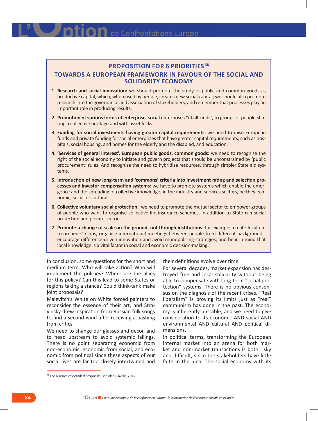## **Proposition for 6 priorities 38**

### **Towards a European framework in favour of the social and solidarity economy**

- **1. Research and social innovation:** we should promote the study of public and common goods as productive capital, which, when used by people, creates new social capital; we should also promote research into the governance and association of stakeholders, and remember that processes play an important role in producing results.
- **2. Promotion of various forms of enterprise**, social enterprises "of all kinds", to groups of people sharing a collective heritage and with asset locks.
- **3. Funding for social investments having greater capital requirements:** we need to raise European funds and private funding for social enterprises that have greater capital requirements, such as hospitals, social housing, and homes for the elderly and the disabled, and education.
- **4. 'Services of general interest', European public goods, common goods:** we need to recognise the right of the social economy to initiate and govern projects that should be unconstrained by 'public procurement' rules. And recognise the need to hybridise resources, through simpler State aid systems.
- **5. Introduction of new long-term and 'commons' criteria into investment rating and selection processes and investor compensation systems:** we have to promote systems which enable the emergence and the spreading of collective knowledge, in the industry and services sectors, be they economic, social or cultural.
- **6. Collective voluntary social protection:** we need to promote the mutual sector to empower groups of people who want to organise collective life insurance schemes, in addition to State run social protection and private sector.
- **7. Promote a change of scale on the ground, not through institutions:** for example, create local entrepreneurs' clubs, organise international meetings between people from different backgrounds, encourage difference-driven innovation and avoid monopolising strategies; and bear in mind that local knowledge is a vital factor in social and economic decision-making.

In conclusion, some questions for the short and medium term: Who will take action? Who will implement the policies? Where are the allies for this policy? Can this lead to some States or regions taking a stance? Could think-tank make joint proposals?

Malevitch's White on White forced painters to reconsider the essence of their art, and Stravinsky drew inspiration from Russian folk songs to find a second wind after receiving a bashing from critics.

We need to change our glasses and decor, and to head upstream to avoid systemic failings. There is no point separating economic from non-economic, economic from social, and economic from political since these aspects of our social lives are far too closely intertwined and their definitions evolve over time.

For several decades, market expansion has destroyed free and local solidarity without being able to compensate with long-term "social protection" systems. There is no obvious consensus on the diagnosis of the recent crises. "Real liberalism" is proving its limits just as "real" communism has done in the past. The economy is inherently unstable, and we need to give consideration to its economic AND social AND environmental AND cultural AND political dimensions.

In political terms, transforming the European internal market into an arena for both market and non-market transactions is both risky and difficult, since the stakeholders have little faith in the idea. The social economy with its

<sup>&</sup>lt;sup>38</sup> For a series of detailed proposals, see also (Laville, 2012).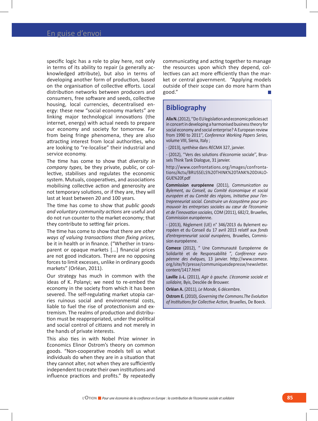specific logic has a role to play here, not only in terms of its ability to repair (a generally acknowledged attribute), but also in terms of developing another form of production, based on the organisation of collective efforts. Local distribution networks between producers and consumers, free software and seeds, collective housing, local currencies, decentralised energy: these new "social economy markets" are linking major technological innovations (the internet, energy) with actual needs to prepare our economy and society for tomorrow. Far from being fringe phenomena, they are also attracting interest from local authorities, who are looking to "re-localise" their industrial and service economy.

The time has come to show that *diversity in company types,* be they private, public, or collective, stabilises and regulates the economic system. Mutuals, cooperatives, and associations mobilising collective action and generosity are not temporary solutions, or if they are, they will last at least between 20 and 100 years.

The time has come to show that *public goods and voluntary community actions* are useful and do not run counter to the market economy; that they contribute to setting fair prices.

The time has come to show that there are *other ways of valuing transactions than fixing prices,*  be it in health or in finance. ("Whether in transparent or opaque markets [...] financial prices are not good indicators. There are no opposing forces to limit excesses, unlike in ordinary goods markets" (Orléan, 2011).

Our strategy has much in common with the ideas of K. Polanyi; we need to re-embed the economy in the society from which it has been severed. The self-regulating market utopia carries ruinous social and environmental costs, liable to fuel the rise of protectionism and extremism. The realms of production and distribution must be reappropriated, under the political and social control of citizens and not merely in the hands of private interests.

This also ties in with Nobel Prize winner in Economics Elinor Ostrom's theory on common goods. "Non-cooperative models tell us what individuals do when they are in a situation that they cannot alter, not when they are sufficiently independent to create their own institutions and influence practices and profits." By repeatedly

communicating and acting together to manage the resources upon which they depend, collectives can act more efficiently than the market or central government. "Applying models outside of their scope can do more harm than good."

## **Bibliography**

**Alix N.** (2012), ''Do EU legislation and economic policies act in concert in developing a harmonised business theory for social economy and social enterprise? A European review from 1990 to 2011'', *Conference Working Papers Series,* volume VIII, Siena, Italy ;

- (2013), synthèse dans *RECMA* 327, janvier.

- (2012), ''Vers des solutions d'économie sociale'', Brussels Think Tank Dialogue, 31 janvier.

http://www.confrontations.org/images/confrontations/Actu/BRUSSELS%20THINK%20TANK%20DIALO-GUE%20f.pdf

**Commission européenne** (2011), *Communication au Bylement, au Conseil, au Comité économique et social européen et au Comité des régions, Initiative pour l'entrepreneuriat social. Construire un écosystème pour promouvoir les entreprises sociales au cœur de l'économie et de l'innovation sociales,* COM (2011), 682/2, Bruxelles, Commission européenne.

- (2013), Règlement (UE) n° 346/2013 du Bylement européen et du Conseil du 17 avril 2013 relatif aux *fonds d'entrepreneuriat social européens,* Bruxelles, Commission européenne.

**Comece** (2012), " Une Communauté Européenne de Solidarité et de Responsabilité ", *Conférence européenne des évêques,* 13 janvier. http://www.comece. org/site/fr/presse/communiquesdepresse/newsletter. content/1417.html

**Laville J.-L.** (2011), *Agir à gauche. L'économie sociale et solidaire,* Byis, Desclée de Brouwer.

**Orléan A.** (2011), *Le Monde,* 6 décembre.

**Ostrom E.** (2010), *Governing the Commons.The Evolution of Institutions for Collective Action,* Bruxelles, De Boeck.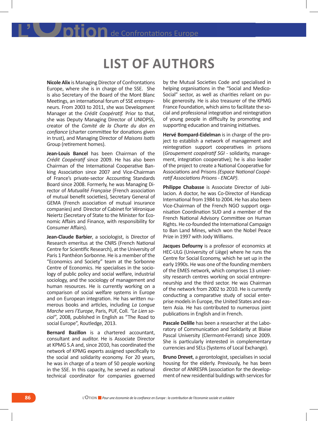## **List of authors**

**Nicole Alix** is Managing Director of Confrontations Europe, where she is in charge of the SSE. She is also Secretary of the Board of the Mont Blanc Meetings, an international forum of SSE entrepreneurs. From 2003 to 2011, she was Development Manager at the *Crédit Coopératif.* Prior to that, she was Deputy Managing Director of UNIOPSS, creator of the *Comité de la Charte du don en confiance* (charter committee for donations given in trust), and Managing Director of *Maisons Isatis* Group (retirement homes).

**Jean-Louis Bancel** has been Chairman of the *Crédit Coopératif* since 2009. He has also been Chairman of the International Cooperative Banking Association since 2007 and Vice-Chairman of France's private-sector Accounting Standards Board since 2008. Formerly, he was Managing Director of *Mutualité Française* (French association of mutual benefit societies), Secretary General of GEMA (French association of mutual insurance companies) and Director of Cabinet for Véronique Neiertz (Secretary of State to the Minister for Economic Affairs and Finance, with responsibility for Consumer Affairs).

**Jean-Claude Barbier**, a sociologist, is Director of Research emeritus at the CNRS (French National Centre for Scientific Research), at the University of Paris 1 Panthéon Sorbonne. He is a member of the "Economics and Society" team at the Sorbonne Centre of Economics. He specialises in the sociology of public policy and social welfare, industrial sociology, and the sociology of management and human resources. He is currently working on a comparison of social welfare systems in Europe and on European integration. He has written numerous books and articles, including *La Longue Marche vers l'Europe*, Paris, PUF, Coll. *"Le Lien social"*, 2008, published in English as "The Road to social Europe", Routledge, 2013.

**Bernard Bazillon** is a chartered accountant, consultant and auditor. He is Associate Director at KPMG S.A and, since 2010, has coordinated the network of KPMG experts assigned specifically to the social and solidarity economy. For 20 years, he was in charge of a team of 50 people working in the SSE. In this capacity, he served as national technical coordinator for companies governed

by the Mutual Societies Code and specialised in helping organisations in the "Social and Medico-Social" sector, as well as charities reliant on public generosity. He is also treasurer of the KPMG France Foundation, which aims to facilitate the social and professional integration and reintegration of young people in difficulty by promoting and supporting education and training initiatives.

**Hervé Bompard-Eidelman** is in charge of the project to establish a network of management and reintegration support cooperatives in prisons (*Groupement coopératif SGI* - solidarity, management, integration cooperative); he is also leader of the project to create a National Cooperative for Associations and Prisons *(Espace National Coopératif Associations Prisons - ENCAP)*.

**Philippe Chabasse** is Associate Director of Jubilacion. A doctor, he was Co-Director of Handicap International from 1984 to 2004. He has also been Vice-Chairman of the French NGO support organisation Coordination SUD and a member of the French National Advisory Committee on Human Rights. He co-founded the International Campaign to Ban Land Mines, which won the Nobel Peace Prize in 1997 with Jody Williams.

**Jacques Defourny** is a professor of economics at HEC-ULG (University of Liège) where he runs the Centre for Social Economy, which he set up in the early 1990s. He was one of the founding members of the EMES network, which comprises 13 university research centres working on social entrepreneurship and the third sector. He was Chairman of the network from 2002 to 2010. He is currently conducting a comparative study of social enterprise models in Europe, the United States and eastern Asia. He has contributed to numerous joint publications in English and in French.

**Pascale Delille** has been a researcher at the Laboratory of Communication and Solidarity at Blaise Pascal University (Clermont-Ferrand) since 2009. She is particularly interested in complementary currencies and SELs (Systems of Local Exchange).

**Bruno Drevet**, a gerontologist, specialises in social housing for the elderly. Previously, he has been director of ANRESPA (association for the development of new residential buildings with services for